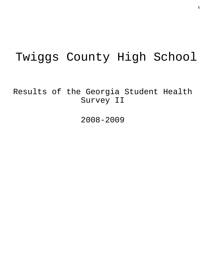# Twiggs County High School

Results of the Georgia Student Health Survey II

2008-2009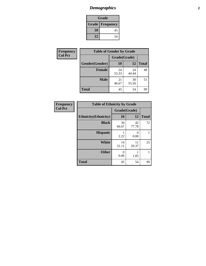### *Demographics* **2**

| Grade                    |    |  |  |
|--------------------------|----|--|--|
| <b>Grade   Frequency</b> |    |  |  |
| 10                       | 45 |  |  |
| 12<br>54                 |    |  |  |

| Frequency      | <b>Table of Gender by Grade</b> |              |             |              |
|----------------|---------------------------------|--------------|-------------|--------------|
| <b>Col Pct</b> |                                 | Grade(Grade) |             |              |
|                | Gender(Gender)                  | <b>10</b>    | 12          | <b>Total</b> |
|                | <b>Female</b>                   | 24<br>53.33  | 24<br>44.44 | 48           |
|                | <b>Male</b>                     | 21<br>46.67  | 30<br>55.56 | 51           |
|                | <b>Total</b>                    | 45           | 54          | 99           |

| <b>Frequency</b> |
|------------------|
| <b>Col Pct</b>   |

| <b>Table of Ethnicity by Grade</b> |              |             |              |  |  |  |
|------------------------------------|--------------|-------------|--------------|--|--|--|
|                                    | Grade(Grade) |             |              |  |  |  |
| <b>Ethnicity</b> (Ethnicity)       | 10           | 12          | <b>Total</b> |  |  |  |
| <b>Black</b>                       | 30<br>66.67  | 42<br>77.78 | 72           |  |  |  |
| <b>Hispanic</b>                    | 2.22         | 0<br>0.00   |              |  |  |  |
| <b>White</b>                       | 14<br>31.11  | 11<br>20.37 | 25           |  |  |  |
| <b>Other</b>                       | 0<br>0.00    | 1.85        | 1            |  |  |  |
| <b>Total</b>                       | 45           | 54          | 99           |  |  |  |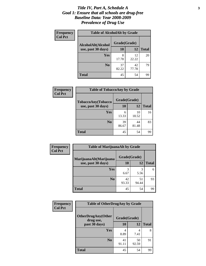#### *Title IV, Part A, Schedule A* **3** *Goal 1: Ensure that all schools are drug-free Baseline Data: Year 2008-2009 Prevalence of Drug Use*

| Frequency<br><b>Col Pct</b> | <b>Table of AlcoholAlt by Grade</b> |              |             |              |  |  |
|-----------------------------|-------------------------------------|--------------|-------------|--------------|--|--|
|                             | AlcoholAlt(Alcohol                  | Grade(Grade) |             |              |  |  |
|                             | use, past 30 days)                  | 10           | 12          | <b>Total</b> |  |  |
|                             | Yes                                 | 8<br>17.78   | 12<br>22.22 | 20           |  |  |
|                             | N <sub>0</sub>                      | 37<br>82.22  | 42<br>77.78 | 79           |  |  |
|                             | <b>Total</b>                        | 45           | 54          | 99           |  |  |

| Frequency      | <b>Table of TobaccoAny by Grade</b> |              |             |              |  |
|----------------|-------------------------------------|--------------|-------------|--------------|--|
| <b>Col Pct</b> | TobaccoAny(Tobacco                  | Grade(Grade) |             |              |  |
|                | use, past 30 days)                  | 10           | 12          | <b>Total</b> |  |
|                | Yes                                 | 6<br>13.33   | 10<br>18.52 | 16           |  |
|                | N <sub>0</sub>                      | 39<br>86.67  | 44<br>81.48 | 83           |  |
|                | <b>Total</b>                        | 45           | 54          | 99           |  |

| Frequency<br><b>Col Pct</b> | <b>Table of MarijuanaAlt by Grade</b> |              |             |              |  |
|-----------------------------|---------------------------------------|--------------|-------------|--------------|--|
|                             | MarijuanaAlt(Marijuana                | Grade(Grade) |             |              |  |
|                             | use, past 30 days)                    | 10           | 12          | <b>Total</b> |  |
|                             | Yes                                   | 3<br>6.67    | 3<br>5.56   | 6            |  |
|                             | N <sub>0</sub>                        | 42<br>93.33  | 51<br>94.44 | 93           |  |
|                             | <b>Total</b>                          | 45           | 54          | 99           |  |

| Frequency<br><b>Col Pct</b> | <b>Table of OtherDrugAny by Grade</b>  |              |             |              |  |
|-----------------------------|----------------------------------------|--------------|-------------|--------------|--|
|                             | <b>OtherDrugAny(Other</b><br>drug use, | Grade(Grade) |             |              |  |
|                             | past 30 days)                          | 10           | 12          | <b>Total</b> |  |
|                             | <b>Yes</b>                             | 8.89         | 4<br>7.41   | 8            |  |
|                             | N <sub>0</sub>                         | 41<br>91.11  | 50<br>92.59 | 91           |  |
|                             | <b>Total</b>                           | 45           | 54          | 99           |  |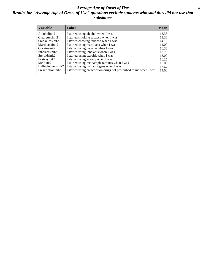#### *Average Age of Onset of Use* **4** *Results for "Average Age of Onset of Use" questions exclude students who said they did not use that substance*

| <b>Variable</b>    | Label                                                              | <b>Mean</b> |
|--------------------|--------------------------------------------------------------------|-------------|
| Alcoholinit2       | I started using alcohol when I was                                 | 13.33       |
| Cigarettesinit2    | I started smoking tobacco when I was                               | 13.33       |
| Smokelessinit2     | I started chewing tobacco when I was                               | 14.10       |
| Marijuanainit2     | I started using marijuana when I was                               | 14.09       |
| Cocaineinit2       | I started using cocaine when I was                                 | 16.33       |
| Inhalantsinit2     | I started using inhalants when I was                               | 13.75       |
| Steroidsinit2      | I started using steroids when I was                                | 13.00       |
| Ecstasyinit2       | I started using ecstasy when I was                                 | 16.25       |
| Methinit2          | I started using methamphetamines when I was                        | 15.00       |
| Hallucinogensinit2 | I started using hallucinogens when I was                           | 13.67       |
| Prescriptioninit2  | I started using prescription drugs not prescribed to me when I was | 14.00       |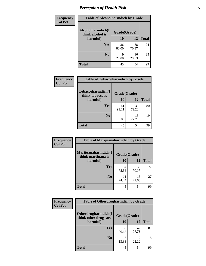### *Perception of Health Risk* **5**

| <b>Frequency</b> | <b>Table of Alcoholharmdich by Grade</b> |              |             |              |  |
|------------------|------------------------------------------|--------------|-------------|--------------|--|
| <b>Col Pct</b>   | Alcoholharmdich(I<br>think alcohol is    | Grade(Grade) |             |              |  |
|                  | harmful)                                 | 10           | 12          | <b>Total</b> |  |
|                  | <b>Yes</b>                               | 36<br>80.00  | 38<br>70.37 | 74           |  |
|                  | N <sub>0</sub>                           | q<br>20.00   | 16<br>29.63 | 25           |  |
|                  | <b>Total</b>                             | 45           | 54          | 99           |  |

| Frequency      | <b>Table of Tobaccoharmdich by Grade</b> |              |             |              |  |
|----------------|------------------------------------------|--------------|-------------|--------------|--|
| <b>Col Pct</b> | Tobaccoharmdich(I<br>think tobacco is    | Grade(Grade) |             |              |  |
|                | harmful)                                 | 10           | 12          | <b>Total</b> |  |
|                | <b>Yes</b>                               | 41<br>91.11  | 39<br>72.22 | 80           |  |
|                | N <sub>0</sub>                           | 4<br>8.89    | 15<br>27.78 | 19           |  |
|                | <b>Total</b>                             | 45           | 54          | 99           |  |

| Frequency      | <b>Table of Marijuanaharmdich by Grade</b> |              |             |              |  |  |
|----------------|--------------------------------------------|--------------|-------------|--------------|--|--|
| <b>Col Pct</b> | Marijuanaharmdich(I<br>think marijuana is  | Grade(Grade) |             |              |  |  |
|                | harmful)                                   | 10           | 12          | <b>Total</b> |  |  |
|                | <b>Yes</b>                                 | 34<br>75.56  | 38<br>70.37 | 72           |  |  |
|                | N <sub>0</sub>                             | 11<br>24.44  | 16<br>29.63 | 27           |  |  |
|                | <b>Total</b>                               | 45           | 54          | 99           |  |  |

| Frequency      | <b>Table of Otherdrugharmdich by Grade</b>   |              |             |              |  |
|----------------|----------------------------------------------|--------------|-------------|--------------|--|
| <b>Col Pct</b> | Otherdrugharmdich(I<br>think other drugs are | Grade(Grade) |             |              |  |
|                | harmful)                                     | 10           | 12          | <b>Total</b> |  |
|                | <b>Yes</b>                                   | 39<br>86.67  | 42<br>77.78 | 81           |  |
|                | N <sub>0</sub>                               | 6<br>13.33   | 12<br>22.22 | 18           |  |
|                | <b>Total</b>                                 | 45           | 54          | 99           |  |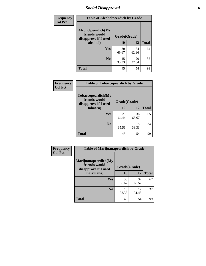### *Social Disapproval* **6**

| Frequency      | <b>Table of Alcoholpeerdich by Grade</b>                    |              |             |              |  |  |
|----------------|-------------------------------------------------------------|--------------|-------------|--------------|--|--|
| <b>Col Pct</b> | Alcoholpeerdich(My<br>friends would<br>disapprove if I used | Grade(Grade) |             |              |  |  |
|                | alcohol)                                                    | 10           | 12          | <b>Total</b> |  |  |
|                | <b>Yes</b>                                                  | 30<br>66.67  | 34<br>62.96 | 64           |  |  |
|                | N <sub>0</sub>                                              | 15<br>33.33  | 20<br>37.04 | 35           |  |  |
|                | <b>Total</b>                                                | 45           | 54          | 99           |  |  |

| <b>Frequency</b> |
|------------------|
| <b>Col Pct</b>   |

| <b>Table of Tobaccopeerdich by Grade</b>                    |              |             |              |  |
|-------------------------------------------------------------|--------------|-------------|--------------|--|
| Tobaccopeerdich(My<br>friends would<br>disapprove if I used | Grade(Grade) |             |              |  |
| tobacco)                                                    | 10           | 12          | <b>Total</b> |  |
| Yes                                                         | 29<br>64.44  | 36<br>66.67 | 65           |  |
| N <sub>0</sub>                                              | 16<br>35.56  | 18<br>33.33 | 34           |  |
| <b>Total</b>                                                | 45           | 54          |              |  |

| Frequency      | <b>Table of Marijuanapeerdich by Grade</b>                    |              |             |              |  |  |
|----------------|---------------------------------------------------------------|--------------|-------------|--------------|--|--|
| <b>Col Pct</b> | Marijuanapeerdich(My<br>friends would<br>disapprove if I used | Grade(Grade) |             |              |  |  |
|                | marijuana)                                                    | 10           | 12          | <b>Total</b> |  |  |
|                | <b>Yes</b>                                                    | 30<br>66.67  | 37<br>68.52 | 67           |  |  |
|                | N <sub>0</sub>                                                | 15<br>33.33  | 17<br>31.48 | 32           |  |  |
|                | <b>Total</b>                                                  | 45           | 54          | 99           |  |  |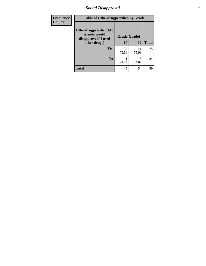### *Social Disapproval* **7**

| Frequency      | <b>Table of Otherdrugpeerdich by Grade</b>                    |              |             |              |  |
|----------------|---------------------------------------------------------------|--------------|-------------|--------------|--|
| <b>Col Pct</b> | Otherdrugpeerdich(My<br>friends would<br>disapprove if I used | Grade(Grade) |             |              |  |
|                | other drugs)                                                  | 10           | 12          | <b>Total</b> |  |
|                | Yes                                                           | 34<br>75.56  | 41<br>75.93 | 75           |  |
|                | N <sub>0</sub>                                                | 11<br>24.44  | 13<br>24.07 | 24           |  |
|                | <b>Total</b>                                                  | 45           | 54          | 99           |  |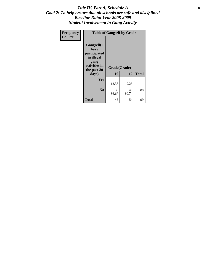#### Title IV, Part A, Schedule A **8** *Goal 2: To help ensure that all schools are safe and disciplined Baseline Data: Year 2008-2009 Student Involvement in Gang Activity*

| Frequency      | <b>Table of Gangself by Grade</b>                                                                 |                    |             |              |
|----------------|---------------------------------------------------------------------------------------------------|--------------------|-------------|--------------|
| <b>Col Pct</b> | Gangself(I<br>have<br>participated<br>in illegal<br>gang<br>activities in<br>the past 30<br>days) | Grade(Grade)<br>10 | 12          | <b>Total</b> |
|                | Yes                                                                                               | 6<br>13.33         | 5<br>9.26   | 11           |
|                | N <sub>0</sub>                                                                                    | 39<br>86.67        | 49<br>90.74 | 88           |
|                | <b>Total</b>                                                                                      | 45                 | 54          | 99           |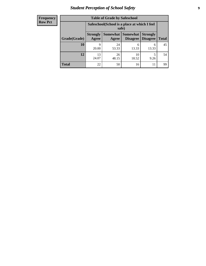### *Student Perception of School Safety* **9**

| <b>Frequency</b><br>Row Pct |
|-----------------------------|
|                             |

| <b>Table of Grade by Safeschool</b> |                                                                                                            |             |             |            |    |  |
|-------------------------------------|------------------------------------------------------------------------------------------------------------|-------------|-------------|------------|----|--|
|                                     | Safeschool (School is a place at which I feel<br>safe)                                                     |             |             |            |    |  |
| Grade(Grade)                        | Somewhat   Somewhat<br><b>Strongly</b><br><b>Strongly</b><br><b>Disagree</b><br>Agree<br>Disagree<br>Agree |             |             |            |    |  |
| 10                                  | Q<br>20.00                                                                                                 | 24<br>53.33 | 6<br>13.33  | 6<br>13.33 | 45 |  |
| 12                                  | 13<br>24.07                                                                                                | 26<br>48.15 | 10<br>18.52 | 5<br>9.26  | 54 |  |
| <b>Total</b>                        | 22                                                                                                         | 50          | 16          | 11         | 99 |  |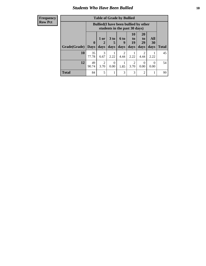### *Students Who Have Been Bullied* **10**

#### **Frequency Row Pct**

| <b>Table of Grade by Bullied</b> |                         |                                                                               |                              |                   |                               |                               |                   |              |
|----------------------------------|-------------------------|-------------------------------------------------------------------------------|------------------------------|-------------------|-------------------------------|-------------------------------|-------------------|--------------|
|                                  |                         | <b>Bullied</b> (I have been bullied by other<br>students in the past 30 days) |                              |                   |                               |                               |                   |              |
| Grade(Grade)                     | $\bf{0}$<br><b>Days</b> | 1 or<br>$\mathbf{2}$<br>days                                                  | 3 <sub>to</sub><br>5<br>days | 6 to<br>9<br>days | <b>10</b><br>to<br>19<br>days | <b>20</b><br>to<br>29<br>days | All<br>30<br>days | <b>Total</b> |
| 10                               | 35<br>77.78             | 3<br>6.67                                                                     | 2.22                         | 2<br>4.44         | 2.22                          | $\overline{2}$<br>4.44        | 2.22              | 45           |
| 12                               | 49<br>90.74             | $\overline{2}$<br>3.70                                                        | 0<br>0.00                    | 1.85              | 2<br>3.70                     | $\theta$<br>0.00              | 0<br>0.00         | 54           |
| <b>Total</b>                     | 84                      | 5                                                                             | 1                            | 3                 | 3                             | $\overline{2}$                |                   | 99           |

 $\blacksquare$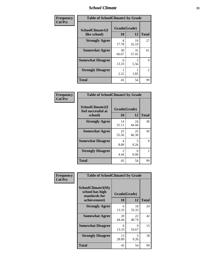#### *School Climate* **11**

| Frequency      | <b>Table of SchoolClimate1 by Grade</b> |                    |             |                |  |  |
|----------------|-----------------------------------------|--------------------|-------------|----------------|--|--|
| <b>Col Pct</b> | SchoolClimate1(I<br>like school)        | Grade(Grade)<br>10 | 12          | <b>Total</b>   |  |  |
|                | <b>Strongly Agree</b>                   | 8<br>17.78         | 19<br>35.19 | 27             |  |  |
|                | <b>Somewhat Agree</b>                   | 30<br>66.67        | 31<br>57.41 | 61             |  |  |
|                | <b>Somewhat Disagree</b>                | 6<br>13.33         | 3<br>5.56   | 9              |  |  |
|                | <b>Strongly Disagree</b>                | 2.22               | 1.85        | $\overline{2}$ |  |  |
|                | <b>Total</b>                            | 45                 | 54          | 99             |  |  |

| Frequency      | <b>Table of SchoolClimate2 by Grade</b>           |                           |             |              |  |  |
|----------------|---------------------------------------------------|---------------------------|-------------|--------------|--|--|
| <b>Col Pct</b> | SchoolClimate2(I<br>feel successful at<br>school) | Grade(Grade)<br><b>10</b> | 12          | <b>Total</b> |  |  |
|                | <b>Strongly Agree</b>                             | 14<br>31.11               | 24<br>44.44 | 38           |  |  |
|                | <b>Somewhat Agree</b>                             | 25<br>55.56               | 25<br>46.30 | 50           |  |  |
|                | <b>Somewhat Disagree</b>                          | 4<br>8.89                 | 5<br>9.26   | 9            |  |  |
|                | <b>Strongly Disagree</b>                          | $\mathfrak{D}$<br>4.44    | 0<br>0.00   | 2            |  |  |
|                | <b>Total</b>                                      | 45                        | 54          | 99           |  |  |

| Frequency | <b>Table of SchoolClimate3 by Grade</b>                      |              |             |              |  |
|-----------|--------------------------------------------------------------|--------------|-------------|--------------|--|
| Col Pct   | <b>SchoolClimate3(My</b><br>school has high<br>standards for | Grade(Grade) |             |              |  |
|           | achievement)                                                 | <b>10</b>    | 12          | <b>Total</b> |  |
|           | <b>Strongly Agree</b>                                        | 6<br>13.33   | 18<br>33.33 | 24           |  |
|           | <b>Somewhat Agree</b>                                        | 20<br>44.44  | 22<br>40.74 | 42           |  |
|           | <b>Somewhat Disagree</b>                                     | 6<br>13.33   | 9<br>16.67  | 15           |  |
|           | <b>Strongly Disagree</b>                                     | 13<br>28.89  | 5<br>9.26   | 18           |  |
|           | Total                                                        | 45           | 54          | 99           |  |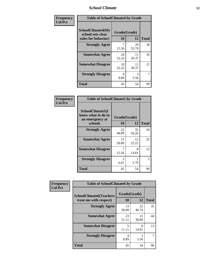#### *School Climate* **12**

| Frequency      | <b>Table of SchoolClimate4 by Grade</b>                       |                    |             |              |
|----------------|---------------------------------------------------------------|--------------------|-------------|--------------|
| <b>Col Pct</b> | SchoolClimate4(My<br>school sets clear<br>rules for behavior) | Grade(Grade)<br>10 | 12          | <b>Total</b> |
|                | <b>Strongly Agree</b>                                         | 7<br>15.56         | 29<br>53.70 | 36           |
|                | <b>Somewhat Agree</b>                                         | 24<br>53.33        | 11<br>20.37 | 35           |
|                | <b>Somewhat Disagree</b>                                      | 10<br>22.22        | 11<br>20.37 | 21           |
|                | <b>Strongly Disagree</b>                                      | 4<br>8.89          | 3<br>5.56   | 7            |
|                | <b>Total</b>                                                  | 45                 | 54          | 99           |

#### **Frequency Col Pct**

| <b>Table of SchoolClimate5 by Grade</b>                              |                    |             |              |  |
|----------------------------------------------------------------------|--------------------|-------------|--------------|--|
| SchoolClimate5(I<br>know what to do in<br>an emergency at<br>school) | Grade(Grade)<br>10 | 12          | <b>Total</b> |  |
| <b>Strongly Agree</b>                                                | 22<br>48.89        | 32<br>59.26 | 54           |  |
| <b>Somewhat Agree</b>                                                | 13<br>28.89        | 12<br>22.22 | 25           |  |
| <b>Somewhat Disagree</b>                                             | 7<br>15.56         | 8<br>14.81  | 15           |  |
| <b>Strongly Disagree</b>                                             | 3<br>6.67          | 2<br>3.70   | 5            |  |
| <b>Total</b>                                                         | 45                 | 54          | 99           |  |

| Frequency      | <b>Table of SchoolClimate6 by Grade</b>                  |                    |             |              |
|----------------|----------------------------------------------------------|--------------------|-------------|--------------|
| <b>Col Pct</b> | <b>SchoolClimate6(Teachers</b><br>treat me with respect) | Grade(Grade)<br>10 | 12          | <b>Total</b> |
|                | <b>Strongly Agree</b>                                    | 13<br>28.89        | 22<br>40.74 | 35           |
|                | <b>Somewhat Agree</b>                                    | 23<br>51.11        | 21<br>38.89 | 44           |
|                | <b>Somewhat Disagree</b>                                 | 5<br>11.11         | 8<br>14.81  | 13           |
|                | <b>Strongly Disagree</b>                                 | 4<br>8.89          | 3<br>5.56   |              |
|                | <b>Total</b>                                             | 45                 | 54          | 99           |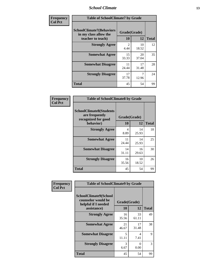#### *School Climate* **13**

| Frequency      | <b>Table of SchoolClimate7 by Grade</b>                                       |                        |                         |              |
|----------------|-------------------------------------------------------------------------------|------------------------|-------------------------|--------------|
| <b>Col Pct</b> | <b>SchoolClimate7(Behaviors</b><br>in my class allow the<br>teacher to teach) | Grade(Grade)<br>10     | 12                      | <b>Total</b> |
|                | <b>Strongly Agree</b>                                                         | $\overline{2}$<br>4.44 | 10<br>18.52             | 12           |
|                | <b>Somewhat Agree</b>                                                         | 15<br>33.33            | 20<br>37.04             | 35           |
|                | <b>Somewhat Disagree</b>                                                      | 11<br>24.44            | 17<br>31.48             | 28           |
|                | <b>Strongly Disagree</b>                                                      | 17<br>37.78            | $\overline{7}$<br>12.96 | 24           |
|                | <b>Total</b>                                                                  | 45                     | 54                      | 99           |

| Frequency      | <b>Table of SchoolClimate8 by Grade</b>                                              |                    |             |              |
|----------------|--------------------------------------------------------------------------------------|--------------------|-------------|--------------|
| <b>Col Pct</b> | <b>SchoolClimate8(Students</b><br>are frequently<br>recognized for good<br>behavior) | Grade(Grade)<br>10 | 12          | <b>Total</b> |
|                | <b>Strongly Agree</b>                                                                | 4<br>8.89          | 14<br>25.93 | 18           |
|                | <b>Somewhat Agree</b>                                                                | 11<br>24.44        | 14<br>25.93 | 25           |
|                | <b>Somewhat Disagree</b>                                                             | 14<br>31.11        | 16<br>29.63 | 30           |
|                | <b>Strongly Disagree</b>                                                             | 16<br>35.56        | 10<br>18.52 | 26           |
|                | <b>Total</b>                                                                         | 45                 | 54          | 99           |

| Frequency      | <b>Table of SchoolClimate9 by Grade</b>                                           |                    |             |              |
|----------------|-----------------------------------------------------------------------------------|--------------------|-------------|--------------|
| <b>Col Pct</b> | SchoolClimate9(School<br>counselor would be<br>helpful if I needed<br>assistance) | Grade(Grade)<br>10 | 12          | <b>Total</b> |
|                | <b>Strongly Agree</b>                                                             | 16<br>35.56        | 33<br>61.11 | 49           |
|                | <b>Somewhat Agree</b>                                                             | 21<br>46.67        | 17<br>31.48 | 38           |
|                | <b>Somewhat Disagree</b>                                                          | 5<br>11.11         | 4<br>7.41   | 9            |
|                | <b>Strongly Disagree</b>                                                          | 3<br>6.67          | 0<br>0.00   | 3            |
|                | <b>Total</b>                                                                      | 45                 | 54          | 99           |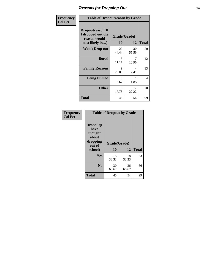### *Reasons for Dropping Out* **14**

| Frequency      | <b>Table of Dropoutreason by Grade</b>                                   |                    |             |              |
|----------------|--------------------------------------------------------------------------|--------------------|-------------|--------------|
| <b>Col Pct</b> | Dropoutreason(If<br>I dropped out the<br>reason would<br>most likely be) | Grade(Grade)<br>10 | 12          | <b>Total</b> |
|                | Won't Drop out                                                           | 20<br>44.44        | 30<br>55.56 | 50           |
|                | <b>Bored</b>                                                             | 5<br>11.11         | 7<br>12.96  | 12           |
|                | <b>Family Reasons</b>                                                    | 9<br>20.00         | 4<br>7.41   | 13           |
|                | <b>Being Bullied</b>                                                     | 3<br>6.67          | 1.85        | 4            |
|                | <b>Other</b>                                                             | 8<br>17.78         | 12<br>22.22 | 20           |
|                | <b>Total</b>                                                             | 45                 | 54          | 99           |

| Frequency      |                                                             |                    | <b>Table of Dropout by Grade</b> |              |  |  |
|----------------|-------------------------------------------------------------|--------------------|----------------------------------|--------------|--|--|
| <b>Col Pct</b> | Dropout(I<br>have<br>thought<br>about<br>dropping<br>out of | Grade(Grade)<br>10 | 12                               | <b>Total</b> |  |  |
|                | school)                                                     |                    |                                  |              |  |  |
|                | Yes                                                         | 15<br>33.33        | 18<br>33.33                      | 33           |  |  |
|                | N <sub>0</sub>                                              | 30<br>66.67        | 36<br>66.67                      | 66           |  |  |
|                | <b>Total</b>                                                | 45                 | 54                               | 99           |  |  |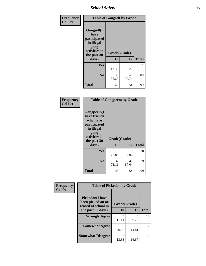*School Safety* **15**

| Frequency      | <b>Table of Gangself by Grade</b>                                                                 |                    |             |              |
|----------------|---------------------------------------------------------------------------------------------------|--------------------|-------------|--------------|
| <b>Col Pct</b> | Gangself(I<br>have<br>participated<br>in illegal<br>gang<br>activities in<br>the past 30<br>days) | Grade(Grade)<br>10 | 12          | <b>Total</b> |
|                | Yes                                                                                               | 6<br>13.33         | 5<br>9.26   | 11           |
|                | N <sub>0</sub>                                                                                    | 39<br>86.67        | 49<br>90.74 | 88           |
|                | <b>Total</b>                                                                                      | 45                 | 54          | 99           |

| Frequency<br><b>Col Pct</b> | <b>Table of Gangpeers by Grade</b>                                                                                             |                    |             |              |  |
|-----------------------------|--------------------------------------------------------------------------------------------------------------------------------|--------------------|-------------|--------------|--|
|                             | <b>Gangpeers</b> (I<br>have friends<br>who have<br>participated<br>in illegal<br>gang<br>activities in<br>the past 30<br>days) | Grade(Grade)<br>10 | 12          | <b>Total</b> |  |
|                             | <b>Yes</b>                                                                                                                     | 13<br>28.89        | 7<br>12.96  | 20           |  |
|                             | N <sub>0</sub>                                                                                                                 | 32<br>71.11        | 47<br>87.04 | 79           |  |
|                             | <b>Total</b>                                                                                                                   | 45                 | 54          | 99           |  |

| Frequency      | <b>Table of Pickedon by Grade</b>                                  |              |            |              |
|----------------|--------------------------------------------------------------------|--------------|------------|--------------|
| <b>Col Pct</b> | <b>Pickedon(I have</b><br>been picked on or<br>teased at school in | Grade(Grade) |            |              |
|                | the past 30 days)                                                  | 10           | 12         | <b>Total</b> |
|                | <b>Strongly Agree</b>                                              | 5<br>11.11   | 5<br>9.26  | 10           |
|                | <b>Somewhat Agree</b>                                              | Q<br>20.00   | 8<br>14.81 | 17           |
|                | <b>Somewhat Disagree</b>                                           | 6<br>13.33   | Q<br>16.67 | 15           |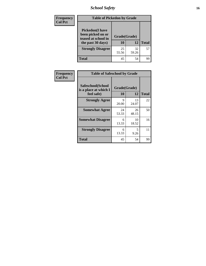*School Safety* **16**

| <b>Frequency</b> |                                                                                          | <b>Table of Pickedon by Grade</b> |             |              |  |  |  |  |  |  |
|------------------|------------------------------------------------------------------------------------------|-----------------------------------|-------------|--------------|--|--|--|--|--|--|
| <b>Col Pct</b>   | <b>Pickedon</b> (I have<br>been picked on or<br>teased at school in<br>the past 30 days) | Grade(Grade)<br>10                | 12          | <b>Total</b> |  |  |  |  |  |  |
|                  | <b>Strongly Disagree</b>                                                                 | 25<br>55.56                       | 32<br>59.26 | 57           |  |  |  |  |  |  |
|                  | <b>Total</b>                                                                             | 45                                | 54          | 99           |  |  |  |  |  |  |

| Frequency      |                                                          | <b>Table of Safeschool by Grade</b> |             |              |  |  |  |  |  |  |
|----------------|----------------------------------------------------------|-------------------------------------|-------------|--------------|--|--|--|--|--|--|
| <b>Col Pct</b> | Safeschool(School<br>is a place at which I<br>feel safe) | Grade(Grade)<br><b>10</b>           | 12          | <b>Total</b> |  |  |  |  |  |  |
|                | <b>Strongly Agree</b>                                    | 9<br>20.00                          | 13<br>24.07 | 22           |  |  |  |  |  |  |
|                | <b>Somewhat Agree</b>                                    | 24<br>53.33                         | 26<br>48.15 | 50           |  |  |  |  |  |  |
|                | <b>Somewhat Disagree</b>                                 | 6<br>13.33                          | 10<br>18.52 | 16           |  |  |  |  |  |  |
|                | <b>Strongly Disagree</b>                                 | 6<br>13.33                          | 5<br>9.26   | 11           |  |  |  |  |  |  |
|                | <b>Total</b>                                             | 45                                  | 54          | 99           |  |  |  |  |  |  |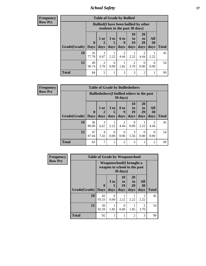*School Safety* **17**

| Frequency      |
|----------------|
| <b>Row Pct</b> |

| <b>Table of Grade by Bullied</b> |                            |                                                                               |                              |                        |                        |                               |                   |              |  |  |
|----------------------------------|----------------------------|-------------------------------------------------------------------------------|------------------------------|------------------------|------------------------|-------------------------------|-------------------|--------------|--|--|
|                                  |                            | <b>Bullied</b> (I have been bullied by other<br>students in the past 30 days) |                              |                        |                        |                               |                   |              |  |  |
| Grade(Grade)                     | $\mathbf 0$<br><b>Days</b> | $1$ or<br>days                                                                | 3 <sub>to</sub><br>5<br>days | 6 to<br>q<br>days      | 10<br>to<br>19<br>days | <b>20</b><br>to<br>29<br>days | All<br>30<br>days | <b>Total</b> |  |  |
| 10                               | 35<br>77.78                | 3<br>6.67                                                                     | 2.22                         | $\mathfrak{D}$<br>4.44 | 2.22                   | 2<br>4.44                     | 2.22              | 45           |  |  |
| 12                               | 49<br>90.74                | 2<br>3.70                                                                     | $\theta$<br>0.00             | 1.85                   | 2<br>3.70              | $\Omega$<br>0.00              | $\Omega$<br>0.00  | 54           |  |  |
| <b>Total</b>                     | 84                         | 5                                                                             | 1                            | 3                      | 3                      | $\overline{2}$                |                   | 99           |  |  |

| <b>Frequency</b> |
|------------------|
| <b>Row Pct</b>   |

| <b>Table of Grade by Bulliedothers</b> |                             |                                                                         |                              |                   |                               |                               |                   |              |  |  |
|----------------------------------------|-----------------------------|-------------------------------------------------------------------------|------------------------------|-------------------|-------------------------------|-------------------------------|-------------------|--------------|--|--|
|                                        |                             | <b>Bulliedothers</b> (I bullied others in the past<br>$30 \text{ days}$ |                              |                   |                               |                               |                   |              |  |  |
| Grade(Grade)                           | $\mathbf{0}$<br><b>Days</b> | 1 or<br>days                                                            | 3 <sub>to</sub><br>5<br>days | 6 to<br>q<br>days | <b>10</b><br>to<br>19<br>days | <b>20</b><br>to<br>29<br>days | All<br>30<br>days | <b>Total</b> |  |  |
| 10                                     | 36<br>80.00                 | 3<br>6.67                                                               | 2.22                         | 2<br>4.44         | 0<br>0.00                     | 2.22                          | 4.44              | 45           |  |  |
| 12                                     | 47<br>87.04                 | 4<br>7.41                                                               | $\Omega$<br>0.00             | 0<br>0.00         | 3<br>5.56                     | $\Omega$<br>0.00              | 0<br>0.00         | 54           |  |  |
| <b>Total</b>                           | 83                          | 7                                                                       |                              | $\mathfrak{D}$    | 3                             |                               | $\mathfrak{D}$    | 99           |  |  |

| Frequency      | <b>Table of Grade by Weaponschool</b> |                             |                                                                      |                        |                        |                          |              |  |  |  |
|----------------|---------------------------------------|-----------------------------|----------------------------------------------------------------------|------------------------|------------------------|--------------------------|--------------|--|--|--|
| <b>Row Pct</b> |                                       |                             | Weaponschool(I brought a<br>weapon to school in the past<br>30 days) |                        |                        |                          |              |  |  |  |
|                | Grade(Grade)                          | $\mathbf{0}$<br><b>Days</b> | 3 <sub>to</sub><br>5<br>days                                         | 10<br>to<br>19<br>days | 20<br>to<br>29<br>days | All<br><b>30</b><br>days | <b>Total</b> |  |  |  |
|                | 10                                    | 42<br>93.33                 | 0<br>0.00                                                            | 2.22                   | 2.22                   | 2.22                     | 45           |  |  |  |
|                | 12                                    | 50<br>92.59                 | 1.85                                                                 | $\Omega$<br>0.00       | 1.85                   | 2<br>3.70                | 54           |  |  |  |
|                | <b>Total</b>                          | 92                          |                                                                      | 1                      | $\mathfrak{D}$         | 3                        | 99           |  |  |  |

ł,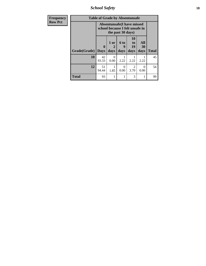*School Safety* **18**

| <b>Frequency</b> | <b>Table of Grade by Absentunsafe</b> |                                                                      |                   |                          |                        |                   |              |  |  |  |
|------------------|---------------------------------------|----------------------------------------------------------------------|-------------------|--------------------------|------------------------|-------------------|--------------|--|--|--|
| <b>Row Pct</b>   |                                       | <b>Absentunsafe(I have missed</b><br>school because I felt unsafe in |                   |                          |                        |                   |              |  |  |  |
|                  | Grade(Grade)                          | $\mathbf 0$<br><b>Days</b>                                           | 1 or<br>2<br>days | <b>6 to</b><br>9<br>days | 10<br>to<br>19<br>days | All<br>30<br>days | <b>Total</b> |  |  |  |
|                  | 10                                    | 42<br>93.33                                                          | 0<br>0.00         | 2.22                     | 2.22                   | 2.22              | 45           |  |  |  |
|                  | 12                                    | 51<br>94.44                                                          | 1.85              | 0<br>0.00                | 2<br>3.70              | 0.00              | 54           |  |  |  |
|                  | <b>Total</b>                          | 93                                                                   |                   |                          | 3                      |                   | 99           |  |  |  |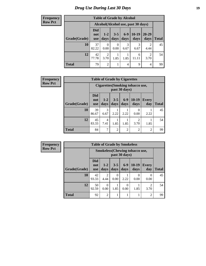### *Drug Use During Last 30 Days* **19**

**Frequency Row Pct**

| <b>Table of Grade by Alcohol</b> |                                 |                                    |                 |               |                 |                   |              |  |  |  |  |
|----------------------------------|---------------------------------|------------------------------------|-----------------|---------------|-----------------|-------------------|--------------|--|--|--|--|
|                                  |                                 | Alcohol(Alcohol use, past 30 days) |                 |               |                 |                   |              |  |  |  |  |
| Grade(Grade)                     | <b>Did</b><br>not<br><b>use</b> | $1 - 2$<br>days                    | $3 - 5$<br>days | $6-9$<br>days | $10-19$<br>days | $20 - 29$<br>days | <b>Total</b> |  |  |  |  |
| 10                               | 37<br>82.22                     | 0<br>0.00                          | 0<br>0.00       | 3<br>6.67     | 3<br>6.67       | 2<br>4.44         | 45           |  |  |  |  |
| 12                               | 42<br>77.78                     | 2<br>3.70                          | 1.85            | 1.85          | 6<br>11.11      | 2<br>3.70         | 54           |  |  |  |  |
| <b>Total</b>                     | 79                              | 2                                  |                 | 4             | 9               | 4                 | 99           |  |  |  |  |

| <b>Frequency</b> | <b>Table of Grade by Cigarettes</b> |                                 |               |                 |                |                                        |                     |              |  |  |  |
|------------------|-------------------------------------|---------------------------------|---------------|-----------------|----------------|----------------------------------------|---------------------|--------------|--|--|--|
| <b>Row Pct</b>   |                                     |                                 |               |                 | past 30 days)  | <b>Cigarettes(Smoking tobacco use,</b> |                     |              |  |  |  |
|                  | Grade(Grade)                        | <b>Did</b><br>not<br><b>use</b> | $1-2$<br>days | $3 - 5$<br>days | $6-9$<br>days  | $10-19$<br>days                        | <b>Every</b><br>day | <b>Total</b> |  |  |  |
|                  | 10                                  | 39<br>86.67                     | 3<br>6.67     | 2.22            | 2.22           | $\Omega$<br>0.00                       | 2.22                | 45           |  |  |  |
|                  | 12                                  | 45<br>83.33                     | 4<br>7.41     | 1.85            | 1.85           | $\overline{2}$<br>3.70                 | 1.85                | 54           |  |  |  |
|                  | <b>Total</b>                        | 84                              | 7             | $\overline{2}$  | $\overline{2}$ | $\mathfrak{D}$                         | $\overline{2}$      | 99           |  |  |  |

| Frequency      | <b>Table of Grade by Smokeless</b> |                                 |                                                        |                 |               |                          |                     |       |  |  |
|----------------|------------------------------------|---------------------------------|--------------------------------------------------------|-----------------|---------------|--------------------------|---------------------|-------|--|--|
| <b>Row Pct</b> |                                    |                                 | <b>Smokeless</b> (Chewing tobaccouse,<br>past 30 days) |                 |               |                          |                     |       |  |  |
|                | Grade(Grade)                       | <b>Did</b><br>not<br><b>use</b> | $1-2$<br>days                                          | $3 - 5$<br>days | $6-9$<br>days | $10-19$<br>days          | <b>Every</b><br>day | Total |  |  |
|                | 10                                 | 42<br>93.33                     | 2<br>4.44                                              | 0<br>0.00       | 2.22          | $\left( \right)$<br>0.00 | 0<br>0.00           | 45    |  |  |
|                | 12                                 | 50<br>92.59                     | $\Omega$<br>0.00                                       | 1.85            | 0.00          | 1.85                     | 2<br>3.70           | 54    |  |  |
|                | <b>Total</b>                       | 92                              | $\overline{2}$                                         |                 |               |                          | 2                   | 99    |  |  |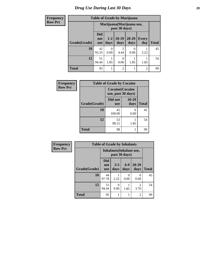#### **Frequency Row Pct**

٦ п

### **Table of Grade by Marijuana**

| ncy | Table of Grade by Marijuana |                                 |                                            |                  |               |                     |              |  |  |  |  |  |
|-----|-----------------------------|---------------------------------|--------------------------------------------|------------------|---------------|---------------------|--------------|--|--|--|--|--|
| ct  |                             |                                 | Marijuana (Marijuana use,<br>past 30 days) |                  |               |                     |              |  |  |  |  |  |
|     | Grade(Grade)                | <b>Did</b><br>not<br><b>use</b> | $1-2$<br>days                              | $10-19$<br>days  | 20-29<br>days | <b>Every</b><br>day | <b>Total</b> |  |  |  |  |  |
|     | 10                          | 42<br>93.33                     | 0<br>0.00                                  | 2<br>4.44        | 0.00          | 2.22                | 45           |  |  |  |  |  |
|     | 12                          | 51<br>94.44                     | 1.85                                       | $\Omega$<br>0.00 | 1.85          | 1.85                | 54           |  |  |  |  |  |
|     | <b>Total</b>                | 93                              | 1                                          | 2                |               | $\overline{2}$      | 99           |  |  |  |  |  |

| <b>Frequency</b> | <b>Table of Grade by Cocaine</b> |                                               |               |              |
|------------------|----------------------------------|-----------------------------------------------|---------------|--------------|
| <b>Row Pct</b>   |                                  | <b>Cocaine</b> (Cocaine<br>use, past 30 days) |               |              |
|                  | Grade(Grade)                     | Did not<br><b>use</b>                         | 10-19<br>days | <b>Total</b> |
|                  | 10                               | 45<br>100.00                                  | 0.00          | 45           |
|                  | 12                               | 53<br>98.15                                   | 1.85          | 54           |
|                  | <b>Total</b>                     | 98                                            |               | 99           |

| Frequency      | <b>Table of Grade by Inhalants</b> |                          |                          |               |                |              |
|----------------|------------------------------------|--------------------------|--------------------------|---------------|----------------|--------------|
| <b>Row Pct</b> |                                    |                          | Inhalants (Inhalant use, | past 30 days) |                |              |
|                | Grade(Grade)                       | Did<br>not<br><b>use</b> | $3 - 5$<br>days          | $6-9$<br>days | 20-29<br>days  | <b>Total</b> |
|                | 10                                 | 44<br>97.78              | 2.22                     | 0<br>0.00     | 0<br>0.00      | 45           |
|                | 12                                 | 51<br>94.44              | 0<br>0.00                | 1.85          | 2<br>3.70      | 54           |
|                | <b>Total</b>                       | 95                       | 1                        |               | $\overline{2}$ | 99           |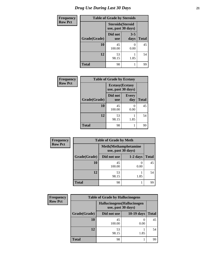| <b>Frequency</b> | <b>Table of Grade by Steroids</b> |                                                |                 |              |
|------------------|-----------------------------------|------------------------------------------------|-----------------|--------------|
| <b>Row Pct</b>   |                                   | <b>Steroids</b> (Steroid<br>use, past 30 days) |                 |              |
|                  | Grade(Grade)                      | Did not<br><b>use</b>                          | $3 - 5$<br>days | <b>Total</b> |
|                  | 10                                | 45<br>100.00                                   | 0.00            | 45           |
|                  | 12                                | 53<br>98.15                                    | 1.85            | 54           |
|                  | <b>Total</b>                      | 98                                             |                 | 99           |

| Frequency      | <b>Table of Grade by Ecstasy</b> |                                               |                     |              |
|----------------|----------------------------------|-----------------------------------------------|---------------------|--------------|
| <b>Row Pct</b> |                                  | <b>Ecstasy</b> (Ecstasy<br>use, past 30 days) |                     |              |
|                | Grade(Grade)                     | Did not<br><b>use</b>                         | <b>Every</b><br>day | <b>Total</b> |
|                | 10                               | 45<br>100.00                                  | $\Omega$<br>0.00    | 45           |
|                | 12                               | 53<br>98.15                                   | 1.85                | 54           |
|                | <b>Total</b>                     | 98                                            |                     | 99           |

| Frequency      | <b>Table of Grade by Meth</b> |                                                    |                  |              |  |
|----------------|-------------------------------|----------------------------------------------------|------------------|--------------|--|
| <b>Row Pct</b> |                               | <b>Meth</b> (Methamphetamine<br>use, past 30 days) |                  |              |  |
|                | Grade(Grade)                  | Did not use                                        | $1-2$ days       | <b>Total</b> |  |
|                | 10                            | 45<br>100.00                                       | $\theta$<br>0.00 | 45           |  |
|                | 12                            | 53<br>98.15                                        | 1.85             | 54           |  |
|                | <b>Total</b>                  | 98                                                 |                  | 99           |  |

| Frequency      | <b>Table of Grade by Hallucinogens</b> |                                                   |                   |              |  |
|----------------|----------------------------------------|---------------------------------------------------|-------------------|--------------|--|
| <b>Row Pct</b> |                                        | Hallucinogens (Hallucinogen<br>use, past 30 days) |                   |              |  |
|                | Grade(Grade)                           | Did not use                                       | <b>10-19 days</b> | <b>Total</b> |  |
|                | 10                                     | 45<br>100.00                                      | 0.00              | 45           |  |
|                | 12                                     | 53<br>98.15                                       | 1.85              | 54           |  |
|                | <b>Total</b>                           | 98                                                |                   | 99           |  |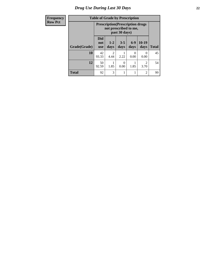### *Drug Use During Last 30 Days* **22**

| Frequency      |  |
|----------------|--|
| <b>Row Pct</b> |  |

## **Table of Grade by Prescription**

|              |                                 | <b>Prescription</b> (Prescription drugs<br>not prescribed to me,<br>past 30 days) |                  |                 |                        |              |
|--------------|---------------------------------|-----------------------------------------------------------------------------------|------------------|-----------------|------------------------|--------------|
| Grade(Grade) | <b>Did</b><br>not<br><b>use</b> | $1 - 2$<br>days                                                                   | $3 - 5$<br>days  | $6 - 9$<br>days | $10-19$<br>days        | <b>Total</b> |
| 10           | 42<br>93.33                     | 2<br>4.44                                                                         | 2.22             | 0<br>0.00       | 0<br>0.00              | 45           |
| 12           | 50<br>92.59                     | 1.85                                                                              | $\theta$<br>0.00 | 1.85            | $\mathfrak{D}$<br>3.70 | 54           |
| <b>Total</b> | 92                              | 3                                                                                 |                  |                 | $\overline{2}$         | 99           |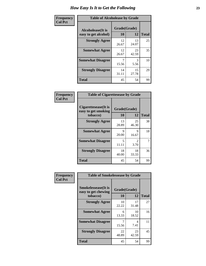| Frequency      | <b>Table of Alcoholease by Grade</b>              |                    |             |              |  |
|----------------|---------------------------------------------------|--------------------|-------------|--------------|--|
| <b>Col Pct</b> | <b>Alcoholease</b> (It is<br>easy to get alcohol) | Grade(Grade)<br>10 | 12          | <b>Total</b> |  |
|                | <b>Strongly Agree</b>                             | 12<br>26.67        | 13<br>24.07 | 25           |  |
|                | <b>Somewhat Agree</b>                             | 12<br>26.67        | 23<br>42.59 | 35           |  |
|                | <b>Somewhat Disagree</b>                          | 15.56              | 3<br>5.56   | 10           |  |
|                | <b>Strongly Disagree</b>                          | 14<br>31.11        | 15<br>27.78 | 29           |  |
|                | <b>Total</b>                                      | 45                 | 54          | 99           |  |

| Frequency      | <b>Table of Cigarettesease by Grade</b>                 |                           |                        |              |  |
|----------------|---------------------------------------------------------|---------------------------|------------------------|--------------|--|
| <b>Col Pct</b> | Cigarettesease(It is<br>easy to get smoking<br>tobacco) | Grade(Grade)<br><b>10</b> | 12                     | <b>Total</b> |  |
|                | <b>Strongly Agree</b>                                   | 13<br>28.89               | 25<br>46.30            | 38           |  |
|                | <b>Somewhat Agree</b>                                   | 9<br>20.00                | 9<br>16.67             | 18           |  |
|                | <b>Somewhat Disagree</b>                                | 5<br>11.11                | $\mathfrak{D}$<br>3.70 | 7            |  |
|                | <b>Strongly Disagree</b>                                | 18<br>40.00               | 18<br>33.33            | 36           |  |
|                | <b>Total</b>                                            | 45                        | 54                     | 99           |  |

| Frequency      | <b>Table of Smokelessease by Grade</b>             |              |             |              |  |  |
|----------------|----------------------------------------------------|--------------|-------------|--------------|--|--|
| <b>Col Pct</b> | <b>Smokelessease</b> (It is<br>easy to get chewing | Grade(Grade) |             |              |  |  |
|                | tobacco)                                           | 10           | 12          | <b>Total</b> |  |  |
|                | <b>Strongly Agree</b>                              | 10<br>22.22  | 17<br>31.48 | 27           |  |  |
|                | <b>Somewhat Agree</b>                              | 6<br>13.33   | 10<br>18.52 | 16           |  |  |
|                | <b>Somewhat Disagree</b>                           | 15.56        | 4<br>7.41   | 11           |  |  |
|                | <b>Strongly Disagree</b>                           | 22<br>48.89  | 23<br>42.59 | 45           |  |  |
|                | <b>Total</b>                                       | 45           | 54          | 99           |  |  |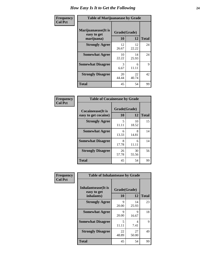| Frequency      | <b>Table of Marijuanaease by Grade</b>           |                           |             |              |  |
|----------------|--------------------------------------------------|---------------------------|-------------|--------------|--|
| <b>Col Pct</b> | Marijuanaease(It is<br>easy to get<br>marijuana) | Grade(Grade)<br><b>10</b> | 12          | <b>Total</b> |  |
|                | <b>Strongly Agree</b>                            | 12<br>26.67               | 12<br>22.22 | 24           |  |
|                | <b>Somewhat Agree</b>                            | 10<br>22.22               | 14<br>25.93 | 24           |  |
|                | <b>Somewhat Disagree</b>                         | 3<br>6.67                 | 6<br>11.11  | 9            |  |
|                | <b>Strongly Disagree</b>                         | 20<br>44.44               | 22<br>40.74 | 42           |  |
|                | <b>Total</b>                                     | 45                        | 54          | 99           |  |

#### **Frequency Col Pct**

| <b>Table of Cocaineease by Grade</b> |              |             |              |  |  |  |
|--------------------------------------|--------------|-------------|--------------|--|--|--|
| <b>Cocaineease</b> (It is            | Grade(Grade) |             |              |  |  |  |
| easy to get cocaine)                 | 10           | 12          | <b>Total</b> |  |  |  |
| <b>Strongly Agree</b>                | 5<br>11.11   | 10<br>18.52 | 15           |  |  |  |
| <b>Somewhat Agree</b>                | 6<br>13.33   | 8<br>14.81  | 14           |  |  |  |
| <b>Somewhat Disagree</b>             | 8<br>17.78   | 6<br>11.11  | 14           |  |  |  |
| <b>Strongly Disagree</b>             | 26<br>57.78  | 30<br>55.56 | 56           |  |  |  |
| <b>Total</b>                         | 45           | 54          | 99           |  |  |  |

| Frequency      | <b>Table of Inhalantsease by Grade</b>                   |                    |             |              |  |  |  |  |  |
|----------------|----------------------------------------------------------|--------------------|-------------|--------------|--|--|--|--|--|
| <b>Col Pct</b> | <b>Inhalantsease</b> (It is<br>easy to get<br>inhalants) | Grade(Grade)<br>10 | 12          | <b>Total</b> |  |  |  |  |  |
|                | <b>Strongly Agree</b>                                    | 9<br>20.00         | 14<br>25.93 | 23           |  |  |  |  |  |
|                | <b>Somewhat Agree</b>                                    | Q<br>20.00         | 9<br>16.67  | 18           |  |  |  |  |  |
|                | <b>Somewhat Disagree</b>                                 | 5<br>11.11         | 4<br>7.41   | 9            |  |  |  |  |  |
|                | <b>Strongly Disagree</b>                                 | 22<br>48.89        | 27<br>50.00 | 49           |  |  |  |  |  |
|                | Total                                                    | 45                 | 54          | 99           |  |  |  |  |  |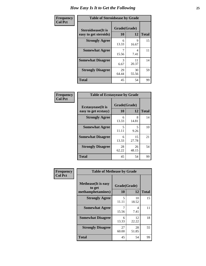| Frequency      | <b>Table of Steroidsease by Grade</b>               |                    |             |              |  |  |  |  |
|----------------|-----------------------------------------------------|--------------------|-------------|--------------|--|--|--|--|
| <b>Col Pct</b> | <b>Steroidsease</b> (It is<br>easy to get steroids) | Grade(Grade)<br>10 | 12          | <b>Total</b> |  |  |  |  |
|                | <b>Strongly Agree</b>                               | 6<br>13.33         | 9<br>16.67  | 15           |  |  |  |  |
|                | <b>Somewhat Agree</b>                               | 7<br>15.56         | 4<br>7.41   | 11           |  |  |  |  |
|                | <b>Somewhat Disagree</b>                            | 3<br>6.67          | 11<br>20.37 | 14           |  |  |  |  |
|                | <b>Strongly Disagree</b>                            | 29<br>64.44        | 30<br>55.56 | 59           |  |  |  |  |
|                | <b>Total</b>                                        | 45                 | 54          | 99           |  |  |  |  |

| Frequency      | <b>Table of Ecstasyease by Grade</b>              |                                   |                    |    |  |  |  |  |
|----------------|---------------------------------------------------|-----------------------------------|--------------------|----|--|--|--|--|
| <b>Col Pct</b> | <b>Ecstasyease</b> (It is<br>easy to get ecstasy) | <b>10</b>                         | Grade(Grade)<br>12 |    |  |  |  |  |
|                | <b>Strongly Agree</b>                             | 6<br>13.33                        | 8<br>14.81         | 14 |  |  |  |  |
|                | <b>Somewhat Agree</b>                             | $\overline{\phantom{0}}$<br>11.11 | 5<br>9.26          | 10 |  |  |  |  |
|                | <b>Somewhat Disagree</b>                          | 6<br>13.33                        | 15<br>27.78        | 21 |  |  |  |  |
|                | <b>Strongly Disagree</b>                          | 28<br>62.22                       | 26<br>48.15        | 54 |  |  |  |  |
|                | <b>Total</b>                                      | 45                                | 54                 | 99 |  |  |  |  |

| Frequency      | <b>Table of Methease by Grade</b>                          |                    |             |              |  |  |  |  |  |
|----------------|------------------------------------------------------------|--------------------|-------------|--------------|--|--|--|--|--|
| <b>Col Pct</b> | <b>Methease</b> (It is easy<br>to get<br>methamphetamines) | Grade(Grade)<br>10 | 12          | <b>Total</b> |  |  |  |  |  |
|                | <b>Strongly Agree</b>                                      | 5<br>11.11         | 10<br>18.52 | 15           |  |  |  |  |  |
|                | <b>Somewhat Agree</b>                                      | 15.56              | 4<br>7.41   | 11           |  |  |  |  |  |
|                | <b>Somewhat Disagree</b>                                   | 6<br>13.33         | 12<br>22.22 | 18           |  |  |  |  |  |
|                | <b>Strongly Disagree</b>                                   | 27<br>60.00        | 28<br>51.85 | 55           |  |  |  |  |  |
|                | <b>Total</b>                                               | 45                 | 54          | 99           |  |  |  |  |  |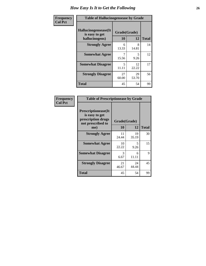| <b>Frequency</b> | <b>Table of Hallucinogensease by Grade</b>               |                                   |             |              |  |  |  |
|------------------|----------------------------------------------------------|-----------------------------------|-------------|--------------|--|--|--|
| <b>Col Pct</b>   | Hallucinogensease(It<br>is easy to get<br>hallucinogens) | Grade(Grade)<br>10                | 12          | <b>Total</b> |  |  |  |
|                  | <b>Strongly Agree</b>                                    | 6<br>13.33                        | 8<br>14.81  | 14           |  |  |  |
|                  | <b>Somewhat Agree</b>                                    | 15.56                             | 5<br>9.26   | 12           |  |  |  |
|                  | <b>Somewhat Disagree</b>                                 | $\overline{\mathcal{L}}$<br>11.11 | 12<br>22.22 | 17           |  |  |  |
|                  | <b>Strongly Disagree</b>                                 | 27<br>60.00                       | 29<br>53.70 | 56           |  |  |  |
|                  | <b>Total</b>                                             | 45                                | 54          | 99           |  |  |  |

| Frequency<br>  Col Pct |
|------------------------|

| <b>Table of Prescriptionease by Grade</b>                                                |              |             |              |  |  |  |
|------------------------------------------------------------------------------------------|--------------|-------------|--------------|--|--|--|
| <b>Prescriptionease</b> (It<br>is easy to get<br>prescription drugs<br>not prescribed to | Grade(Grade) |             |              |  |  |  |
| me)                                                                                      | 10           | 12          | <b>Total</b> |  |  |  |
| <b>Strongly Agree</b>                                                                    | 11<br>24.44  | 19<br>35.19 | 30           |  |  |  |
| <b>Somewhat Agree</b>                                                                    | 10<br>22.22  | 5<br>9.26   | 15           |  |  |  |
| <b>Somewhat Disagree</b>                                                                 | 3<br>6.67    | 6<br>11.11  | 9            |  |  |  |
| <b>Strongly Disagree</b>                                                                 | 21<br>46.67  | 24<br>44.44 | 45           |  |  |  |
| <b>Total</b>                                                                             | 45           | 54          | 99           |  |  |  |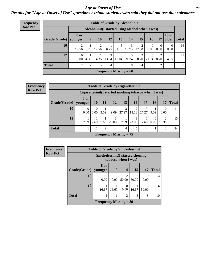#### *Age at Onset of Use* **27** *Results for "Age at Onset of Use" questions exclude students who said they did not use that substance*

| <b>Frequency</b> | <b>Table of Grade by Alcoholinit</b> |                  |                                                  |                         |                          |            |            |            |       |                  |              |               |
|------------------|--------------------------------------|------------------|--------------------------------------------------|-------------------------|--------------------------|------------|------------|------------|-------|------------------|--------------|---------------|
| <b>Row Pct</b>   |                                      |                  | Alcoholinit (I started using alcohol when I was) |                         |                          |            |            |            |       |                  |              |               |
|                  | Grade(Grade)   younger               | 8 or             | 9                                                | 10                      | 12                       | 13         | 14         | 15         | 16    | 17               | <b>18 or</b> | older   Total |
|                  | 10                                   | 12.50            | 6.25                                             | $\overline{2}$<br>12.50 | 6.25                     | 31.25      | 3<br>18.75 | 2<br>12.50 | 0.00  | $\Omega$<br>0.00 | 0<br>0.00    | 16            |
|                  | 12                                   | $\theta$<br>0.00 | 4.35                                             | 4.35                    | $\mathcal{E}$<br>13.04   | 3<br>13.04 | 5<br>21.74 | 2<br>8.70  | 21.74 | ∍<br>8.70        | 4.35         | 23            |
|                  | <b>Total</b>                         | ∍                | 2                                                | 3                       | $\overline{4}$           | 8          | 8          | 4          |       | 2                |              | 39            |
|                  |                                      |                  |                                                  |                         | Frequency Missing $= 60$ |            |            |            |       |                  |              |               |

| Frequency      |                                | <b>Table of Grade by Cigarettesinit</b> |                                                      |                |                               |            |            |            |          |                  |              |  |
|----------------|--------------------------------|-----------------------------------------|------------------------------------------------------|----------------|-------------------------------|------------|------------|------------|----------|------------------|--------------|--|
| <b>Row Pct</b> |                                |                                         | Cigarettesinit(I started smoking tobacco when I was) |                |                               |            |            |            |          |                  |              |  |
|                | 8 or<br>Grade(Grade)   younger |                                         |                                                      |                |                               |            |            |            |          |                  |              |  |
|                |                                |                                         | <b>10</b>                                            | 11             | 12                            | 13         | 14         | 15         | 16       | 17               | <b>Total</b> |  |
|                | 10                             | $0.00\vert$                             | $\Omega$<br>$0.00\degree$                            | 9.09           | 9.09                          | 3<br>27.27 | ◠<br>18.18 | 3<br>27.27 | 9.09     | $\Omega$<br>0.00 | 11           |  |
|                | 12                             | 7.69                                    | 7.69                                                 | 7.69           | 23.08                         | 7.69       | 23.08      | 7.69       | $0.00\,$ | 15.38            | 13           |  |
|                | <b>Total</b>                   |                                         |                                                      | $\overline{2}$ | 4                             | 4          |            | 4          |          | 2                | 24           |  |
|                |                                |                                         |                                                      |                | <b>Frequency Missing = 75</b> |            |            |            |          |                  |              |  |

| <b>Frequency</b> | <b>Table of Grade by Smokelessinit</b> |                                                                |       |                         |                         |            |                |  |
|------------------|----------------------------------------|----------------------------------------------------------------|-------|-------------------------|-------------------------|------------|----------------|--|
| <b>Row Pct</b>   |                                        | <b>Smokelessinit (I started chewing</b><br>tobacco when I was) |       |                         |                         |            |                |  |
|                  | Grade(Grade)   younger                 | 8 or                                                           | 9     | 14                      | 15                      | 17         | <b>Total</b>   |  |
|                  | 10                                     | 0<br>0.00                                                      | 0.00  | $\mathfrak{D}$<br>50.00 | $\overline{2}$<br>50.00 | 0.00       | $\overline{4}$ |  |
|                  | 12                                     | 16.67                                                          | 16.67 | $\Omega$<br>0.00        | 16.67                   | 3<br>50.00 | 6              |  |
|                  | <b>Total</b>                           |                                                                |       | $\overline{2}$          | 3                       | 3          | 10             |  |
|                  |                                        | <b>Frequency Missing = 89</b>                                  |       |                         |                         |            |                |  |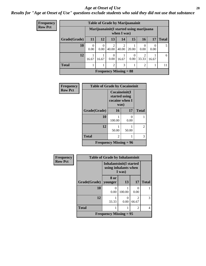#### *Age at Onset of Use* **28**

### *Results for "Age at Onset of Use" questions exclude students who said they did not use that substance*

| <b>Frequency</b> |  |
|------------------|--|
| Row Pct          |  |

| <b>Table of Grade by Marijuanainit</b> |           |                                                         |                |            |       |                |       |              |
|----------------------------------------|-----------|---------------------------------------------------------|----------------|------------|-------|----------------|-------|--------------|
|                                        |           | Marijuanainit (I started using marijuana<br>when I was) |                |            |       |                |       |              |
| Grade(Grade)                           | <b>11</b> | 12                                                      | 13             | 14         | 15    | <b>16</b>      | 17    | <b>Total</b> |
| <b>10</b>                              | 0.00      | 0.00                                                    | 2<br>40.00     | 2<br>40.00 | 20.00 | 0.00           | 0.00  | 5            |
| 12                                     | 16.67     | 16.67                                                   | 0<br>0.00      | 16.67      | 0.00  | 2<br>33.33     | 16.67 | 6            |
| <b>Total</b>                           |           |                                                         | $\overline{2}$ | 3          | 1     | $\overline{c}$ | 1     | 11           |
| <b>Frequency Missing = 88</b>          |           |                                                         |                |            |       |                |       |              |

| Frequency      | <b>Table of Grade by Cocaineinit</b> |                                                          |           |               |  |  |
|----------------|--------------------------------------|----------------------------------------------------------|-----------|---------------|--|--|
| <b>Row Pct</b> |                                      | Cocaineinit(I<br>started using<br>cocaine when I<br>was) |           |               |  |  |
|                | Grade(Grade)                         | 16                                                       | 17        | <b>Total</b>  |  |  |
|                | 10                                   | 100.00                                                   | 0<br>0.00 |               |  |  |
|                | 12                                   | 50.00                                                    | 50.00     | $\mathcal{L}$ |  |  |
|                | <b>Total</b>                         | 2                                                        |           | 3             |  |  |
|                |                                      | <b>Frequency Missing = 96</b>                            |           |               |  |  |

| Frequency      | <b>Table of Grade by Inhalantsinit</b> |                                                        |           |                  |              |  |
|----------------|----------------------------------------|--------------------------------------------------------|-----------|------------------|--------------|--|
| <b>Row Pct</b> |                                        | <b>Inhalantsinit(I started</b><br>using inhalants when | I was)    |                  |              |  |
|                | Grade(Grade)                           | 8 or<br>younger                                        | 13        | 17               | <b>Total</b> |  |
|                | 10                                     | $\Omega$<br>0.00                                       | 100.00    | $\Omega$<br>0.00 |              |  |
|                | 12                                     | 33.33                                                  | 0<br>0.00 | 2<br>66.67       | 3            |  |
|                | <b>Total</b>                           | 1                                                      |           | 2                | 4            |  |
|                |                                        | <b>Frequency Missing = 95</b>                          |           |                  |              |  |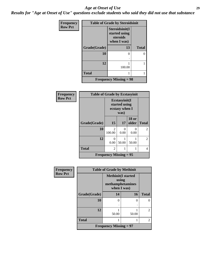#### *Age at Onset of Use* **29**

*Results for "Age at Onset of Use" questions exclude students who said they did not use that substance*

| <b>Frequency</b> | <b>Table of Grade by Steroidsinit</b> |                                                            |              |
|------------------|---------------------------------------|------------------------------------------------------------|--------------|
| <b>Row Pct</b>   |                                       | Steroidsinit(I<br>started using<br>steroids<br>when I was) |              |
|                  | Grade(Grade)                          | 13                                                         | <b>Total</b> |
|                  | 10                                    | 0                                                          | 0            |
|                  | 12                                    | 100.00                                                     |              |
|                  | <b>Total</b>                          |                                                            |              |
|                  |                                       | <b>Frequency Missing = 98</b>                              |              |

| <b>Frequency</b> | <b>Table of Grade by Ecstasyinit</b> |                                                          |           |                       |                |
|------------------|--------------------------------------|----------------------------------------------------------|-----------|-----------------------|----------------|
| <b>Row Pct</b>   |                                      | Ecstasyinit(I<br>started using<br>ecstasy when I<br>was) |           |                       |                |
|                  | Grade(Grade)                         | 15                                                       | 17        | <b>18 or</b><br>older | <b>Total</b>   |
|                  | 10                                   | $\overline{2}$<br>100.00                                 | ∩<br>0.00 | 0<br>0.00             | $\mathfrak{D}$ |
|                  | 12                                   | 0<br>0.00                                                | 50.00     | 50.00                 | $\mathfrak{D}$ |
|                  | <b>Total</b>                         | $\overline{c}$                                           |           | 1                     | 4              |
|                  |                                      | <b>Frequency Missing = 95</b>                            |           |                       |                |

| Frequency      | <b>Table of Grade by Methinit</b> |                                                                       |                   |                |  |
|----------------|-----------------------------------|-----------------------------------------------------------------------|-------------------|----------------|--|
| <b>Row Pct</b> |                                   | <b>Methinit(I started</b><br>using<br>methamphetamines<br>when I was) |                   |                |  |
|                | Grade(Grade)                      | 14                                                                    | 16                | <b>Total</b>   |  |
|                | 10                                | $\mathbf{\Omega}$                                                     | $\mathbf{\Omega}$ |                |  |
|                |                                   |                                                                       |                   |                |  |
|                | 12                                |                                                                       |                   | $\mathfrak{D}$ |  |
|                |                                   | 50.00                                                                 | 50.00             |                |  |
|                | <b>Total</b>                      |                                                                       |                   | 2              |  |
|                | Frequency Missing $= 97$          |                                                                       |                   |                |  |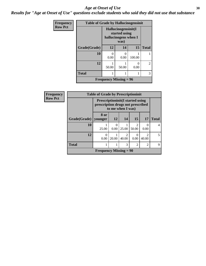#### Age at Onset of Use **30**

*Results for "Age at Onset of Use" questions exclude students who said they did not use that substance*

| <b>Frequency</b> | <b>Table of Grade by Hallucinogensinit</b> |                                                                      |           |           |                |  |
|------------------|--------------------------------------------|----------------------------------------------------------------------|-----------|-----------|----------------|--|
| <b>Row Pct</b>   |                                            | Hallucinogensinit(I<br>started using<br>hallucinogens when I<br>was) |           |           |                |  |
|                  | Grade(Grade)                               | 12                                                                   | 14        | 15        | <b>Total</b>   |  |
|                  | 10                                         | 0.00                                                                 | 0<br>0.00 | 100.00    |                |  |
|                  | 12                                         | 50.00                                                                | 50.00     | 0<br>0.00 | $\mathfrak{D}$ |  |
|                  | <b>Total</b>                               |                                                                      |           |           | 3              |  |
|                  |                                            | <b>Frequency Missing = 96</b>                                        |           |           |                |  |

| Frequency      |                        | <b>Table of Grade by Prescriptioninit</b> |                                                                                                   |                         |                                      |                                      |              |
|----------------|------------------------|-------------------------------------------|---------------------------------------------------------------------------------------------------|-------------------------|--------------------------------------|--------------------------------------|--------------|
| <b>Row Pct</b> |                        |                                           | <b>Prescriptioninit(I started using</b><br>prescription drugs not prescribed<br>to me when I was) |                         |                                      |                                      |              |
|                | Grade(Grade)   younger | 8 or                                      | <b>12</b>                                                                                         | 14                      | <b>15</b>                            | 17                                   | <b>Total</b> |
|                | 10                     | 25.00                                     | 0.00                                                                                              | 25.00                   | $\mathcal{D}_{\mathcal{L}}$<br>50.00 | $\left($<br>0.00                     | 4            |
|                | 12                     | $\Omega$<br>0.00                          | 20.00                                                                                             | $\mathfrak{D}$<br>40.00 | 0<br>0.00                            | $\mathcal{D}_{\mathcal{L}}$<br>40.00 | 5            |
|                | <b>Total</b>           |                                           |                                                                                                   | 3                       | $\overline{2}$                       | $\overline{2}$                       | 9            |
|                |                        | <b>Frequency Missing = 90</b>             |                                                                                                   |                         |                                      |                                      |              |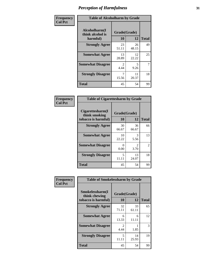| Frequency      | <b>Table of Alcoholharm by Grade</b>          |                        |             |              |
|----------------|-----------------------------------------------|------------------------|-------------|--------------|
| <b>Col Pct</b> | Alcoholharm(I<br>think alcohol is<br>harmful) | Grade(Grade)<br>10     | 12          | <b>Total</b> |
|                | <b>Strongly Agree</b>                         | 23<br>51.11            | 26<br>48.15 | 49           |
|                | <b>Somewhat Agree</b>                         | 13<br>28.89            | 12<br>22.22 | 25           |
|                | <b>Somewhat Disagree</b>                      | $\mathfrak{D}$<br>4.44 | 5<br>9.26   | 7            |
|                | <b>Strongly Disagree</b>                      | 7<br>15.56             | 11<br>20.37 | 18           |
|                | <b>Total</b>                                  | 45                     | 54          | 99           |

#### **Frequency Col Pct**

| <b>Table of Cigarettesharm by Grade</b>                  |                    |                        |                |  |  |  |
|----------------------------------------------------------|--------------------|------------------------|----------------|--|--|--|
| Cigarettesharm(I<br>think smoking<br>tobacco is harmful) | Grade(Grade)<br>10 | <b>Total</b>           |                |  |  |  |
| <b>Strongly Agree</b>                                    | 30<br>66.67        | 36<br>66.67            | 66             |  |  |  |
| <b>Somewhat Agree</b>                                    | 10<br>22.22        | 3<br>5.56              | 13             |  |  |  |
| <b>Somewhat Disagree</b>                                 | 0<br>0.00          | $\mathfrak{D}$<br>3.70 | $\mathfrak{D}$ |  |  |  |
| <b>Strongly Disagree</b>                                 | 5<br>11.11         | 13<br>24.07            | 18             |  |  |  |
| <b>Total</b>                                             | 45                 | 54                     | 99             |  |  |  |

| Frequency      | <b>Table of Smokelessharm by Grade</b>                  |                           |             |              |  |
|----------------|---------------------------------------------------------|---------------------------|-------------|--------------|--|
| <b>Col Pct</b> | Smokelessharm(I<br>think chewing<br>tobacco is harmful) | Grade(Grade)<br><b>10</b> | 12          | <b>Total</b> |  |
|                | <b>Strongly Agree</b>                                   | 32<br>71.11               | 33<br>61.11 | 65           |  |
|                | <b>Somewhat Agree</b>                                   | 6<br>13.33                | 6<br>11.11  | 12           |  |
|                | <b>Somewhat Disagree</b>                                | $\mathfrak{D}$<br>4.44    | 1.85        | 3            |  |
|                | <b>Strongly Disagree</b>                                | 5<br>11.11                | 14<br>25.93 | 19           |  |
|                | <b>Total</b>                                            | 45                        | 54          | 99           |  |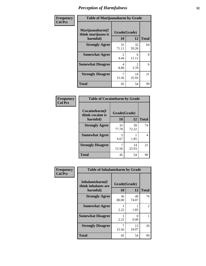| Frequency      | <b>Table of Marijuanaharm by Grade</b>            |                    |                        |              |  |
|----------------|---------------------------------------------------|--------------------|------------------------|--------------|--|
| <b>Col Pct</b> | Marijuanaharm(I<br>think marijuana is<br>harmful) | Grade(Grade)<br>10 | 12                     | <b>Total</b> |  |
|                | <b>Strongly Agree</b>                             | 32<br>71.11        | 32<br>59.26            | 64           |  |
|                | <b>Somewhat Agree</b>                             | 2<br>4.44          | 6<br>11.11             | 8            |  |
|                | <b>Somewhat Disagree</b>                          | 4<br>8.89          | $\mathfrak{D}$<br>3.70 | 6            |  |
|                | <b>Strongly Disagree</b>                          | 7<br>15.56         | 14<br>25.93            | 21           |  |
|                | <b>Total</b>                                      | 45                 | 54                     | 99           |  |

#### **Frequency Col Pct**

| <b>Table of Cocaineharm by Grade</b> |              |             |              |  |  |
|--------------------------------------|--------------|-------------|--------------|--|--|
| Cocaineharm(I<br>think cocaine is    | Grade(Grade) |             |              |  |  |
| harmful)                             | 10           | 12          | <b>Total</b> |  |  |
| <b>Strongly Agree</b>                | 35<br>77.78  | 39<br>72.22 | 74           |  |  |
| <b>Somewhat Agree</b>                | 3<br>6.67    | 1.85        | 4            |  |  |
| <b>Strongly Disagree</b>             | 15.56        | 14<br>25.93 | 21           |  |  |
| <b>Total</b>                         | 45           | 54          | 99           |  |  |

| Frequency      | <b>Table of Inhalantsharm by Grade</b>              |                           |                      |              |
|----------------|-----------------------------------------------------|---------------------------|----------------------|--------------|
| <b>Col Pct</b> | Inhalantsharm(I)<br>think inhalants are<br>harmful) | Grade(Grade)<br><b>10</b> | 12                   | <b>Total</b> |
|                | <b>Strongly Agree</b>                               | 36<br>80.00               | 40<br>74.07          | 76           |
|                | <b>Somewhat Agree</b>                               | 2.22                      | 1.85                 | 2            |
|                | <b>Somewhat Disagree</b>                            | 2.22                      | $\mathbf{0}$<br>0.00 |              |
|                | <b>Strongly Disagree</b>                            | 15.56                     | 13<br>24.07          | 20           |
|                | <b>Total</b>                                        | 45                        | 54                   | 99           |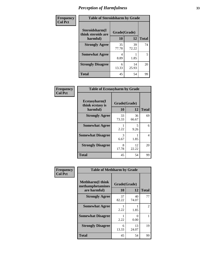| Frequency      | <b>Table of Steroidsharm by Grade</b> |              |             |              |  |
|----------------|---------------------------------------|--------------|-------------|--------------|--|
| <b>Col Pct</b> | Steroidsharm(I<br>think steroids are  | Grade(Grade) |             |              |  |
|                | harmful)                              | 10           | 12          | <b>Total</b> |  |
|                | <b>Strongly Agree</b>                 | 35<br>77.78  | 39<br>72.22 | 74           |  |
|                | <b>Somewhat Agree</b>                 | 4<br>8.89    | 1.85        | 5            |  |
|                | <b>Strongly Disagree</b>              | 6<br>13.33   | 14<br>25.93 | 20           |  |
|                | <b>Total</b>                          | 45           | 54          | 99           |  |

| Frequency      | <b>Table of Ecstasyharm by Grade</b>          |                    |             |              |  |
|----------------|-----------------------------------------------|--------------------|-------------|--------------|--|
| <b>Col Pct</b> | Ecstasyharm(I<br>think ecstasy is<br>harmful) | Grade(Grade)<br>10 | 12          | <b>Total</b> |  |
|                | <b>Strongly Agree</b>                         | 33<br>73.33        | 36<br>66.67 | 69           |  |
|                | <b>Somewhat Agree</b>                         | 2.22               | 5<br>9.26   | 6            |  |
|                | <b>Somewhat Disagree</b>                      | 3<br>6.67          | 1.85        | 4            |  |
|                | <b>Strongly Disagree</b>                      | 8<br>17.78         | 12<br>22.22 | 20           |  |
|                | <b>Total</b>                                  | 45                 | 54          | 99           |  |

| Frequency      | <b>Table of Methharm by Grade</b>                            |                    |                           |                |
|----------------|--------------------------------------------------------------|--------------------|---------------------------|----------------|
| <b>Col Pct</b> | <b>Methharm</b> (I think<br>methamphetamines<br>are harmful) | Grade(Grade)<br>10 | 12                        | <b>Total</b>   |
|                | <b>Strongly Agree</b>                                        | 37<br>82.22        | 40<br>74.07               | 77             |
|                | <b>Somewhat Agree</b>                                        | 2.22               | 1.85                      | $\overline{2}$ |
|                | <b>Somewhat Disagree</b>                                     | 2.22               | $\mathbf{\Omega}$<br>0.00 |                |
|                | <b>Strongly Disagree</b>                                     | 6<br>13.33         | 13<br>24.07               | 19             |
|                | <b>Total</b>                                                 | 45                 | 54                        | 99             |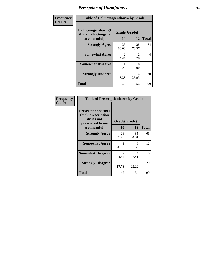| Frequency      | <b>Table of Hallucinogensharm by Grade</b>                 |                        |                       |              |  |
|----------------|------------------------------------------------------------|------------------------|-----------------------|--------------|--|
| <b>Col Pct</b> | Hallucinogensharm(I<br>think hallucinogens<br>are harmful) | Grade(Grade)<br>10     | 12                    | <b>Total</b> |  |
|                | <b>Strongly Agree</b>                                      | 36<br>80.00            | 38<br>70.37           | 74           |  |
|                | <b>Somewhat Agree</b>                                      | $\mathfrak{D}$<br>4.44 | $\mathcal{L}$<br>3.70 | 4            |  |
|                | <b>Somewhat Disagree</b>                                   | 2.22                   | 0<br>0.00             | 1            |  |
|                | <b>Strongly Disagree</b>                                   | 6<br>13.33             | 14<br>25.93           | 20           |  |
|                | <b>Total</b>                                               | 45                     | 54                    | 99           |  |

#### **Frequency Col Pct**

| <b>Table of Prescriptionharm by Grade</b>                                 |                        |              |              |  |  |
|---------------------------------------------------------------------------|------------------------|--------------|--------------|--|--|
| Prescriptionharm(I<br>think prescription<br>drugs not<br>prescribed to me |                        | Grade(Grade) |              |  |  |
| are harmful)                                                              | 10                     | 12           | <b>Total</b> |  |  |
| <b>Strongly Agree</b>                                                     | 26<br>57.78            | 35<br>64.81  | 61           |  |  |
| <b>Somewhat Agree</b>                                                     | 9<br>20.00             | 3<br>5.56    | 12           |  |  |
| <b>Somewhat Disagree</b>                                                  | $\mathfrak{D}$<br>4.44 | 4<br>7.41    | 6            |  |  |
| <b>Strongly Disagree</b>                                                  | 8<br>17.78             | 12<br>22.22  | 20           |  |  |
| <b>Total</b>                                                              | 45                     | 54           | 99           |  |  |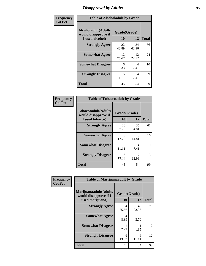### *Disapproval by Adults* **35**

| Frequency      | <b>Table of Alcoholadult by Grade</b>                                 |                    |             |              |  |
|----------------|-----------------------------------------------------------------------|--------------------|-------------|--------------|--|
| <b>Col Pct</b> | <b>Alcoholadult</b> (Adults<br>would disapprove if<br>I used alcohol) | Grade(Grade)<br>10 | 12          | <b>Total</b> |  |
|                | <b>Strongly Agree</b>                                                 | 22<br>48.89        | 34<br>62.96 | 56           |  |
|                | <b>Somewhat Agree</b>                                                 | 12<br>26.67        | 12<br>22.22 | 24           |  |
|                | <b>Somewhat Disagree</b>                                              | 6<br>13.33         | 4<br>7.41   | 10           |  |
|                | <b>Strongly Disagree</b>                                              | 5<br>11.11         | 4<br>7.41   | 9            |  |
|                | <b>Total</b>                                                          | 45                 | 54          | 99           |  |

#### **Frequency Col Pct**

| <b>Table of Tobaccoadult by Grade</b>                                 |                    |             |              |  |  |
|-----------------------------------------------------------------------|--------------------|-------------|--------------|--|--|
| <b>Tobaccoadult</b> (Adults<br>would disapprove if<br>I used tobacco) | Grade(Grade)<br>10 | 12          | <b>Total</b> |  |  |
| <b>Strongly Agree</b>                                                 | 26<br>57.78        | 35<br>64.81 | 61           |  |  |
| <b>Somewhat Agree</b>                                                 | 8<br>17.78         | 8<br>14.81  | 16           |  |  |
| <b>Somewhat Disagree</b>                                              | 5<br>11.11         | 4<br>7.41   | 9            |  |  |
| <b>Strongly Disagree</b>                                              | 6<br>13.33         | 12.96       | 13           |  |  |
| <b>Total</b>                                                          | 45                 | 54          | 99           |  |  |

| Frequency<br><b>Col Pct</b> | <b>Table of Marijuanaadult by Grade</b>                           |                    |                        |              |  |
|-----------------------------|-------------------------------------------------------------------|--------------------|------------------------|--------------|--|
|                             | Marijuanaadult(Adults<br>would disapprove if I<br>used marijuana) | Grade(Grade)<br>10 | 12                     | <b>Total</b> |  |
|                             | <b>Strongly Agree</b>                                             | 34<br>75.56        | 45<br>83.33            | 79           |  |
|                             | <b>Somewhat Agree</b>                                             | 4<br>8.89          | $\mathfrak{D}$<br>3.70 | 6            |  |
|                             | <b>Somewhat Disagree</b>                                          | 2.22               | 1.85                   | 2            |  |
|                             | <b>Strongly Disagree</b>                                          | 6<br>13.33         | 6<br>11.11             | 12           |  |
|                             | <b>Total</b>                                                      | 45                 | 54                     | 99           |  |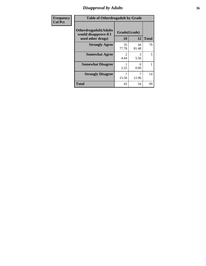### *Disapproval by Adults* **36**

| <b>Frequency</b> | <b>Table of Otherdrugadult by Grade</b>                                     |                    |             |              |  |
|------------------|-----------------------------------------------------------------------------|--------------------|-------------|--------------|--|
| <b>Col Pct</b>   | <b>Otherdrugadult</b> (Adults<br>would disapprove if I<br>used other drugs) | Grade(Grade)<br>10 | 12          | <b>Total</b> |  |
|                  | <b>Strongly Agree</b>                                                       | 35<br>77.78        | 44<br>81.48 | 79           |  |
|                  | <b>Somewhat Agree</b>                                                       | 4.44               | 3<br>5.56   | 5            |  |
|                  | <b>Somewhat Disagree</b>                                                    | 2.22               | ∩<br>0.00   |              |  |
|                  | <b>Strongly Disagree</b>                                                    | 15.56              | 12.96       | 14           |  |
|                  | <b>Total</b>                                                                | 45                 | 54          | 99           |  |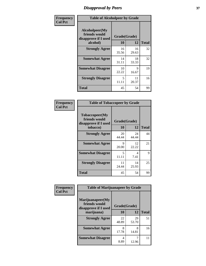# *Disapproval by Peers* **37**

| Frequency      | <b>Table of Alcoholpeer by Grade</b>                    |              |             |              |  |
|----------------|---------------------------------------------------------|--------------|-------------|--------------|--|
| <b>Col Pct</b> | Alcoholpeer(My<br>friends would<br>disapprove if I used | Grade(Grade) |             |              |  |
|                | alcohol)                                                | 10           | 12          | <b>Total</b> |  |
|                | <b>Strongly Agree</b>                                   | 16<br>35.56  | 16<br>29.63 | 32           |  |
|                | <b>Somewhat Agree</b>                                   | 14<br>31.11  | 18<br>33.33 | 32           |  |
|                | <b>Somewhat Disagree</b>                                | 10<br>22.22  | 9<br>16.67  | 19           |  |
|                | <b>Strongly Disagree</b>                                | 5<br>11.11   | 11<br>20.37 | 16           |  |
|                | Total                                                   | 45           | 54          | 99           |  |

| Frequency      | <b>Table of Tobaccopeer by Grade</b>                                |                    |             |              |  |
|----------------|---------------------------------------------------------------------|--------------------|-------------|--------------|--|
| <b>Col Pct</b> | Tobaccopeer(My<br>friends would<br>disapprove if I used<br>tobacco) | Grade(Grade)<br>10 | 12          | <b>Total</b> |  |
|                | <b>Strongly Agree</b>                                               | 20<br>44.44        | 24<br>44.44 | 44           |  |
|                | <b>Somewhat Agree</b>                                               | 9<br>20.00         | 12<br>22.22 | 21           |  |
|                | <b>Somewhat Disagree</b>                                            | 5<br>11.11         | 4<br>7.41   | 9            |  |
|                | <b>Strongly Disagree</b>                                            | 11<br>24.44        | 14<br>25.93 | 25           |  |
|                | Total                                                               | 45                 | 54          | 99           |  |

| Frequency      | <b>Table of Marijuanapeer by Grade</b>                    |              |             |              |
|----------------|-----------------------------------------------------------|--------------|-------------|--------------|
| <b>Col Pct</b> | Marijuanapeer(My<br>friends would<br>disapprove if I used | Grade(Grade) |             |              |
|                | marijuana)                                                | 10           | 12          | <b>Total</b> |
|                | <b>Strongly Agree</b>                                     | 22<br>48.89  | 29<br>53.70 | 51           |
|                | <b>Somewhat Agree</b>                                     | 8<br>17.78   | 8<br>14.81  | 16           |
|                | <b>Somewhat Disagree</b>                                  | 4<br>8.89    | 12.96       | 11           |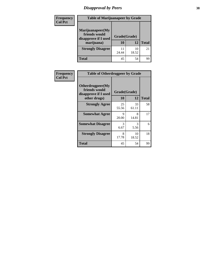# *Disapproval by Peers* **38**

| <b>Frequency</b> | <b>Table of Marijuanapeer by Grade</b>                                  |                    |             |              |  |
|------------------|-------------------------------------------------------------------------|--------------------|-------------|--------------|--|
| <b>Col Pct</b>   | Marijuanapeer(My<br>friends would<br>disapprove if I used<br>marijuana) | Grade(Grade)<br>10 | 12          | <b>Total</b> |  |
|                  | <b>Strongly Disagree</b>                                                | 11<br>24.44        | 10<br>18.52 | 21           |  |
|                  | <b>Total</b>                                                            | 45                 | 54          | 99           |  |

| Frequency      | <b>Table of Otherdrugpeer by Grade</b>                                    |                      |             |              |
|----------------|---------------------------------------------------------------------------|----------------------|-------------|--------------|
| <b>Col Pct</b> | Otherdrugpeer(My<br>friends would<br>disapprove if I used<br>other drugs) | Grade(Grade)<br>10   | 12          | <b>Total</b> |
|                | <b>Strongly Agree</b>                                                     | 25<br>55.56          | 33<br>61.11 | 58           |
|                | <b>Somewhat Agree</b>                                                     | $\mathbf Q$<br>20.00 | 8<br>14.81  | 17           |
|                | <b>Somewhat Disagree</b>                                                  | 3<br>6.67            | 3<br>5.56   | 6            |
|                | <b>Strongly Disagree</b>                                                  | 8<br>17.78           | 10<br>18.52 | 18           |
|                | <b>Total</b>                                                              | 45                   | 54          | 99           |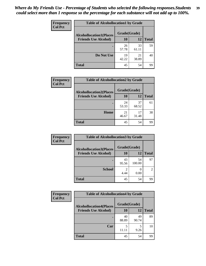| Frequency<br><b>Col Pct</b> | <b>Table of Alcohollocation1 by Grade</b> |              |             |              |
|-----------------------------|-------------------------------------------|--------------|-------------|--------------|
|                             | <b>Alcohollocation1(Places</b>            | Grade(Grade) |             |              |
|                             | <b>Friends Use Alcohol)</b>               | 10           | 12          | <b>Total</b> |
|                             |                                           | 26<br>57.78  | 33<br>61.11 | 59           |
|                             | Do Not Use                                | 19<br>42.22  | 21<br>38.89 | 40           |
|                             | <b>Total</b>                              | 45           | 54          | 99           |

| <b>Frequency</b> | <b>Table of Alcohollocation2 by Grade</b>                     |                    |             |              |
|------------------|---------------------------------------------------------------|--------------------|-------------|--------------|
| <b>Col Pct</b>   | <b>Alcohollocation2(Places</b><br><b>Friends Use Alcohol)</b> | Grade(Grade)<br>10 | 12          | <b>Total</b> |
|                  |                                                               | 24<br>53.33        | 37<br>68.52 | 61           |
|                  | Home                                                          | 21<br>46.67        | 17<br>31.48 | 38           |
|                  | <b>Total</b>                                                  | 45                 | 54          | 99           |

| Frequency<br><b>Col Pct</b> | <b>Table of Alcohollocation 3 by Grade</b> |              |              |                |
|-----------------------------|--------------------------------------------|--------------|--------------|----------------|
|                             | <b>Alcohollocation3(Places</b>             | Grade(Grade) |              |                |
|                             | <b>Friends Use Alcohol)</b>                | 10           | 12           | <b>Total</b>   |
|                             |                                            | 43<br>95.56  | 54<br>100.00 | 97             |
|                             | <b>School</b>                              | 4.44         | 0.00         | $\mathfrak{D}$ |
|                             | <b>Total</b>                               | 45           | 54           | 99             |

| <b>Frequency</b> | <b>Table of Alcohollocation4 by Grade</b> |              |             |              |  |
|------------------|-------------------------------------------|--------------|-------------|--------------|--|
| <b>Col Pct</b>   | <b>Alcohollocation4(Places</b>            | Grade(Grade) |             |              |  |
|                  | <b>Friends Use Alcohol)</b>               | 10           | 12          | <b>Total</b> |  |
|                  |                                           | 40<br>88.89  | 49<br>90.74 | 89           |  |
|                  | Car                                       | 5            | 5<br>9.26   | 10           |  |
|                  | <b>Total</b>                              | 45           | 54          | 99           |  |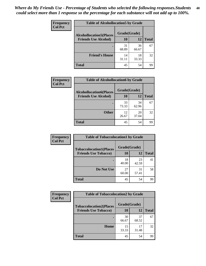| Frequency<br><b>Col Pct</b> | <b>Table of Alcohollocation5 by Grade</b> |              |             |              |
|-----------------------------|-------------------------------------------|--------------|-------------|--------------|
|                             | <b>Alcohollocation5(Places</b>            | Grade(Grade) |             |              |
|                             | <b>Friends Use Alcohol)</b>               | 10           | 12          | <b>Total</b> |
|                             |                                           | 31<br>68.89  | 36<br>66.67 | 67           |
|                             | <b>Friend's House</b>                     | 14<br>31.11  | 18<br>33.33 | 32           |
|                             | <b>Total</b>                              | 45           | 54          | 99           |

| <b>Frequency</b> | <b>Table of Alcohollocation6 by Grade</b> |              |             |              |
|------------------|-------------------------------------------|--------------|-------------|--------------|
| <b>Col Pct</b>   | <b>Alcohollocation6(Places</b>            | Grade(Grade) |             |              |
|                  | <b>Friends Use Alcohol)</b>               | <b>10</b>    | 12          | <b>Total</b> |
|                  |                                           | 33<br>73.33  | 34<br>62.96 | 67           |
|                  | <b>Other</b>                              | 12<br>26.67  | 20<br>37.04 | 32           |
|                  | <b>Total</b>                              | 45           | 54          | 99           |

| Frequency      | <b>Table of Tobaccolocation1 by Grade</b> |              |             |              |
|----------------|-------------------------------------------|--------------|-------------|--------------|
| <b>Col Pct</b> | <b>Tobaccolocation1(Places</b>            | Grade(Grade) |             |              |
|                | <b>Friends Use Tobacco)</b>               | 10           | 12          | <b>Total</b> |
|                |                                           | 18<br>40.00  | 23<br>42.59 | 41           |
|                | Do Not Use                                | 27<br>60.00  | 31<br>57.41 | 58           |
|                | <b>Total</b>                              | 45           | 54          | 99           |

| <b>Frequency</b> | <b>Table of Tobaccolocation2 by Grade</b> |              |             |              |  |
|------------------|-------------------------------------------|--------------|-------------|--------------|--|
| <b>Col Pct</b>   | <b>Tobaccolocation2(Places</b>            | Grade(Grade) |             |              |  |
|                  | <b>Friends Use Tobacco)</b>               | 10           | 12          | <b>Total</b> |  |
|                  |                                           | 30<br>66.67  | 37<br>68.52 | 67           |  |
|                  | Home                                      | 15<br>33.33  | 17<br>31.48 | 32           |  |
|                  | <b>Total</b>                              | 45           | 54          | 99           |  |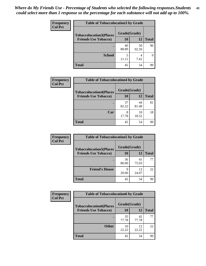| Frequency      | <b>Table of Tobaccolocation 3 by Grade</b> |              |             |              |  |  |
|----------------|--------------------------------------------|--------------|-------------|--------------|--|--|
| <b>Col Pct</b> | <b>Tobaccolocation3(Places</b>             | Grade(Grade) |             |              |  |  |
|                | <b>Friends Use Tobacco)</b>                | 10           | <b>12</b>   | <b>Total</b> |  |  |
|                |                                            | 40<br>88.89  | 50<br>92.59 | 90           |  |  |
|                | <b>School</b>                              | 5            | 4<br>7.41   | Q            |  |  |
|                | <b>Total</b>                               | 45           | 54          | 99           |  |  |

| Frequency      | <b>Table of Tobaccolocation4 by Grade</b> |              |             |              |
|----------------|-------------------------------------------|--------------|-------------|--------------|
| <b>Col Pct</b> | <b>Tobaccolocation4(Places</b>            | Grade(Grade) |             |              |
|                | <b>Friends Use Tobacco)</b>               | <b>10</b>    | 12          | <b>Total</b> |
|                |                                           | 37<br>82.22  | 44<br>81.48 | 81           |
|                | Car                                       | 8<br>17.78   | 10<br>18.52 | 18           |
|                | <b>Total</b>                              | 45           | 54          | 99           |

| Frequency<br><b>Col Pct</b> | <b>Table of Tobaccolocation5 by Grade</b> |              |             |              |
|-----------------------------|-------------------------------------------|--------------|-------------|--------------|
|                             | <b>Tobaccolocation5(Places</b>            | Grade(Grade) |             |              |
|                             | <b>Friends Use Tobacco)</b>               | 10           | 12          | <b>Total</b> |
|                             |                                           | 36<br>80.00  | 41<br>75.93 | 77           |
|                             | <b>Friend's House</b>                     | q<br>20.00   | 13<br>24.07 | 22           |
|                             | <b>Total</b>                              | 45           | 54          | 99           |

| <b>Frequency</b> | <b>Table of Tobaccolocation6 by Grade</b> |              |             |              |  |
|------------------|-------------------------------------------|--------------|-------------|--------------|--|
| <b>Col Pct</b>   | <b>Tobaccolocation6(Places</b>            | Grade(Grade) |             |              |  |
|                  | <b>Friends Use Tobacco)</b>               | 10           | 12          | <b>Total</b> |  |
|                  |                                           | 35<br>77.78  | 42<br>77.78 | 77           |  |
|                  | <b>Other</b>                              | 10<br>22.22  | 12<br>22.22 | 22           |  |
|                  | <b>Total</b>                              | 45           | 54          | 99           |  |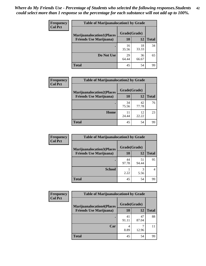| <b>Frequency</b> | <b>Table of Marijuanalocation1 by Grade</b> |              |             |              |
|------------------|---------------------------------------------|--------------|-------------|--------------|
| <b>Col Pct</b>   | <b>Marijuanalocation1(Places</b>            | Grade(Grade) |             |              |
|                  | <b>Friends Use Marijuana</b> )              | <b>10</b>    | 12          | <b>Total</b> |
|                  |                                             | 16<br>35.56  | 18<br>33.33 | 34           |
|                  | Do Not Use                                  | 29<br>64.44  | 36<br>66.67 | 65           |
|                  | <b>Total</b>                                | 45           | 54          | 99           |

| <b>Frequency</b> | <b>Table of Marijuanalocation2 by Grade</b>                        |                    |             |              |
|------------------|--------------------------------------------------------------------|--------------------|-------------|--------------|
| <b>Col Pct</b>   | <b>Marijuanalocation2(Places</b><br><b>Friends Use Marijuana</b> ) | Grade(Grade)<br>10 | 12          | <b>Total</b> |
|                  |                                                                    | 34<br>75.56        | 42<br>77.78 | 76           |
|                  | Home                                                               | 11<br>24.44        | 12<br>22.22 | 23           |
|                  | <b>Total</b>                                                       | 45                 | 54          | 99           |

| <b>Frequency</b><br><b>Col Pct</b> | <b>Table of Marijuanalocation3 by Grade</b> |              |             |       |
|------------------------------------|---------------------------------------------|--------------|-------------|-------|
|                                    | <b>Marijuanalocation3(Places</b>            | Grade(Grade) |             |       |
|                                    | <b>Friends Use Marijuana</b> )              | 10           | 12          | Total |
|                                    |                                             | 44<br>97.78  | 51<br>94.44 | 95    |
|                                    | <b>School</b>                               | 2.22         | 3<br>5.56   |       |
|                                    | <b>Total</b>                                | 45           | 54          | 99    |

| <b>Frequency</b> | <b>Table of Marijuanalocation4 by Grade</b> |              |             |              |  |
|------------------|---------------------------------------------|--------------|-------------|--------------|--|
| <b>Col Pct</b>   | <b>Marijuanalocation4(Places</b>            | Grade(Grade) |             |              |  |
|                  | <b>Friends Use Marijuana</b> )              | 10           | 12          | <b>Total</b> |  |
|                  |                                             | 41<br>91.11  | 47<br>87.04 | 88           |  |
|                  | Car                                         | 8.89         | 12.96       |              |  |
|                  | <b>Total</b>                                | 45           | 54          | 99           |  |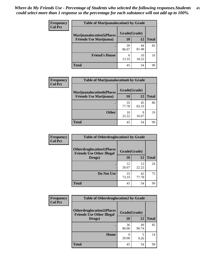| <b>Frequency</b> | <b>Table of Marijuanalocation5 by Grade</b> |              |             |              |
|------------------|---------------------------------------------|--------------|-------------|--------------|
| <b>Col Pct</b>   | <b>Marijuanalocation5</b> (Places           | Grade(Grade) |             |              |
|                  | <b>Friends Use Marijuana</b> )              | 10           | 12          | <b>Total</b> |
|                  |                                             | 39<br>86.67  | 44<br>81.48 | 83           |
|                  | <b>Friend's House</b>                       | 6<br>13.33   | 10<br>18.52 | 16           |
|                  | <b>Total</b>                                | 45           | 54          | 99           |

| <b>Frequency</b> | <b>Table of Marijuanalocation6 by Grade</b>                        |                    |             |              |
|------------------|--------------------------------------------------------------------|--------------------|-------------|--------------|
| <b>Col Pct</b>   | <b>Marijuanalocation6(Places</b><br><b>Friends Use Marijuana</b> ) | Grade(Grade)<br>10 | 12          | <b>Total</b> |
|                  |                                                                    | 35<br>77.78        | 45<br>83.33 | 80           |
|                  | <b>Other</b>                                                       | 10<br>22.22        | Q<br>16.67  | 19           |
|                  | <b>Total</b>                                                       | 45                 | 54          | 99           |

| Frequency      | <b>Table of Otherdruglocation1 by Grade</b>                          |              |             |              |
|----------------|----------------------------------------------------------------------|--------------|-------------|--------------|
| <b>Col Pct</b> | <b>Otherdruglocation1(Places</b><br><b>Friends Use Other Illegal</b> | Grade(Grade) |             |              |
|                | Drugs)                                                               | 10           | 12          | <b>Total</b> |
|                |                                                                      | 12<br>26.67  | 12<br>22.22 | 24           |
|                | Do Not Use                                                           | 33<br>73.33  | 42<br>77.78 | 75           |
|                | <b>Total</b>                                                         | 45           | 54          | 99           |

| <b>Frequency</b> | <b>Table of Otherdruglocation2 by Grade</b>                           |             |              |              |  |
|------------------|-----------------------------------------------------------------------|-------------|--------------|--------------|--|
| <b>Col Pct</b>   | <b>Otherdruglocation2(Places)</b><br><b>Friends Use Other Illegal</b> |             | Grade(Grade) |              |  |
|                  | Drugs)                                                                | 10          | 12           | <b>Total</b> |  |
|                  |                                                                       | 36<br>80.00 | 49<br>90.74  | 85           |  |
|                  | Home                                                                  | 9<br>20.00  | 5<br>9.26    | 14           |  |
|                  | <b>Total</b>                                                          | 45          | 54           | 99           |  |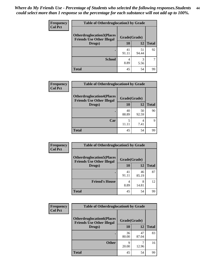| <b>Frequency</b> | <b>Table of Otherdruglocation 3 by Grade</b>                         |              |             |              |
|------------------|----------------------------------------------------------------------|--------------|-------------|--------------|
| <b>Col Pct</b>   | <b>Otherdruglocation3(Places</b><br><b>Friends Use Other Illegal</b> | Grade(Grade) |             |              |
|                  | Drugs)                                                               | 10           | 12          | <b>Total</b> |
|                  |                                                                      | 41<br>91.11  | 51<br>94.44 | 92           |
|                  | <b>School</b>                                                        | 8.89         | 3<br>5.56   |              |
|                  | <b>Total</b>                                                         | 45           | 54          | 99           |

| <b>Frequency</b> | <b>Table of Otherdruglocation4 by Grade</b>                          |              |             |              |
|------------------|----------------------------------------------------------------------|--------------|-------------|--------------|
| <b>Col Pct</b>   | <b>Otherdruglocation4(Places</b><br><b>Friends Use Other Illegal</b> | Grade(Grade) |             |              |
|                  | Drugs)                                                               | 10           | 12          | <b>Total</b> |
|                  |                                                                      | 40<br>88.89  | 50<br>92.59 | 90           |
|                  | Car                                                                  | 11.11        | 7.41        | Q            |
|                  | <b>Total</b>                                                         | 45           | 54          | 99           |

| <b>Frequency</b><br><b>Col Pct</b> | <b>Table of Otherdruglocation5 by Grade</b>                          |              |             |              |
|------------------------------------|----------------------------------------------------------------------|--------------|-------------|--------------|
|                                    | <b>Otherdruglocation5(Places</b><br><b>Friends Use Other Illegal</b> | Grade(Grade) |             |              |
|                                    | Drugs)                                                               | 10           | 12          | <b>Total</b> |
|                                    |                                                                      | 41<br>91.11  | 46<br>85.19 | 87           |
|                                    | <b>Friend's House</b>                                                | 8.89         | 8<br>14.81  | 12           |
|                                    | <b>Total</b>                                                         | 45           | 54          | 99           |

| <b>Frequency</b> | <b>Table of Otherdruglocation6 by Grade</b>                          |              |             |              |
|------------------|----------------------------------------------------------------------|--------------|-------------|--------------|
| <b>Col Pct</b>   | <b>Otherdruglocation6(Places</b><br><b>Friends Use Other Illegal</b> | Grade(Grade) |             |              |
|                  | Drugs)                                                               | 10           | 12          | <b>Total</b> |
|                  |                                                                      | 36<br>80.00  | 47<br>87.04 | 83           |
|                  | <b>Other</b>                                                         | q<br>20.00   | 12.96       | 16           |
|                  | <b>Total</b>                                                         | 45           | 54          | 99           |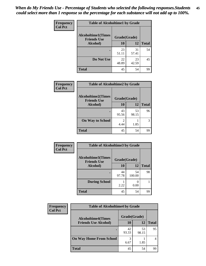| Frequency      | <b>Table of Alcoholtime1 by Grade</b>           |              |             |              |
|----------------|-------------------------------------------------|--------------|-------------|--------------|
| <b>Col Pct</b> | <b>Alcoholtime1(Times</b><br><b>Friends Use</b> | Grade(Grade) |             |              |
|                | Alcohol)                                        | 10           | <b>12</b>   | <b>Total</b> |
|                |                                                 | 23<br>51.11  | 31<br>57.41 | 54           |
|                | Do Not Use                                      | 22<br>48.89  | 23<br>42.59 | 45           |
|                | <b>Total</b>                                    | 45           | 54          | 99           |

| Frequency      | <b>Table of Alcoholtime2 by Grade</b>           |              |             |              |
|----------------|-------------------------------------------------|--------------|-------------|--------------|
| <b>Col Pct</b> | <b>Alcoholtime2(Times</b><br><b>Friends Use</b> | Grade(Grade) |             |              |
|                | Alcohol)                                        | 10           | 12          | <b>Total</b> |
|                |                                                 | 43<br>95.56  | 53<br>98.15 | 96           |
|                | <b>On Way to School</b>                         | 4.44         | 1.85        | 3            |
|                | <b>Total</b>                                    | 45           | 54          | 99           |

| Frequency      | <b>Table of Alcoholtime3 by Grade</b>           |              |              |              |
|----------------|-------------------------------------------------|--------------|--------------|--------------|
| <b>Col Pct</b> | <b>Alcoholtime3(Times</b><br><b>Friends Use</b> | Grade(Grade) |              |              |
|                | Alcohol)                                        | 10           | 12           | <b>Total</b> |
|                |                                                 | 44<br>97.78  | 54<br>100.00 | 98           |
|                | <b>During School</b>                            | 2.22         | 0.00         |              |
|                | <b>Total</b>                                    | 45           | 54           | 99           |

| <b>Frequency</b> | <b>Table of Alcoholtime4 by Grade</b> |                                           |             |              |  |
|------------------|---------------------------------------|-------------------------------------------|-------------|--------------|--|
| <b>Col Pct</b>   |                                       | Grade(Grade)<br><b>Alcoholtime4(Times</b> |             |              |  |
|                  | <b>Friends Use Alcohol)</b>           | 10                                        | 12          | <b>Total</b> |  |
|                  |                                       | 42<br>93.33                               | 53<br>98.15 | 95           |  |
|                  | <b>On Way Home From School</b>        | 3<br>6.67                                 | 1.85        |              |  |
|                  | <b>Total</b>                          | 45                                        | 54          | 99           |  |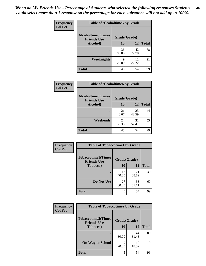*When do My Friends Use - Percentage of Students who selected the following responses.Students could select more than 1 response so the percentage for each substance will not add up to 100%.* **46**

| Frequency      | <b>Table of Alcoholtime5 by Grade</b>           |              |             |              |
|----------------|-------------------------------------------------|--------------|-------------|--------------|
| <b>Col Pct</b> | <b>Alcoholtime5(Times</b><br><b>Friends Use</b> | Grade(Grade) |             |              |
|                | Alcohol)                                        | 10           | 12          | <b>Total</b> |
|                |                                                 | 36<br>80.00  | 42<br>77.78 | 78           |
|                | Weeknights                                      | 9<br>20.00   | 12<br>22.22 | 21           |
|                | <b>Total</b>                                    | 45           | 54          | 99           |

| Frequency      | <b>Table of Alcoholtime6 by Grade</b>           |              |             |              |
|----------------|-------------------------------------------------|--------------|-------------|--------------|
| <b>Col Pct</b> | <b>Alcoholtime6(Times</b><br><b>Friends Use</b> | Grade(Grade) |             |              |
|                | Alcohol)                                        | 10           | 12          | <b>Total</b> |
|                |                                                 | 21<br>46.67  | 23<br>42.59 | 44           |
|                | Weekends                                        | 24<br>53.33  | 31<br>57.41 | 55           |
|                | <b>Total</b>                                    | 45           | 54          | 99           |

| Frequency      | <b>Table of Tobaccotime1 by Grade</b>           |              |             |              |
|----------------|-------------------------------------------------|--------------|-------------|--------------|
| <b>Col Pct</b> | <b>Tobaccotime1(Times</b><br><b>Friends Use</b> | Grade(Grade) |             |              |
|                | <b>Tobacco</b> )                                | 10           | 12          | <b>Total</b> |
|                |                                                 | 18<br>40.00  | 21<br>38.89 | 39           |
|                | Do Not Use                                      | 27<br>60.00  | 33<br>61.11 | 60           |
|                | <b>Total</b>                                    | 45           | 54          | 99           |

| Frequency      | <b>Table of Tobaccotime2 by Grade</b>           |              |             |              |
|----------------|-------------------------------------------------|--------------|-------------|--------------|
| <b>Col Pct</b> | <b>Tobaccotime2(Times</b><br><b>Friends Use</b> | Grade(Grade) |             |              |
|                | <b>Tobacco</b> )                                | 10           | 12          | <b>Total</b> |
|                |                                                 | 36<br>80.00  | 44<br>81.48 | 80           |
|                | <b>On Way to School</b>                         | q<br>20.00   | 10<br>18.52 | 19           |
|                | <b>Total</b>                                    | 45           | 54          | 99           |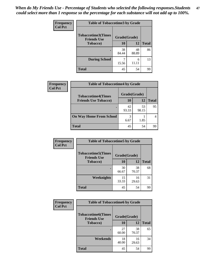*When do My Friends Use - Percentage of Students who selected the following responses.Students could select more than 1 response so the percentage for each substance will not add up to 100%.* **47**

| <b>Frequency</b> | <b>Table of Tobaccotime3 by Grade</b>           |             |              |              |  |
|------------------|-------------------------------------------------|-------------|--------------|--------------|--|
| <b>Col Pct</b>   | <b>Tobaccotime3(Times</b><br><b>Friends Use</b> |             | Grade(Grade) |              |  |
|                  | <b>Tobacco</b> )                                | 10          | 12           | <b>Total</b> |  |
|                  |                                                 | 38<br>84.44 | 48<br>88.89  | 86           |  |
|                  | <b>During School</b>                            | 15.56       | 6            | 13           |  |
|                  | <b>Total</b>                                    | 45          | 54           | 99           |  |

| <b>Frequency</b> | <b>Table of Tobaccotime4 by Grade</b> |              |             |              |
|------------------|---------------------------------------|--------------|-------------|--------------|
| <b>Col Pct</b>   | <b>Tobaccotime4(Times</b>             | Grade(Grade) |             |              |
|                  | <b>Friends Use Tobacco)</b>           | 10           | 12          | <b>Total</b> |
|                  |                                       | 42<br>93.33  | 53<br>98.15 | 95           |
|                  | <b>On Way Home From School</b>        | 3<br>6.67    | 1.85        |              |
|                  | Total                                 | 45           | 54          | 99           |

| <b>Frequency</b> | <b>Table of Tobaccotime5 by Grade</b>           |              |             |              |
|------------------|-------------------------------------------------|--------------|-------------|--------------|
| <b>Col Pct</b>   | <b>Tobaccotime5(Times</b><br><b>Friends Use</b> | Grade(Grade) |             |              |
|                  | Tobacco)                                        | 10           | 12          | <b>Total</b> |
|                  | ٠                                               | 30<br>66.67  | 38<br>70.37 | 68           |
|                  | <b>Weeknights</b>                               | 15<br>33.33  | 16<br>29.63 | 31           |
|                  | <b>Total</b>                                    | 45           | 54          | 99           |

| Frequency      | <b>Table of Tobaccotime6 by Grade</b>           |              |             |              |
|----------------|-------------------------------------------------|--------------|-------------|--------------|
| <b>Col Pct</b> | <b>Tobaccotime6(Times</b><br><b>Friends Use</b> | Grade(Grade) |             |              |
|                | <b>Tobacco</b> )                                | 10           | 12          | <b>Total</b> |
|                | ٠                                               | 27<br>60.00  | 38<br>70.37 | 65           |
|                | Weekends                                        | 18<br>40.00  | 16<br>29.63 | 34           |
|                | <b>Total</b>                                    | 45           | 54          | 99           |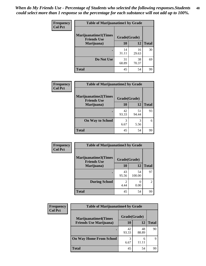| Frequency      | <b>Table of Marijuanatime1 by Grade</b>           |              |             |              |
|----------------|---------------------------------------------------|--------------|-------------|--------------|
| <b>Col Pct</b> | <b>Marijuanatime1(Times</b><br><b>Friends Use</b> | Grade(Grade) |             |              |
|                | Marijuana)                                        | 10           | 12          | <b>Total</b> |
|                |                                                   | 14<br>31.11  | 16<br>29.63 | 30           |
|                | Do Not Use                                        | 31<br>68.89  | 38<br>70.37 | 69           |
|                | <b>Total</b>                                      | 45           | 54          | 99           |

| Frequency      | <b>Table of Marijuanatime2 by Grade</b>    |             |              |              |
|----------------|--------------------------------------------|-------------|--------------|--------------|
| <b>Col Pct</b> | Marijuanatime2(Times<br><b>Friends Use</b> |             | Grade(Grade) |              |
|                | Marijuana)                                 | 10          | 12           | <b>Total</b> |
|                | ٠                                          | 42<br>93.33 | 51<br>94.44  | 93           |
|                | <b>On Way to School</b>                    | 3<br>6.67   | 3<br>5.56    | 6            |
|                | <b>Total</b>                               | 45          | 54           | 99           |

| Frequency<br><b>Col Pct</b> | <b>Table of Marijuanatime3 by Grade</b>    |              |              |              |  |
|-----------------------------|--------------------------------------------|--------------|--------------|--------------|--|
|                             | Marijuanatime3(Times<br><b>Friends Use</b> | Grade(Grade) |              |              |  |
|                             | Marijuana)                                 | 10           | 12           | <b>Total</b> |  |
|                             |                                            | 43<br>95.56  | 54<br>100.00 | 97           |  |
|                             | <b>During School</b>                       | 2<br>4.44    | 0<br>0.00    | 2            |  |
|                             | <b>Total</b>                               | 45           | 54           | 99           |  |

| <b>Frequency</b> | <b>Table of Marijuanatime4 by Grade</b> |              |             |              |
|------------------|-----------------------------------------|--------------|-------------|--------------|
| <b>Col Pct</b>   | <b>Marijuanatime4</b> (Times            | Grade(Grade) |             |              |
|                  | <b>Friends Use Marijuana</b> )          | 10           | 12          | <b>Total</b> |
|                  |                                         | 42<br>93.33  | 48<br>88.89 | 90           |
|                  | <b>On Way Home From School</b>          | 3<br>6.67    | 6           | Q            |
|                  | <b>Total</b>                            | 45           | 54          | 99           |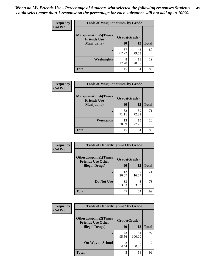| Frequency      | <b>Table of Marijuanatime5 by Grade</b>            |              |             |              |
|----------------|----------------------------------------------------|--------------|-------------|--------------|
| <b>Col Pct</b> | <b>Marijuanatime5</b> (Times<br><b>Friends Use</b> | Grade(Grade) |             |              |
|                | Marijuana)                                         | 10           | 12          | <b>Total</b> |
|                |                                                    | 37<br>82.22  | 43<br>79.63 | 80           |
|                | Weeknights                                         | 8<br>17.78   | 11<br>20.37 | 19           |
|                | <b>Total</b>                                       | 45           | 54          | 99           |

| Frequency      | <b>Table of Marijuanatime6 by Grade</b>           |              |             |              |
|----------------|---------------------------------------------------|--------------|-------------|--------------|
| <b>Col Pct</b> | <b>Marijuanatime6(Times</b><br><b>Friends Use</b> | Grade(Grade) |             |              |
|                | Marijuana)                                        | 10           | 12          | <b>Total</b> |
|                |                                                   | 32<br>71.11  | 39<br>72.22 | 71           |
|                | Weekends                                          | 13<br>28.89  | 15<br>27.78 | 28           |
|                | <b>Total</b>                                      | 45           | 54          | 99           |

| Frequency      | <b>Table of Otherdrugtime1 by Grade</b>                 |              |             |              |
|----------------|---------------------------------------------------------|--------------|-------------|--------------|
| <b>Col Pct</b> | <b>Otherdrugtime1(Times</b><br><b>Friends Use Other</b> | Grade(Grade) |             |              |
|                | <b>Illegal Drugs</b> )                                  | 10           | 12          | <b>Total</b> |
|                |                                                         | 12<br>26.67  | 9<br>16.67  | 21           |
|                | Do Not Use                                              | 33<br>73.33  | 45<br>83.33 | 78           |
|                | <b>Total</b>                                            | 45           | 54          | 99           |

| Frequency      | <b>Table of Otherdrugtime2 by Grade</b>                 |                        |              |                |  |
|----------------|---------------------------------------------------------|------------------------|--------------|----------------|--|
| <b>Col Pct</b> | <b>Otherdrugtime2(Times</b><br><b>Friends Use Other</b> | Grade(Grade)           |              |                |  |
|                | <b>Illegal Drugs</b> )                                  | 10                     | 12           | <b>Total</b>   |  |
|                |                                                         | 43<br>95.56            | 54<br>100.00 | 97             |  |
|                | <b>On Way to School</b>                                 | $\mathfrak{D}$<br>4.44 | 0.00         | $\overline{2}$ |  |
|                | <b>Total</b>                                            | 45                     | 54           | 99             |  |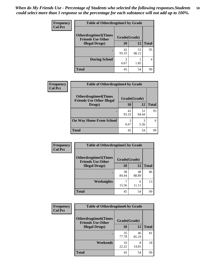| <b>Frequency</b> | <b>Table of Otherdrugtime3 by Grade</b><br>Otherdrugtime3(Times<br>Grade(Grade)<br><b>Friends Use Other</b> |             |             |              |  |
|------------------|-------------------------------------------------------------------------------------------------------------|-------------|-------------|--------------|--|
| <b>Col Pct</b>   |                                                                                                             |             |             |              |  |
|                  | <b>Illegal Drugs</b> )                                                                                      | 10          | 12          | <b>Total</b> |  |
|                  |                                                                                                             | 42<br>93.33 | 53<br>98.15 | 95           |  |
|                  | <b>During School</b>                                                                                        | 3<br>6.67   | 1.85        | 4            |  |
|                  | <b>Total</b>                                                                                                | 45          | 54          | 99           |  |

| Frequency      | <b>Table of Otherdrugtime4 by Grade</b>                         |              |             |              |  |  |
|----------------|-----------------------------------------------------------------|--------------|-------------|--------------|--|--|
| <b>Col Pct</b> | <b>Otherdrugtime4(Times</b><br><b>Friends Use Other Illegal</b> | Grade(Grade) |             |              |  |  |
|                | Drugs)                                                          | 10           | 12          | <b>Total</b> |  |  |
|                | ٠                                                               | 42<br>93.33  | 51<br>94.44 | 93           |  |  |
|                | <b>On Way Home From School</b>                                  | 3<br>6.67    | 3<br>5.56   | 6            |  |  |
|                | <b>Total</b>                                                    | 45           | 54          | 99           |  |  |

| <b>Frequency</b> | <b>Table of Otherdrugtime5 by Grade</b>                  |              |             |              |  |
|------------------|----------------------------------------------------------|--------------|-------------|--------------|--|
| <b>Col Pct</b>   | <b>Otherdrugtime5</b> (Times<br><b>Friends Use Other</b> | Grade(Grade) |             |              |  |
|                  | <b>Illegal Drugs)</b>                                    | 10           | 12          | <b>Total</b> |  |
|                  |                                                          | 38<br>84.44  | 48<br>88.89 | 86           |  |
|                  | Weeknights                                               | 15.56        | 6<br>11.11  | 13           |  |
|                  | <b>Total</b>                                             | 45           | 54          | 99           |  |

| <b>Frequency</b> | <b>Table of Otherdrugtime6 by Grade</b>                 |              |             |              |  |
|------------------|---------------------------------------------------------|--------------|-------------|--------------|--|
| <b>Col Pct</b>   | <b>Otherdrugtime6(Times</b><br><b>Friends Use Other</b> | Grade(Grade) |             |              |  |
|                  | <b>Illegal Drugs</b> )                                  | 10           | 12          | <b>Total</b> |  |
|                  |                                                         | 35<br>77.78  | 46<br>85.19 | 81           |  |
|                  | Weekends                                                | 10<br>22.22  | 8<br>14.81  | 18           |  |
|                  | Total                                                   | 45           | 54          | 99           |  |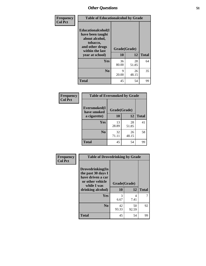| Frequency      | <b>Table of Educationalcohol by Grade</b>                                                                  |              |             |              |  |
|----------------|------------------------------------------------------------------------------------------------------------|--------------|-------------|--------------|--|
| <b>Col Pct</b> | Educationalcohol(I<br>have been taught<br>about alcohol,<br>tobacco,<br>and other drugs<br>within the last | Grade(Grade) |             |              |  |
|                | year at school)                                                                                            | 10           | 12          | <b>Total</b> |  |
|                | Yes                                                                                                        | 36<br>80.00  | 28<br>51.85 | 64           |  |
|                | N <sub>0</sub>                                                                                             | 9<br>20.00   | 26<br>48.15 | 35           |  |
|                | <b>Total</b>                                                                                               | 45           | 54          | 99           |  |

| Frequency      | <b>Table of Eversmoked by Grade</b>         |             |             |              |  |
|----------------|---------------------------------------------|-------------|-------------|--------------|--|
| <b>Col Pct</b> | Eversmoked(I<br>Grade(Grade)<br>have smoked |             |             |              |  |
|                | a cigarette)                                | 10          | 12          | <b>Total</b> |  |
|                | Yes                                         | 13<br>28.89 | 28<br>51.85 | 41           |  |
|                | N <sub>0</sub>                              | 32<br>71.11 | 26<br>48.15 | 58           |  |
|                | <b>Total</b>                                | 45          | 54          | 99           |  |

| Frequency      | <b>Table of Drovedrinking by Grade</b>                                                                              |                          |             |              |  |
|----------------|---------------------------------------------------------------------------------------------------------------------|--------------------------|-------------|--------------|--|
| <b>Col Pct</b> | Drovedrinking(In<br>the past 30 days I<br>have driven a car<br>or other vehicle<br>while I was<br>drinking alcohol) | Grade(Grade)<br>10<br>12 |             | <b>Total</b> |  |
|                | <b>Yes</b>                                                                                                          | 3<br>6.67                | 4<br>7.41   | 7            |  |
|                | N <sub>0</sub>                                                                                                      | 42<br>93.33              | 50<br>92.59 | 92           |  |
|                | <b>Total</b>                                                                                                        | 45                       | 54          | 99           |  |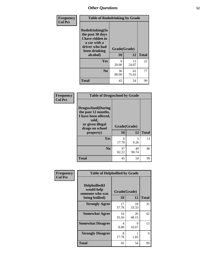| Frequency<br><b>Col Pct</b> | <b>Table of Rodedrinking by Grade</b>                                                                      |              |             |              |  |
|-----------------------------|------------------------------------------------------------------------------------------------------------|--------------|-------------|--------------|--|
|                             | Rodedrinking(In<br>the past 30 days<br>I have ridden in<br>a car with a<br>driver who had<br>been drinking | Grade(Grade) |             |              |  |
|                             | alcohol)                                                                                                   | 10           | 12          | <b>Total</b> |  |
|                             | <b>Yes</b>                                                                                                 | 9<br>20.00   | 13<br>24.07 | 22           |  |
|                             | N <sub>0</sub>                                                                                             | 36<br>80.00  | 41<br>75.93 | 77           |  |
|                             | <b>Total</b>                                                                                               | 45           | 54          | 99           |  |

#### **Frequency Col Pct**

| <b>Table of Drugsschool by Grade</b>                                                                                      |             |              |              |  |  |
|---------------------------------------------------------------------------------------------------------------------------|-------------|--------------|--------------|--|--|
| <b>Drugsschool</b> (During<br>the past 12 months,<br>I have been offered,<br>sold,<br>or given illegal<br>drugs on school |             | Grade(Grade) |              |  |  |
| property)                                                                                                                 | 10          | 12           | <b>Total</b> |  |  |
| Yes                                                                                                                       | 8<br>17.78  | 5<br>9.26    | 13           |  |  |
| N <sub>0</sub>                                                                                                            | 37<br>82.22 | 49<br>90.74  | 86           |  |  |
| <b>Total</b>                                                                                                              | 45          | 54           | 99           |  |  |

| Frequency      | <b>Table of Helpbullied by Grade</b>            |              |             |              |  |  |
|----------------|-------------------------------------------------|--------------|-------------|--------------|--|--|
| <b>Col Pct</b> | Helpbullied(I)<br>would help<br>someone who was | Grade(Grade) |             |              |  |  |
|                | being bullied)                                  | 10           | 12          | <b>Total</b> |  |  |
|                | <b>Strongly Agree</b>                           | 17<br>37.78  | 18<br>33.33 | 35           |  |  |
|                | <b>Somewhat Agree</b>                           | 16<br>35.56  | 26<br>48.15 | 42           |  |  |
|                | <b>Somewhat Disagree</b>                        | 4<br>8.89    | 9<br>16.67  | 13           |  |  |
|                | <b>Strongly Disagree</b>                        | 8<br>17.78   | 1.85        | 9            |  |  |
|                | <b>Total</b>                                    | 45           | 54          | 99           |  |  |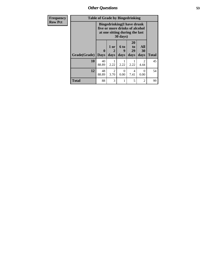| Frequency      | <b>Table of Grade by Bingedrinking</b> |                                                                                                                             |                        |                   |                        |                   |              |
|----------------|----------------------------------------|-----------------------------------------------------------------------------------------------------------------------------|------------------------|-------------------|------------------------|-------------------|--------------|
| <b>Row Pct</b> |                                        | <b>Bingedrinking</b> (I have drunk<br>five or more drinks of alcohol<br>at one sitting during the last<br>$30 \text{ days}$ |                        |                   |                        |                   |              |
|                | Grade(Grade)                           | $\mathbf{0}$<br><b>Days</b>                                                                                                 | 1 or<br>2<br>days      | 6 to<br>g<br>days | 20<br>to<br>29<br>days | All<br>30<br>days | <b>Total</b> |
|                | 10                                     | 40<br>88.89                                                                                                                 | 2.22                   | 2.22              | 2.22                   | 2<br>4.44         | 45           |
|                | 12                                     | 48<br>88.89                                                                                                                 | $\overline{2}$<br>3.70 | 0<br>0.00         | 4<br>7.41              | 0<br>0.00         | 54           |
|                | <b>Total</b>                           | 88                                                                                                                          | 3                      |                   | 5                      | $\mathfrak{D}$    | 99           |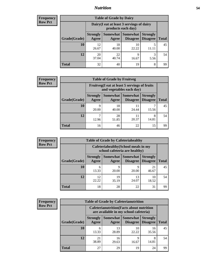### *Nutrition* **54**

| Frequency      |  |
|----------------|--|
| <b>Row Pct</b> |  |

| <b>Table of Grade by Dairy</b> |                          |                                                                 |                             |                                    |              |
|--------------------------------|--------------------------|-----------------------------------------------------------------|-----------------------------|------------------------------------|--------------|
|                                |                          | Dairy (I eat at least 3 servings of dairy<br>products each day) |                             |                                    |              |
| Grade(Grade)                   | <b>Strongly</b><br>Agree | Somewhat<br>Agree                                               | <b>Somewhat</b><br>Disagree | <b>Strongly</b><br><b>Disagree</b> | <b>Total</b> |
| 10                             | 12<br>26.67              | 18<br>40.00                                                     | 10<br>22.22                 | 5                                  | 45           |
| 12                             | 20<br>37.04              | 22<br>40.74                                                     | 9<br>16.67                  | 3<br>5.56                          | 54           |
| <b>Total</b>                   | 32                       | 40                                                              | 19                          | 8                                  | 99           |

| <b>Frequency</b> |
|------------------|
| <b>Row Pct</b>   |

| y | <b>Table of Grade by Fruitveg</b> |                          |                                                                          |                               |                                    |              |
|---|-----------------------------------|--------------------------|--------------------------------------------------------------------------|-------------------------------|------------------------------------|--------------|
|   |                                   |                          | Fruitveg(I eat at least 5 servings of fruits<br>and vegetables each day) |                               |                                    |              |
|   | Grade(Grade)                      | <b>Strongly</b><br>Agree | Agree                                                                    | Somewhat Somewhat<br>Disagree | <b>Strongly</b><br><b>Disagree</b> | <b>Total</b> |
|   | 10                                | 9<br>20.00               | 18<br>40.00                                                              | 11<br>24.44                   | 15.56                              | 45           |
|   | 12                                | 12.96                    | 28<br>51.85                                                              | 11<br>20.37                   | 8<br>14.81                         | 54           |
|   | <b>Total</b>                      | 16                       | 46                                                                       | 22                            | 15                                 | 99           |

| <b>Frequency</b> |              |                          | <b>Table of Grade by Cafeteriahealthy</b>                             |                                      |                                    |              |  |
|------------------|--------------|--------------------------|-----------------------------------------------------------------------|--------------------------------------|------------------------------------|--------------|--|
| <b>Row Pct</b>   |              |                          | Cafeteriahealthy (School meals in my<br>school cafeteria are healthy) |                                      |                                    |              |  |
|                  | Grade(Grade) | <b>Strongly</b><br>Agree | Agree                                                                 | Somewhat Somewhat<br><b>Disagree</b> | <b>Strongly</b><br><b>Disagree</b> | <b>Total</b> |  |
|                  | <b>10</b>    | h<br>13.33               | 9<br>20.00                                                            | 20.00                                | 21<br>46.67                        | 45           |  |
|                  | 12           | 12<br>22.22              | 19<br>35.19                                                           | 13<br>24.07                          | 10<br>18.52                        | 54           |  |
|                  | Total        | 18                       | 28                                                                    | 22                                   | 31                                 | <b>QQ</b>    |  |

| <b>Frequency</b> |
|------------------|
| <b>Row Pct</b>   |

| <b>Table of Grade by Cafeterianutrition</b> |                          |                                                                                           |                                    |                                    |              |
|---------------------------------------------|--------------------------|-------------------------------------------------------------------------------------------|------------------------------------|------------------------------------|--------------|
|                                             |                          | <b>Cafeterianutrition</b> (Facts about nutrition<br>are available in my school cafeteria) |                                    |                                    |              |
| Grade(Grade)                                | <b>Strongly</b><br>Agree | Somewhat  <br>Agree                                                                       | <b>Somewhat</b><br><b>Disagree</b> | <b>Strongly</b><br><b>Disagree</b> | <b>Total</b> |
| 10                                          | 6<br>13.33               | 13<br>28.89                                                                               | 10<br>22.22                        | 16<br>35.56                        | 45           |
| 12                                          | 21<br>38.89              | 16<br>29.63                                                                               | 9<br>16.67                         | 8<br>14.81                         | 54           |
| Total                                       | 27                       | 29                                                                                        | 19                                 | 24                                 | 99           |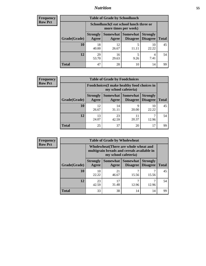### *Nutrition* **55**

| Frequency |
|-----------|
| Row Pct   |

| <b>Table of Grade by Schoollunch</b> |                          |                                                                 |                                 |                                    |              |
|--------------------------------------|--------------------------|-----------------------------------------------------------------|---------------------------------|------------------------------------|--------------|
|                                      |                          | Schoollunch(I eat school lunch three or<br>more times per week) |                                 |                                    |              |
| Grade(Grade)                         | <b>Strongly</b><br>Agree | Agree                                                           | Somewhat   Somewhat<br>Disagree | <b>Strongly</b><br><b>Disagree</b> | <b>Total</b> |
| 10                                   | 18<br>40.00              | 12<br>26.67                                                     | 5                               | 10<br>22.22                        | 45           |
| 12                                   | 29<br>53.70              | 16<br>29.63                                                     | 5<br>9.26                       | 4<br>7.41                          | 54           |
| <b>Total</b>                         | 47                       | 28                                                              | 10                              | 14                                 | 99           |

| <b>Frequency</b> |  |
|------------------|--|
| <b>Row Pct</b>   |  |

| <b>Table of Grade by Foodchoices</b> |                          |                                                                            |                                        |                                    |              |
|--------------------------------------|--------------------------|----------------------------------------------------------------------------|----------------------------------------|------------------------------------|--------------|
|                                      |                          | <b>Foodchoices</b> (I make healthy food choices in<br>my school cafeteria) |                                        |                                    |              |
| Grade(Grade)                         | <b>Strongly</b><br>Agree | Agree                                                                      | <b>Somewhat   Somewhat</b><br>Disagree | <b>Strongly</b><br><b>Disagree</b> | <b>Total</b> |
| 10                                   | 12<br>26.67              | 14<br>31.11                                                                | Q<br>20.00                             | 10<br>22.22                        | 45           |
| 12                                   | 13<br>24.07              | 23<br>42.59                                                                | 11<br>20.37                            | 12.96                              | 54           |
| <b>Total</b>                         | 25                       | 37                                                                         | 20                                     | 17                                 | 99           |

| Frequency |
|-----------|
| - Row Pct |

| V | <b>Table of Grade by Wholewheat</b> |                                                                                                             |             |                                             |                                    |              |
|---|-------------------------------------|-------------------------------------------------------------------------------------------------------------|-------------|---------------------------------------------|------------------------------------|--------------|
|   |                                     | Wholewheat (There are whole wheat and<br>multigrain breads and cereals available in<br>my school cafeteria) |             |                                             |                                    |              |
|   | Grade(Grade)                        | <b>Strongly</b><br>Agree                                                                                    | Agree       | <b>Somewhat Somewhat</b><br><b>Disagree</b> | <b>Strongly</b><br><b>Disagree</b> | <b>Total</b> |
|   | 10                                  | 10<br>22.22                                                                                                 | 21<br>46.67 | 15.56                                       | 15.56                              | 45           |
|   | 12                                  | 23<br>42.59                                                                                                 | 17<br>31.48 | 12.96                                       | 12.96                              | 54           |
|   | <b>Total</b>                        | 33                                                                                                          | 38          | 14                                          | 14                                 | 99           |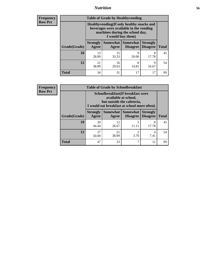### *Nutrition* **56**

**Frequency Row Pct**

| <b>Table of Grade by Healthyvending</b> |                                                                                                                                               |                          |                             |                                    |              |  |  |
|-----------------------------------------|-----------------------------------------------------------------------------------------------------------------------------------------------|--------------------------|-----------------------------|------------------------------------|--------------|--|--|
|                                         | Healthyvending (If only healthy snacks and<br>beverages were available in the vending<br>machines during the school day,<br>I would buy them) |                          |                             |                                    |              |  |  |
| Grade(Grade)                            | <b>Strongly</b><br>Agree                                                                                                                      | <b>Somewhat</b><br>Agree | <b>Somewhat</b><br>Disagree | <b>Strongly</b><br><b>Disagree</b> | <b>Total</b> |  |  |
| 10                                      | 13<br>28.89                                                                                                                                   | 15<br>33.33              | 9<br>20.00                  | 8<br>17.78                         | 45           |  |  |
| 12                                      | 21<br>38.89                                                                                                                                   | 16<br>29.63              | 8<br>14.81                  | 9<br>16.67                         | 54           |  |  |
| Total                                   | 34                                                                                                                                            | 31                       | 17                          | 17                                 | 99           |  |  |

**Frequency Row Pct**

| <b>Table of Grade by Schoolbreakfast</b> |                                                                                                                                         |             |                     |                                        |              |  |
|------------------------------------------|-----------------------------------------------------------------------------------------------------------------------------------------|-------------|---------------------|----------------------------------------|--------------|--|
|                                          | Schoolbreakfast (If breakfast were<br>available at school,<br>but outside the cafeteria,<br>I would eat breakfast at school more often) |             |                     |                                        |              |  |
| Grade(Grade)                             | <b>Strongly</b><br>Agree                                                                                                                | Agree       | Somewhat   Somewhat | <b>Strongly</b><br>Disagree   Disagree | <b>Total</b> |  |
| 10                                       | 20<br>44.44                                                                                                                             | 12<br>26.67 | 5<br>11.11          | 8<br>17.78                             | 45           |  |
| 12                                       | 27<br>50.00                                                                                                                             | 21<br>38.89 | 2<br>3.70           | 4<br>7.41                              | 54           |  |
| <b>Total</b>                             | 47                                                                                                                                      | 33          | 7                   | 12                                     | 99           |  |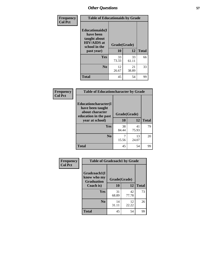| Frequency<br><b>Col Pct</b> | <b>Table of Educationaids by Grade</b>                                                      |                    |              |    |
|-----------------------------|---------------------------------------------------------------------------------------------|--------------------|--------------|----|
|                             | <b>Educationaids</b> (I<br>have been<br>taught about<br><b>HIV/AIDS</b> at<br>school in the | Grade(Grade)<br>10 | <b>Total</b> |    |
|                             | past year)                                                                                  |                    | 12           |    |
|                             | Yes                                                                                         | 33<br>73.33        | 33<br>61.11  | 66 |
|                             | N <sub>0</sub>                                                                              | 12<br>26.67        | 21<br>38.89  | 33 |
|                             | <b>Total</b>                                                                                | 45                 | 54           | 99 |

| Frequency      | <b>Table of Educationcharacter by Grade</b> |              |             |              |  |  |
|----------------|---------------------------------------------|--------------|-------------|--------------|--|--|
| <b>Col Pct</b> | Educationcharacter(I<br>have been taught    |              |             |              |  |  |
|                | about character<br>education in the past    | Grade(Grade) |             |              |  |  |
|                | year at school)                             | 10           | 12          | <b>Total</b> |  |  |
|                | Yes                                         | 38<br>84.44  | 41<br>75.93 | 79           |  |  |
|                | N <sub>0</sub>                              | 15.56        | 13<br>24.07 | 20           |  |  |
|                | <b>Total</b>                                | 45           | 54          | 99           |  |  |

| <b>Frequency</b> | <b>Table of Gradcoach1 by Grade</b>              |              |             |              |
|------------------|--------------------------------------------------|--------------|-------------|--------------|
| <b>Col Pct</b>   | Gradcoach1(I<br>know who my<br><b>Graduation</b> | Grade(Grade) |             |              |
|                  | Coach is)                                        | 10           | 12          | <b>Total</b> |
|                  | Yes                                              | 31<br>68.89  | 42<br>77.78 | 73           |
|                  | N <sub>0</sub>                                   | 14<br>31.11  | 12<br>22.22 | 26           |
|                  | <b>Total</b>                                     | 45           | 54          | 99           |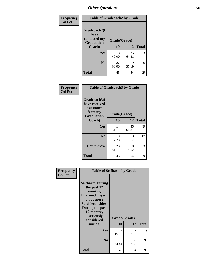| Frequency      | <b>Table of Gradcoach2 by Grade</b> |              |             |              |
|----------------|-------------------------------------|--------------|-------------|--------------|
| <b>Col Pct</b> |                                     |              |             |              |
|                | Gradcoach2(I<br>have                |              |             |              |
|                | contacted my<br><b>Graduation</b>   | Grade(Grade) |             |              |
|                | Coach)                              | 10           | 12          | <b>Total</b> |
|                | Yes                                 | 18<br>40.00  | 35<br>64.81 | 53           |
|                | N <sub>0</sub>                      | 27<br>60.00  | 19<br>35.19 | 46           |
|                | <b>Total</b>                        | 45           | 54          | 99           |

| Frequency<br><b>Col Pct</b> | <b>Table of Gradcoach3 by Grade</b>                                         |              |             |              |
|-----------------------------|-----------------------------------------------------------------------------|--------------|-------------|--------------|
|                             | Gradcoach3(I<br>have received<br>assistance<br>from my<br><b>Graduation</b> | Grade(Grade) |             |              |
|                             | Coach)                                                                      | 10           | 12          | <b>Total</b> |
|                             | Yes                                                                         | 14<br>31.11  | 35<br>64.81 | 49           |
|                             | N <sub>0</sub>                                                              | 8<br>17.78   | 9<br>16.67  | 17           |
|                             | Don't know                                                                  | 23<br>51.11  | 10<br>18.52 | 33           |
|                             | <b>Total</b>                                                                | 45           | 54          | 99           |

| Frequency<br><b>Col Pct</b> | <b>Table of Selfharm by Grade</b>                                                                                                                                                      |             |                    |              |
|-----------------------------|----------------------------------------------------------------------------------------------------------------------------------------------------------------------------------------|-------------|--------------------|--------------|
|                             | <b>Selfharm</b> (During<br>the past 12<br>months,<br>I harmed myself<br>on purpose<br><b>Suicideconsider</b><br>During the past<br>12 months,<br>I seriously<br>considered<br>suicide) | <b>10</b>   | Grade(Grade)<br>12 | <b>Total</b> |
|                             | Yes                                                                                                                                                                                    | 7           | $\mathfrak{D}$     | 9            |
|                             |                                                                                                                                                                                        | 15.56       | 3.70               |              |
|                             | N <sub>0</sub>                                                                                                                                                                         | 38<br>84.44 | 52<br>96.30        | 90           |
|                             | <b>Total</b>                                                                                                                                                                           | 45          | 54                 | 99           |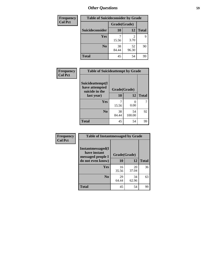| <b>Frequency</b> | <b>Table of Suicideconsider by Grade</b> |              |             |              |
|------------------|------------------------------------------|--------------|-------------|--------------|
| <b>Col Pct</b>   |                                          | Grade(Grade) |             |              |
|                  | Suicideconsider                          | <b>10</b>    | 12          | <b>Total</b> |
|                  | Yes                                      | 15.56        | 2<br>3.70   | 9            |
|                  | N <sub>0</sub>                           | 38<br>84.44  | 52<br>96.30 | 90           |
|                  | <b>Total</b>                             | 45           | 54          | 99           |

| Frequency      | <b>Table of Suicideattempt by Grade</b>              |              |        |              |
|----------------|------------------------------------------------------|--------------|--------|--------------|
| <b>Col Pct</b> | Suicideattempt(I<br>have attempted<br>suicide in the | Grade(Grade) |        |              |
|                | last year)                                           | <b>10</b>    | 12     | <b>Total</b> |
|                | Yes                                                  | 7            | 0      |              |
|                |                                                      | 15.56        | 0.00   |              |
|                | N <sub>0</sub>                                       | 38           | 54     | 92           |
|                |                                                      | 84.44        | 100.00 |              |
|                | <b>Total</b>                                         | 45           | 54     | 99           |

| Frequency      | <b>Table of Instantmessaged by Grade</b>               |              |             |              |
|----------------|--------------------------------------------------------|--------------|-------------|--------------|
| <b>Col Pct</b> | Instantmessaged(I<br>have instant<br>messaged people I | Grade(Grade) |             |              |
|                | do not even know)                                      | 10           | 12          | <b>Total</b> |
|                | Yes                                                    | 16<br>35.56  | 20<br>37.04 | 36           |
|                | N <sub>0</sub>                                         | 29<br>64.44  | 34<br>62.96 | 63           |
|                | <b>Total</b>                                           | 45           | 54          | 99           |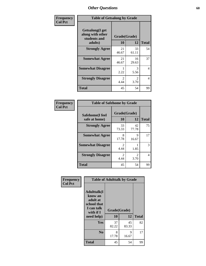| Frequency      | <b>Table of Getsalong by Grade</b>                          |                       |                        |              |  |  |  |
|----------------|-------------------------------------------------------------|-----------------------|------------------------|--------------|--|--|--|
| <b>Col Pct</b> | <b>Getsalong</b> (I get<br>along with other<br>students and | Grade(Grade)          |                        |              |  |  |  |
|                | adults)                                                     | 10                    | 12                     | <b>Total</b> |  |  |  |
|                | <b>Strongly Agree</b>                                       | 21<br>46.67           | 33<br>61.11            | 54           |  |  |  |
|                | <b>Somewhat Agree</b>                                       | 21<br>46.67           | 16<br>29.63            | 37           |  |  |  |
|                | <b>Somewhat Disagree</b>                                    | 2.22                  | 3<br>5.56              | 4            |  |  |  |
|                | <b>Strongly Disagree</b>                                    | $\mathcal{L}$<br>4.44 | $\mathfrak{D}$<br>3.70 | 4            |  |  |  |
|                | <b>Total</b>                                                | 45                    | 54                     | 99           |  |  |  |

| Frequency      | <b>Table of Safehome by Grade</b> |                                     |                        |              |  |  |  |
|----------------|-----------------------------------|-------------------------------------|------------------------|--------------|--|--|--|
| <b>Col Pct</b> | Safehome(I feel                   | Grade(Grade)                        |                        |              |  |  |  |
|                | safe at home)                     | <b>10</b>                           | 12                     | <b>Total</b> |  |  |  |
|                | <b>Strongly Agree</b>             | 33<br>73.33                         | 42<br>77.78            | 75           |  |  |  |
|                | <b>Somewhat Agree</b>             | 8<br>17.78                          | 9<br>16.67             | 17           |  |  |  |
|                | <b>Somewhat Disagree</b>          | $\mathcal{D}_{\mathcal{L}}$<br>4.44 | 1.85                   | 3            |  |  |  |
|                | <b>Strongly Disagree</b>          | $\mathcal{D}_{\mathcal{A}}$<br>4.44 | $\mathfrak{D}$<br>3.70 | 4            |  |  |  |
|                | <b>Total</b>                      | 45                                  | 54                     | 99           |  |  |  |

| Frequency<br><b>Col Pct</b> |                                                                                      | <b>Table of Adulttalk by Grade</b> |             |              |
|-----------------------------|--------------------------------------------------------------------------------------|------------------------------------|-------------|--------------|
|                             | <b>Adulttalk</b> (I<br>know an<br>adult at<br>school that<br>I can talk<br>with if I | Grade(Grade)                       |             |              |
|                             | need help)                                                                           | 10                                 | 12          | <b>Total</b> |
|                             | <b>Yes</b>                                                                           | 37<br>82.22                        | 45<br>83.33 | 82           |
|                             | N <sub>0</sub>                                                                       | 8<br>17.78                         | 9<br>16.67  | 17           |
|                             | <b>Total</b>                                                                         | 45                                 | 54          | 99           |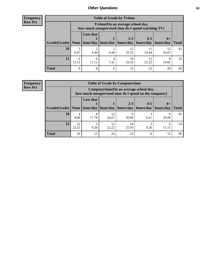**Frequency Row Pct**

| <b>Table of Grade by Tvtime</b> |            |                                                                                        |      |                                                                    |             |             |              |  |  |  |
|---------------------------------|------------|----------------------------------------------------------------------------------------|------|--------------------------------------------------------------------|-------------|-------------|--------------|--|--|--|
|                                 |            | Tvtime(On an average school day,<br>how much unsupervised time do I spend watching TV) |      |                                                                    |             |             |              |  |  |  |
| Grade(Grade)   None             |            | <b>Less that</b>                                                                       |      | $2 - 3$<br>hour/day   hour/day   hours/day   hours/day   hours/day | $4 - 5$     | $6+$        | <b>Total</b> |  |  |  |
| 10                              | 3<br>6.67  | 2<br>4.44                                                                              | 4.44 | 15<br>33.33                                                        | 24.44       | 12<br>26.67 | 45           |  |  |  |
| 12                              | 6<br>11.11 | 6<br>11.11                                                                             | 7.41 | 18<br>33.33                                                        | 12<br>22.22 | 14.81       | 54           |  |  |  |
| <b>Total</b>                    | 9          | 8                                                                                      |      | 33                                                                 | 23          | 20          | 99           |  |  |  |

**Frequency Row Pct**

| <b>Table of Grade by Computertime</b> |             |                                                                                                   |             |                        |                      |                   |              |  |  |
|---------------------------------------|-------------|---------------------------------------------------------------------------------------------------|-------------|------------------------|----------------------|-------------------|--------------|--|--|
|                                       |             | Computertime (On an average school day,<br>how much unsupervised time do I spend on the computer) |             |                        |                      |                   |              |  |  |
| Grade(Grade)                          | None        | <b>Less that</b><br>hour/day                                                                      | hour/day    | $2 - 3$<br>  hours/day | $4 - 5$<br>hours/day | $6+$<br>hours/day | <b>Total</b> |  |  |
| 10                                    | 4<br>8.89   | 8<br>17.78                                                                                        | 12<br>26.67 | Q<br>20.00             | 3<br>6.67            | Q<br>20.00        | 45           |  |  |
| 12                                    | 12<br>22.22 | 12<br>14<br>h<br>22.22<br>9.26<br>25.93<br>9.26<br>11 11                                          |             |                        |                      |                   |              |  |  |
| <b>Total</b>                          | 16          | 13                                                                                                | 24          | 23                     | 8                    | 15                | 99           |  |  |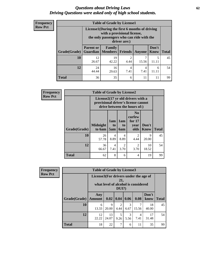#### *Questions about Driving Laws* **62** *Driving Questions were asked only of high school students.*

| <b>Frequency</b> |
|------------------|
| <b>Row Pct</b>   |

| <b>Table of Grade by License1</b> |                                                                    |                                                                                                                                           |                |        |                      |              |  |  |  |
|-----------------------------------|--------------------------------------------------------------------|-------------------------------------------------------------------------------------------------------------------------------------------|----------------|--------|----------------------|--------------|--|--|--|
|                                   |                                                                    | License1(During the first 6 months of driving<br>with a provisional license,<br>the only passengers who can ride with the<br>driver are:) |                |        |                      |              |  |  |  |
| Grade(Grade)                      | <b>Parent or</b><br>Guardian                                       | Family<br><b>Members</b>                                                                                                                  | <b>Friends</b> | Anyone | Don't<br><b>Know</b> | <b>Total</b> |  |  |  |
| 10                                | 12<br>26.67                                                        | 19<br>42.22                                                                                                                               | 2<br>4.44      | 15.56  | 5<br>11.11           | 45           |  |  |  |
| 12                                | 24<br>16<br>4<br>6<br>4<br>44.44<br>7.41<br>7.41<br>29.63<br>11.11 |                                                                                                                                           |                |        |                      |              |  |  |  |
| Total                             | 36                                                                 | 35                                                                                                                                        | 6              | 11     | 11                   | 99           |  |  |  |

| <b>Frequency</b> | <b>Table of Grade by License2</b> |                                                                                                          |                  |                                     |                                                      |               |              |  |  |
|------------------|-----------------------------------|----------------------------------------------------------------------------------------------------------|------------------|-------------------------------------|------------------------------------------------------|---------------|--------------|--|--|
| <b>Row Pct</b>   |                                   | License2(17 yr old drivers with a<br>provisional driver's license cannot<br>drive between the hours of:) |                  |                                     |                                                      |               |              |  |  |
|                  | Grade(Grade)                      | <b>Midnight</b><br>to 6am                                                                                | 1am<br>to<br>5am | 1am<br>t <sub>0</sub><br><b>6am</b> | N <sub>0</sub><br>curfew<br>for $17$<br>year<br>olds | Don't<br>Know | <b>Total</b> |  |  |
|                  | 10                                | 26<br>57.78                                                                                              | 4<br>8.89        | 4<br>8.89                           | $\overline{2}$<br>4.44                               | 9<br>20.00    | 45           |  |  |
|                  | 12                                | 36<br>66.67                                                                                              | 4<br>7.41        | $\overline{c}$<br>3.70              | $\overline{2}$<br>3.70                               | 10<br>18.52   | 54           |  |  |
|                  | <b>Total</b>                      | 62                                                                                                       | 8                | 6                                   | $\overline{4}$                                       | 19            | 99           |  |  |

| Frequency      |              | <b>Table of Grade by License3</b>     |             |                 |                       |                                     |               |              |
|----------------|--------------|---------------------------------------|-------------|-----------------|-----------------------|-------------------------------------|---------------|--------------|
| <b>Row Pct</b> |              | License3(For drivers under the age of |             | 21,<br>$DUI$ ?) |                       | what level of alcohol is considered |               |              |
|                | Grade(Grade) | Any<br><b>Amount</b>                  | 0.02        | $\vert$ 0.04    | 0.06                  | 0.08                                | Don't<br>know | <b>Total</b> |
|                | <b>10</b>    | 6<br>13.33                            | 9<br>20.00  | 2<br>4.44       | $\mathcal{F}$<br>6.67 | 15.56                               | 18<br>40.00   | 45           |
|                | 12           | 12<br>22.22                           | 13<br>24.07 | 5<br>9.26       | 3<br>5.56             | 4<br>7.41                           | 17<br>31.48   | 54           |
|                | <b>Total</b> | 18                                    | 22          | 7               | 6                     | 11                                  | 35            | 99           |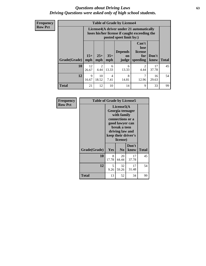#### *Questions about Driving Laws* **63** *Driving Questions were asked only of high school students.*

**Frequency Row Pct**

|                     |             |                                                                                                                                                                                                                                                                                |            | <b>Table of Grade by License4</b> |           |             |    |  |  |
|---------------------|-------------|--------------------------------------------------------------------------------------------------------------------------------------------------------------------------------------------------------------------------------------------------------------------------------|------------|-----------------------------------|-----------|-------------|----|--|--|
|                     |             | License4(A driver under 21 automatically<br>loses his/her license if caught exceeding the<br>posted speet limit by:)<br>Can't<br>lose<br><b>Depends</b><br>license<br>$15+$<br>$25+$<br>$35+$<br>Don't<br>for<br>on<br><b>Total</b><br>mph<br>speeding<br>know<br>mph<br>judge |            |                                   |           |             |    |  |  |
| <b>Grade(Grade)</b> | mph         |                                                                                                                                                                                                                                                                                |            |                                   |           |             |    |  |  |
| 10                  | 12<br>26.67 | $\mathfrak{D}$<br>4.44                                                                                                                                                                                                                                                         | 6<br>13.33 | 6<br>13.33                        | 2<br>4.44 | 17<br>37.78 | 45 |  |  |
| 12                  | 9<br>16.67  | 8<br>10<br>7<br>16<br>$\overline{4}$<br>18.52<br>7.41<br>14.81<br>12.96<br>29.63                                                                                                                                                                                               |            |                                   |           |             |    |  |  |
| <b>Total</b>        | 21          | 12                                                                                                                                                                                                                                                                             | 10         | 14                                | 9         | 33          | 99 |  |  |

| Frequency      | <b>Table of Grade by License5</b> |                                                                                                                                                             |                |               |       |
|----------------|-----------------------------------|-------------------------------------------------------------------------------------------------------------------------------------------------------------|----------------|---------------|-------|
| <b>Row Pct</b> |                                   | License5(A)<br>Georgia teenager<br>with family<br>connections or a<br>good lawyer can<br>break a teen<br>driving law and<br>keep their driver's<br>license) |                |               |       |
|                | Grade(Grade)                      | Yes                                                                                                                                                         | N <sub>0</sub> | Don't<br>know | Total |
|                | 10                                | 8<br>17.78                                                                                                                                                  | 20<br>44.44    | 17<br>37.78   | 45    |
|                | 12                                | 5<br>9.26                                                                                                                                                   | 32<br>59.26    | 17<br>31.48   | 54    |
|                | <b>Total</b>                      | 13                                                                                                                                                          | 52             | 34            | 99    |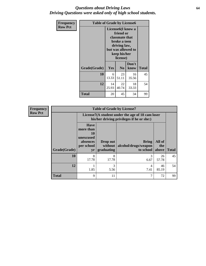#### *Questions about Driving Laws* **64** *Driving Questions were asked only of high school students.*

| <b>Frequency</b> |              | <b>Table of Grade by License6</b>                                                                                                               |                |               |              |  |
|------------------|--------------|-------------------------------------------------------------------------------------------------------------------------------------------------|----------------|---------------|--------------|--|
| <b>Row Pct</b>   |              | License <sub>6</sub> (I know a<br>friend or<br>classmate that<br>broke a teen<br>driving law,<br>but was allowed to<br>keep his/her<br>license) |                |               |              |  |
|                  | Grade(Grade) | <b>Yes</b>                                                                                                                                      | N <sub>0</sub> | Don't<br>know | <b>Total</b> |  |
|                  | 10           | 16<br>23<br>6<br>51.11<br>13.33<br>35.56                                                                                                        |                |               | 45           |  |
|                  | 12           | 14<br>22<br>18<br>40.74<br>25.93<br>33.33                                                                                                       |                |               | 54           |  |
|                  | <b>Total</b> | 20                                                                                                                                              | 45             | 34            | 99           |  |

| <b>Frequency</b> |              | <b>Table of Grade by License7</b>                                           |                                                                                               |                                            |                        |              |  |
|------------------|--------------|-----------------------------------------------------------------------------|-----------------------------------------------------------------------------------------------|--------------------------------------------|------------------------|--------------|--|
| <b>Row Pct</b>   |              |                                                                             | License7(A student under the age of 18 cam loser<br>his/her driving privileges if he or she:) |                                            |                        |              |  |
|                  | Grade(Grade) | <b>Have</b><br>more than<br>10<br>unexcused<br>absences<br>per school<br>yr | Drop out<br>without<br>graduating                                                             | Bring<br>alcohol/drugs/weapon<br>to school | All of<br>the<br>above | <b>Total</b> |  |
|                  | 10           | 8<br>17.78                                                                  | 8<br>17.78                                                                                    | 6.67                                       | 26<br>57.78            | 45           |  |
|                  | 12           | 1.85                                                                        | 3<br>5.56                                                                                     | 7.41                                       | 46<br>85.19            | 54           |  |
|                  | <b>Total</b> | 9                                                                           | 11                                                                                            | 7                                          | 72                     | 99           |  |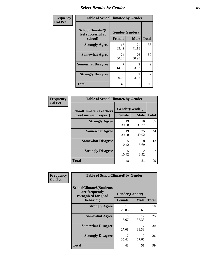# *Select Results by Gender* **65**

| Frequency      | <b>Table of SchoolClimate2 by Gender</b>          |                                 |                                     |                |
|----------------|---------------------------------------------------|---------------------------------|-------------------------------------|----------------|
| <b>Col Pct</b> | SchoolClimate2(I<br>feel successful at<br>school) | Gender(Gender)<br><b>Female</b> | <b>Male</b>                         | <b>Total</b>   |
|                | <b>Strongly Agree</b>                             | 17<br>35.42                     | 21<br>41.18                         | 38             |
|                | <b>Somewhat Agree</b>                             | 24<br>50.00                     | 26<br>50.98                         | 50             |
|                | <b>Somewhat Disagree</b>                          | 14.58                           | $\mathcal{D}_{\mathcal{L}}$<br>3.92 | 9              |
|                | <b>Strongly Disagree</b>                          | $\mathbf{0}$<br>0.00            | $\mathcal{L}$<br>3.92               | $\overline{2}$ |
|                | <b>Total</b>                                      | 48                              | 51                                  | 99             |

| Frequency      | <b>Table of SchoolClimate6 by Gender</b>                 |                                 |                                     |              |  |
|----------------|----------------------------------------------------------|---------------------------------|-------------------------------------|--------------|--|
| <b>Col Pct</b> | <b>SchoolClimate6(Teachers</b><br>treat me with respect) | Gender(Gender)<br><b>Female</b> | <b>Male</b>                         | <b>Total</b> |  |
|                | <b>Strongly Agree</b>                                    | 19<br>39.58                     | 16<br>31.37                         | 35           |  |
|                | <b>Somewhat Agree</b>                                    | 19<br>39.58                     | 25<br>49.02                         | 44           |  |
|                | <b>Somewhat Disagree</b>                                 | 5<br>10.42                      | 8<br>15.69                          | 13           |  |
|                | <b>Strongly Disagree</b>                                 | 5<br>10.42                      | $\mathcal{D}_{\mathcal{L}}$<br>3.92 |              |  |
|                | <b>Total</b>                                             | 48                              | 51                                  | 99           |  |

| <b>Frequency</b> | <b>Table of SchoolClimate8 by Gender</b>                                             |                                 |             |              |
|------------------|--------------------------------------------------------------------------------------|---------------------------------|-------------|--------------|
| <b>Col Pct</b>   | <b>SchoolClimate8(Students</b><br>are frequently<br>recognized for good<br>behavior) | Gender(Gender)<br><b>Female</b> | <b>Male</b> | <b>Total</b> |
|                  | <b>Strongly Agree</b>                                                                | 10<br>20.83                     | 8<br>15.69  | 18           |
|                  | <b>Somewhat Agree</b>                                                                | 8<br>16.67                      | 17<br>33.33 | 25           |
|                  | <b>Somewhat Disagree</b>                                                             | 13<br>27.08                     | 17<br>33.33 | 30           |
|                  | <b>Strongly Disagree</b>                                                             | 17<br>35.42                     | 9<br>17.65  | 26           |
|                  | Total                                                                                | 48                              | 51          | 99           |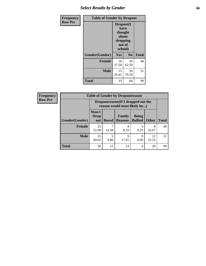# *Select Results by Gender* **66**

| Frequency      | <b>Table of Gender by Dropout</b> |                                                                        |                |              |
|----------------|-----------------------------------|------------------------------------------------------------------------|----------------|--------------|
| <b>Row Pct</b> |                                   | Dropout(I<br>have<br>thought<br>about<br>dropping<br>out of<br>school) |                |              |
|                | Gender(Gender)                    | Yes                                                                    | N <sub>0</sub> | <b>Total</b> |
|                | <b>Female</b>                     | 18<br>37.50                                                            | 30<br>62.50    | 48           |
|                | <b>Male</b>                       | 15<br>29.41                                                            | 36<br>70.59    | 51           |
|                | <b>Total</b>                      | 33                                                                     | 66             | 99           |

| <b>Frequency</b> | <b>Table of Gender by Dropoutreason</b> |                                                                    |              |                          |                                |              |              |
|------------------|-----------------------------------------|--------------------------------------------------------------------|--------------|--------------------------|--------------------------------|--------------|--------------|
| <b>Row Pct</b>   |                                         | Dropoutreason(If I dropped out the<br>reason would most likely be) |              |                          |                                |              |              |
|                  | Gender(Gender)                          | Won't<br><b>Drop</b><br>out                                        | <b>Bored</b> | Family<br><b>Reasons</b> | <b>Being</b><br><b>Bullied</b> | <b>Other</b> | <b>Total</b> |
|                  | Female                                  | 25<br>52.08                                                        | 14.58        | 4<br>8.33                | 4<br>8.33                      | 8<br>16.67   | 48           |
|                  | <b>Male</b>                             | 25<br>49.02                                                        | 5<br>9.80    | 9<br>17.65               | 0.00                           | 12<br>23.53  | 51           |
|                  | <b>Total</b>                            | 50                                                                 | 12           | 13                       | $\overline{4}$                 | 20           | 99           |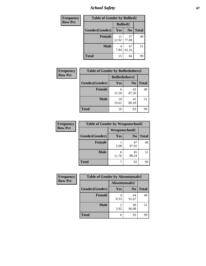*School Safety* **67**

| Frequency      | <b>Table of Gender by Bullied2</b> |                 |                |              |  |
|----------------|------------------------------------|-----------------|----------------|--------------|--|
| <b>Row Pct</b> |                                    | <b>Bullied2</b> |                |              |  |
|                | Gender(Gender)                     | Yes             | N <sub>0</sub> | <b>Total</b> |  |
|                | <b>Female</b>                      | 11<br>22.92     | 37<br>77.08    | 48           |  |
|                | <b>Male</b>                        | 7.84            | 47<br>92.16    | 51           |  |
|                | <b>Total</b>                       | 15              | 84             | 99           |  |

| <b>Frequency</b> | <b>Table of Gender by Bulliedothers2</b> |                       |                |              |
|------------------|------------------------------------------|-----------------------|----------------|--------------|
| <b>Row Pct</b>   |                                          | <b>Bulliedothers2</b> |                |              |
|                  | Gender(Gender)                           | <b>Yes</b>            | N <sub>0</sub> | <b>Total</b> |
|                  | <b>Female</b>                            | 6<br>12.50            | 42<br>87.50    | 48           |
|                  | <b>Male</b>                              | 10<br>19.61           | 41<br>80.39    | 51           |
|                  | Total                                    | 16                    | 83             | 99           |

| Frequency      | <b>Table of Gender by Weaponschool2</b> |                      |                |              |
|----------------|-----------------------------------------|----------------------|----------------|--------------|
| <b>Row Pct</b> |                                         | <b>Weaponschool2</b> |                |              |
|                | Gender(Gender)                          | Yes                  | N <sub>0</sub> | <b>Total</b> |
|                | <b>Female</b>                           | 2.08                 | 47<br>97.92    | 48           |
|                | <b>Male</b>                             | 6<br>11.76           | 45<br>88.24    | 51           |
|                | <b>Total</b>                            |                      | 92             | 99           |

| Frequency      | <b>Table of Gender by Absentunsafe2</b> |               |                |              |
|----------------|-----------------------------------------|---------------|----------------|--------------|
| <b>Row Pct</b> |                                         | Absentunsafe2 |                |              |
|                | Gender(Gender)                          | Yes           | N <sub>0</sub> | <b>Total</b> |
|                | <b>Female</b>                           | 4<br>8.33     | 44<br>91.67    | 48           |
|                | <b>Male</b>                             | 3.92          | 49<br>96.08    | 51           |
|                | <b>Total</b>                            | 6             | 93             | 99           |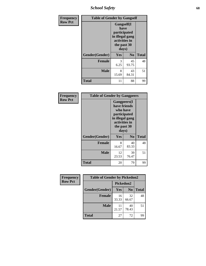*School Safety* **68**

| Frequency      | <b>Table of Gender by Gangself</b> |                                                                                                |                |              |
|----------------|------------------------------------|------------------------------------------------------------------------------------------------|----------------|--------------|
| <b>Row Pct</b> |                                    | Gangself(I<br>have<br>participated<br>in illegal gang<br>activities in<br>the past 30<br>days) |                |              |
|                | Gender(Gender)                     | Yes                                                                                            | N <sub>0</sub> | <b>Total</b> |
|                | <b>Female</b>                      | 3<br>6.25                                                                                      | 45<br>93.75    | 48           |
|                | <b>Male</b>                        | 8<br>15.69                                                                                     | 43<br>84.31    | 51           |
|                | <b>Total</b>                       | 11                                                                                             | 88             | 99           |

| Frequency      | <b>Table of Gender by Gangpeers</b> |                                                                                                                             |                |              |
|----------------|-------------------------------------|-----------------------------------------------------------------------------------------------------------------------------|----------------|--------------|
| <b>Row Pct</b> |                                     | <b>Gangpeers</b> (I<br>have friends<br>who have<br>participated<br>in illegal gang<br>activities in<br>the past 30<br>days) |                |              |
|                | Gender(Gender)                      | <b>Yes</b>                                                                                                                  | N <sub>0</sub> | <b>Total</b> |
|                | <b>Female</b>                       | 8<br>16.67                                                                                                                  | 40<br>83.33    | 48           |
|                | <b>Male</b>                         | 12<br>23.53                                                                                                                 | 39<br>76.47    | 51           |
|                | Total                               | 20                                                                                                                          | 79             | 99           |

| Frequency      | <b>Table of Gender by Pickedon2</b> |             |                |              |
|----------------|-------------------------------------|-------------|----------------|--------------|
| <b>Row Pct</b> |                                     | Pickedon2   |                |              |
|                | Gender(Gender)                      | <b>Yes</b>  | N <sub>0</sub> | <b>Total</b> |
|                | <b>Female</b>                       | 16<br>33.33 | 32<br>66.67    | 48           |
|                | <b>Male</b>                         | 11<br>21.57 | 40<br>78.43    | 51           |
|                | <b>Total</b>                        | 27          | 72             | 99           |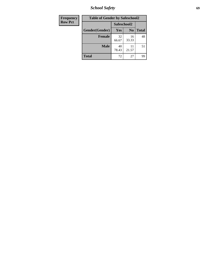*School Safety* **69**

| Frequency      | <b>Table of Gender by Safeschool2</b> |             |                |              |
|----------------|---------------------------------------|-------------|----------------|--------------|
| <b>Row Pct</b> |                                       | Safeschool2 |                |              |
|                | Gender(Gender)                        | Yes         | N <sub>0</sub> | <b>Total</b> |
|                | <b>Female</b>                         | 32<br>66.67 | 16<br>33.33    | 48           |
|                | <b>Male</b>                           | 40<br>78.43 | 21.57          | 51           |
|                | <b>Total</b>                          | 72          | 27             | 99           |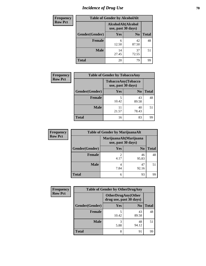# *Incidence of Drug Use* **70**

| <b>Frequency</b> | <b>Table of Gender by AlcoholAlt</b> |                                          |                |              |
|------------------|--------------------------------------|------------------------------------------|----------------|--------------|
| <b>Row Pct</b>   |                                      | AlcoholAlt(Alcohol<br>use, past 30 days) |                |              |
|                  | Gender(Gender)                       | <b>Yes</b>                               | N <sub>0</sub> | <b>Total</b> |
|                  | <b>Female</b>                        | 6<br>12.50                               | 42<br>87.50    | 48           |
|                  | <b>Male</b>                          | 14<br>27.45                              | 37<br>72.55    | 51           |
|                  | <b>Total</b>                         | 20                                       | 79             | 99           |

| <b>Frequency</b> | <b>Table of Gender by TobaccoAny</b> |                                          |                |              |  |
|------------------|--------------------------------------|------------------------------------------|----------------|--------------|--|
| <b>Row Pct</b>   |                                      | TobaccoAny(Tobacco<br>use, past 30 days) |                |              |  |
|                  | Gender(Gender)                       | Yes                                      | N <sub>0</sub> | <b>Total</b> |  |
|                  | Female                               | 5<br>10.42                               | 43<br>89.58    | 48           |  |
|                  | <b>Male</b>                          | 11<br>21.57                              | 40<br>78.43    | 51           |  |
|                  | <b>Total</b>                         | 16                                       | 83             | 99           |  |

| <b>Frequency</b> | <b>Table of Gender by MarijuanaAlt</b> |                                              |                |              |
|------------------|----------------------------------------|----------------------------------------------|----------------|--------------|
| <b>Row Pct</b>   |                                        | MarijuanaAlt(Marijuana<br>use, past 30 days) |                |              |
|                  | Gender(Gender)                         | <b>Yes</b>                                   | N <sub>0</sub> | <b>Total</b> |
|                  | Female                                 | $\mathcal{D}$<br>4.17                        | 46<br>95.83    | 48           |
|                  | <b>Male</b>                            | 4<br>7.84                                    | 47<br>92.16    | 51           |
|                  | <b>Total</b>                           | 6                                            | 93             | 99           |

| <b>Frequency</b> | <b>Table of Gender by OtherDrugAny</b> |                                                      |                |              |
|------------------|----------------------------------------|------------------------------------------------------|----------------|--------------|
| <b>Row Pct</b>   |                                        | <b>OtherDrugAny(Other</b><br>drug use, past 30 days) |                |              |
|                  | Gender(Gender)                         | <b>Yes</b>                                           | N <sub>0</sub> | <b>Total</b> |
|                  | <b>Female</b>                          | 10.42                                                | 43<br>89.58    | 48           |
|                  | <b>Male</b>                            | 3<br>5.88                                            | 48<br>94.12    | 51           |
|                  | <b>Total</b>                           | 8                                                    | 91             | 99           |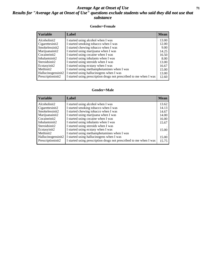#### *Average Age at Onset of Use* **71** *Results for "Average Age at Onset of Use" questions exclude students who said they did not use that substance*

#### **Gender=Female**

| <b>Variable</b>                 | <b>Label</b>                                                       | <b>Mean</b> |
|---------------------------------|--------------------------------------------------------------------|-------------|
| Alcoholinit2                    | I started using alcohol when I was                                 | 13.00       |
| Cigarettesinit2                 | I started smoking tobacco when I was                               | 12.00       |
| Smokelessinit2                  | I started chewing tobacco when I was                               | 9.00        |
| Marijuanainit2                  | I started using marijuana when I was                               | 14.25       |
| Cocaineinit2                    | I started using cocaine when I was                                 | 16.50       |
| Inhalantsinit2                  | I started using inhalants when I was                               | 8.00        |
| Steroidsinit2                   | I started using steroids when I was                                | 13.00       |
| Ecstasyinit2                    | I started using ecstasy when I was                                 | 16.67       |
| Methinit2                       | I started using methamphetamines when I was                        | 15.00       |
| Hallucinogensinit2              | I started using hallucinogens when I was                           | 13.00       |
| Prescription in it <sub>2</sub> | I started using prescription drugs not prescribed to me when I was | 12.60       |

#### **Gender=Male**

| <b>Variable</b>    | Label                                                              | <b>Mean</b> |
|--------------------|--------------------------------------------------------------------|-------------|
| Alcoholinit2       | I started using alcohol when I was                                 | 13.62       |
| Cigarettesinit2    | I started smoking tobacco when I was                               | 14.13       |
| Smokelessinit2     | I started chewing tobacco when I was                               | 14.67       |
| Marijuanainit2     | I started using marijuana when I was                               | 14.00       |
| Cocaineinit2       | I started using cocaine when I was                                 | 16.00       |
| Inhalantsinit2     | I started using inhalants when I was                               | 15.67       |
| Steroidsinit2      | I started using steroids when I was                                |             |
| Ecstasyinit2       | I started using ecstasy when I was                                 | 15.00       |
| Methinit2          | I started using methamphetamines when I was                        |             |
| Hallucinogensinit2 | I started using hallucinogens when I was                           | 15.00       |
| Prescriptioninit2  | I started using prescription drugs not prescribed to me when I was | 15.75       |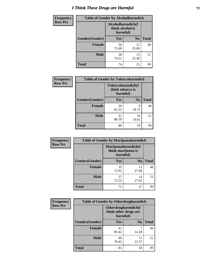# *I Think These Drugs are Harmful* **72**

| <b>Frequency</b> | <b>Table of Gender by Alcoholharmdich</b> |                                                   |                |              |
|------------------|-------------------------------------------|---------------------------------------------------|----------------|--------------|
| <b>Row Pct</b>   |                                           | Alcoholharmdich(I<br>think alcohol is<br>harmful) |                |              |
|                  | Gender(Gender)                            | <b>Yes</b>                                        | N <sub>0</sub> | <b>Total</b> |
|                  | Female                                    | 36<br>75.00                                       | 12<br>25.00    | 48           |
|                  | <b>Male</b>                               | 38<br>74.51                                       | 13<br>25.49    | 51           |
|                  | <b>Total</b>                              | 74                                                | 25             | 99           |

| <b>Frequency</b> | <b>Table of Gender by Tobaccoharmdich</b> |                                                           |                |              |  |
|------------------|-------------------------------------------|-----------------------------------------------------------|----------------|--------------|--|
| <b>Row Pct</b>   |                                           | <b>Tobaccoharmdich</b> (I<br>think tobacco is<br>harmful) |                |              |  |
|                  | Gender(Gender)                            | Yes                                                       | N <sub>0</sub> | <b>Total</b> |  |
|                  | <b>Female</b>                             | 39<br>81.25                                               | 9<br>18.75     | 48           |  |
|                  | <b>Male</b>                               | 41<br>80.39                                               | 10<br>19.61    | 51           |  |
|                  | <b>Total</b>                              | 80                                                        | 19             | gg           |  |

| Frequency      | <b>Table of Gender by Marijuanaharmdich</b> |                                                       |                |              |  |
|----------------|---------------------------------------------|-------------------------------------------------------|----------------|--------------|--|
| <b>Row Pct</b> |                                             | Marijuanaharmdich(I<br>think marijuana is<br>harmful) |                |              |  |
|                | Gender(Gender)                              | <b>Yes</b>                                            | N <sub>0</sub> | <b>Total</b> |  |
|                | <b>Female</b>                               | 35<br>72.92                                           | 13<br>27.08    | 48           |  |
|                | <b>Male</b>                                 | 37<br>72.55                                           | 14<br>27.45    | 51           |  |
|                | <b>Total</b>                                | 72                                                    | 27             | 99           |  |

| Frequency      | <b>Table of Gender by Otherdrugharmdich</b> |                                                          |                |              |  |
|----------------|---------------------------------------------|----------------------------------------------------------|----------------|--------------|--|
| <b>Row Pct</b> |                                             | Otherdrugharmdich(I<br>think other drugs are<br>harmful) |                |              |  |
|                | Gender(Gender)                              | <b>Yes</b>                                               | N <sub>0</sub> | <b>Total</b> |  |
|                | <b>Female</b>                               | 41<br>85.42                                              | 7<br>14.58     | 48           |  |
|                | <b>Male</b>                                 | 40<br>78.43                                              | 11<br>21.57    | 51           |  |
|                | <b>Total</b>                                | 81                                                       | 18             | 99           |  |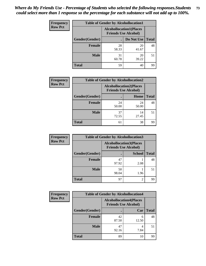| <b>Frequency</b> | <b>Table of Gender by Alcohollocation1</b> |                                                               |             |              |
|------------------|--------------------------------------------|---------------------------------------------------------------|-------------|--------------|
| <b>Row Pct</b>   |                                            | <b>Alcohollocation1(Places</b><br><b>Friends Use Alcohol)</b> |             |              |
|                  | Gender(Gender)                             |                                                               | Do Not Use  | <b>Total</b> |
|                  | <b>Female</b>                              | 28<br>58.33                                                   | 20<br>41.67 | 48           |
|                  | <b>Male</b>                                | 31<br>60.78                                                   | 20<br>39.22 | 51           |
|                  | <b>Total</b>                               | 59                                                            | 40          | 99           |

| <b>Frequency</b> | <b>Table of Gender by Alcohollocation2</b> |                                |                             |              |
|------------------|--------------------------------------------|--------------------------------|-----------------------------|--------------|
| <b>Row Pct</b>   |                                            | <b>Alcohollocation2(Places</b> | <b>Friends Use Alcohol)</b> |              |
|                  | Gender(Gender)                             |                                | Home                        | <b>Total</b> |
|                  | <b>Female</b>                              | 24<br>50.00                    | 24<br>50.00                 | 48           |
|                  | <b>Male</b>                                | 37<br>72.55                    | 14<br>27.45                 | 51           |
|                  | <b>Total</b>                               | 61                             | 38                          | 99           |

| Frequency      | <b>Table of Gender by Alcohollocation3</b> |                                                               |                |              |
|----------------|--------------------------------------------|---------------------------------------------------------------|----------------|--------------|
| <b>Row Pct</b> |                                            | <b>Alcohollocation3(Places</b><br><b>Friends Use Alcohol)</b> |                |              |
|                | Gender(Gender)                             |                                                               | <b>School</b>  | <b>Total</b> |
|                | <b>Female</b>                              | 47<br>97.92                                                   | 2.08           | 48           |
|                | <b>Male</b>                                | 50<br>98.04                                                   | 1.96           | 51           |
|                | <b>Total</b>                               | 97                                                            | $\mathfrak{D}$ | 99           |

| Frequency      | <b>Table of Gender by Alcohollocation4</b> |                                                               |            |              |
|----------------|--------------------------------------------|---------------------------------------------------------------|------------|--------------|
| <b>Row Pct</b> |                                            | <b>Alcohollocation4(Places</b><br><b>Friends Use Alcohol)</b> |            |              |
|                | Gender(Gender)                             |                                                               | Car        | <b>Total</b> |
|                | <b>Female</b>                              | 42<br>87.50                                                   | 6<br>12.50 | 48           |
|                | <b>Male</b>                                | 47<br>92.16                                                   | 7.84       | 51           |
|                | <b>Total</b>                               | 89                                                            | 10         | 99           |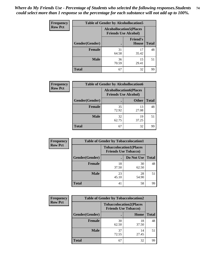| <b>Frequency</b> | <b>Table of Gender by Alcohollocation5</b> |                                                                |                          |              |
|------------------|--------------------------------------------|----------------------------------------------------------------|--------------------------|--------------|
| <b>Row Pct</b>   |                                            | <b>Alcohollocation5</b> (Places<br><b>Friends Use Alcohol)</b> |                          |              |
|                  | Gender(Gender)                             | $\bullet$                                                      | <b>Friend's</b><br>House | <b>Total</b> |
|                  | <b>Female</b>                              | 31<br>64.58                                                    | 17<br>35.42              | 48           |
|                  | <b>Male</b>                                | 36<br>70.59                                                    | 15<br>29.41              | 51           |
|                  | <b>Total</b>                               | 67                                                             | 32                       | 99           |

| Frequency      | <b>Table of Gender by Alcohollocation6</b> |                                                               |              |              |  |
|----------------|--------------------------------------------|---------------------------------------------------------------|--------------|--------------|--|
| <b>Row Pct</b> |                                            | <b>Alcohollocation6(Places</b><br><b>Friends Use Alcohol)</b> |              |              |  |
|                | Gender(Gender)                             |                                                               | <b>Other</b> | <b>Total</b> |  |
|                | Female                                     | 35<br>72.92                                                   | 13<br>27.08  | 48           |  |
|                | <b>Male</b>                                | 32<br>62.75                                                   | 19<br>37.25  | 51           |  |
|                | <b>Total</b>                               | 67                                                            | 32           | 99           |  |

| Frequency      | <b>Table of Gender by Tobaccolocation1</b> |                                                               |             |              |  |
|----------------|--------------------------------------------|---------------------------------------------------------------|-------------|--------------|--|
| <b>Row Pct</b> |                                            | <b>Tobaccolocation1(Places</b><br><b>Friends Use Tobacco)</b> |             |              |  |
|                | Gender(Gender)                             |                                                               | Do Not Use  | <b>Total</b> |  |
|                | Female                                     | 18<br>37.50                                                   | 30<br>62.50 | 48           |  |
|                | <b>Male</b>                                | 23<br>45.10                                                   | 28<br>54.90 | 51           |  |
|                | <b>Total</b>                               | 41                                                            | 58          | 99           |  |

| <b>Frequency</b> | <b>Table of Gender by Tobaccolocation2</b> |                                                               |             |              |
|------------------|--------------------------------------------|---------------------------------------------------------------|-------------|--------------|
| <b>Row Pct</b>   |                                            | <b>Tobaccolocation2(Places</b><br><b>Friends Use Tobacco)</b> |             |              |
|                  | Gender(Gender)                             |                                                               | Home        | <b>Total</b> |
|                  | Female                                     | 30<br>62.50                                                   | 18<br>37.50 | 48           |
|                  | <b>Male</b>                                | 37<br>72.55                                                   | 14<br>27.45 | 51           |
|                  | <b>Total</b>                               | 67                                                            | 32          | 99           |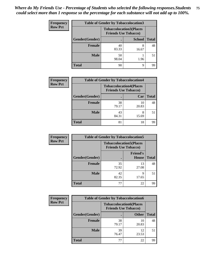| <b>Frequency</b> | <b>Table of Gender by Tobaccolocation3</b> |                                                               |               |              |
|------------------|--------------------------------------------|---------------------------------------------------------------|---------------|--------------|
| <b>Row Pct</b>   |                                            | <b>Tobaccolocation3(Places</b><br><b>Friends Use Tobacco)</b> |               |              |
|                  | Gender(Gender)                             |                                                               | <b>School</b> | <b>Total</b> |
|                  | <b>Female</b>                              | 40<br>83.33                                                   | 8<br>16.67    | 48           |
|                  | <b>Male</b>                                | 50<br>98.04                                                   | 1.96          | 51           |
|                  | <b>Total</b>                               | 90                                                            | 9             | 99           |

| <b>Frequency</b> | <b>Table of Gender by Tobaccolocation4</b> |             |                                                               |              |
|------------------|--------------------------------------------|-------------|---------------------------------------------------------------|--------------|
| <b>Row Pct</b>   |                                            |             | <b>Tobaccolocation4(Places</b><br><b>Friends Use Tobacco)</b> |              |
|                  | Gender(Gender)                             |             | Car                                                           | <b>Total</b> |
|                  | <b>Female</b>                              | 38<br>79.17 | 10<br>20.83                                                   | 48           |
|                  | <b>Male</b>                                | 43<br>84.31 | 15.69                                                         | 51           |
|                  | <b>Total</b>                               | 81          | 18                                                            | 99           |

| <b>Frequency</b> | <b>Table of Gender by Tobaccolocation5</b> |                                                               |                                 |              |
|------------------|--------------------------------------------|---------------------------------------------------------------|---------------------------------|--------------|
| <b>Row Pct</b>   |                                            | <b>Tobaccolocation5(Places</b><br><b>Friends Use Tobacco)</b> |                                 |              |
|                  | Gender(Gender)                             |                                                               | <b>Friend's</b><br><b>House</b> | <b>Total</b> |
|                  | <b>Female</b>                              | 35<br>72.92                                                   | 13<br>27.08                     | 48           |
|                  | <b>Male</b>                                | 42<br>82.35                                                   | q<br>17.65                      | 51           |
|                  | <b>Total</b>                               | 77                                                            | 22                              | 99           |

| <b>Frequency</b> | <b>Table of Gender by Tobaccolocation6</b> |                                                               |              |              |
|------------------|--------------------------------------------|---------------------------------------------------------------|--------------|--------------|
| <b>Row Pct</b>   |                                            | <b>Tobaccolocation6(Places</b><br><b>Friends Use Tobacco)</b> |              |              |
|                  | <b>Gender</b> (Gender)                     |                                                               | <b>Other</b> | <b>Total</b> |
|                  | Female                                     | 38<br>79.17                                                   | 10<br>20.83  | 48           |
|                  | <b>Male</b>                                | 39<br>76.47                                                   | 12<br>23.53  | 51           |
|                  | <b>Total</b>                               | 77                                                            | 22           | 99           |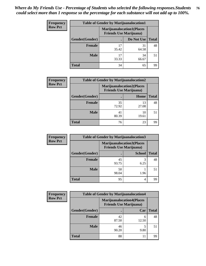| <b>Frequency</b> | <b>Table of Gender by Marijuanalocation1</b> |                                                                    |             |              |
|------------------|----------------------------------------------|--------------------------------------------------------------------|-------------|--------------|
| <b>Row Pct</b>   |                                              | <b>Marijuanalocation1(Places</b><br><b>Friends Use Marijuana</b> ) |             |              |
|                  | Gender(Gender)                               |                                                                    | Do Not Use  | <b>Total</b> |
|                  | <b>Female</b>                                | 17<br>35.42                                                        | 31<br>64.58 | 48           |
|                  | <b>Male</b>                                  | 17<br>33.33                                                        | 34<br>66.67 | 51           |
|                  | <b>Total</b>                                 | 34                                                                 | 65          | 99           |

| <b>Frequency</b> | <b>Table of Gender by Marijuanalocation2</b> |                                                                    |             |              |
|------------------|----------------------------------------------|--------------------------------------------------------------------|-------------|--------------|
| <b>Row Pct</b>   |                                              | <b>Marijuanalocation2(Places</b><br><b>Friends Use Marijuana</b> ) |             |              |
|                  | Gender(Gender)                               |                                                                    | Home        | <b>Total</b> |
|                  | Female                                       | 35<br>72.92                                                        | 13<br>27.08 | 48           |
|                  | <b>Male</b>                                  | 41<br>80.39                                                        | 10<br>19.61 | 51           |
|                  | <b>Total</b>                                 | 76                                                                 | 23          | 99           |

| Frequency      | <b>Table of Gender by Marijuanalocation3</b> |                                |                                  |              |  |
|----------------|----------------------------------------------|--------------------------------|----------------------------------|--------------|--|
| <b>Row Pct</b> |                                              | <b>Friends Use Marijuana</b> ) | <b>Marijuanalocation3(Places</b> |              |  |
|                | Gender(Gender)                               |                                | <b>School</b>                    | <b>Total</b> |  |
|                | Female                                       | 45<br>93.75                    | 6.25                             | 48           |  |
|                | <b>Male</b>                                  | 50<br>98.04                    | 1.96                             | 51           |  |
|                | <b>Total</b>                                 | 95                             | 4                                | 99           |  |

| <b>Frequency</b> | <b>Table of Gender by Marijuanalocation4</b> |                                |                                  |              |  |
|------------------|----------------------------------------------|--------------------------------|----------------------------------|--------------|--|
| <b>Row Pct</b>   |                                              | <b>Friends Use Marijuana</b> ) | <b>Marijuanalocation4(Places</b> |              |  |
|                  | Gender(Gender)                               |                                | Car                              | <b>Total</b> |  |
|                  | Female                                       | 42<br>87.50                    | 6<br>12.50                       | 48           |  |
|                  | <b>Male</b>                                  | 46<br>90.20                    | 9.80                             | 51           |  |
|                  | <b>Total</b>                                 | 88                             | 11                               | 99           |  |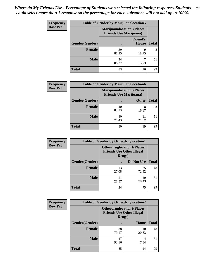| <b>Frequency</b> | <b>Table of Gender by Marijuanalocation5</b> |                                                                     |                                 |              |
|------------------|----------------------------------------------|---------------------------------------------------------------------|---------------------------------|--------------|
| <b>Row Pct</b>   |                                              | <b>Marijuanalocation5</b> (Places<br><b>Friends Use Marijuana</b> ) |                                 |              |
|                  | Gender(Gender)                               |                                                                     | <b>Friend's</b><br><b>House</b> | <b>Total</b> |
|                  | <b>Female</b>                                | 39<br>81.25                                                         | Q<br>18.75                      | 48           |
|                  | <b>Male</b>                                  | 44<br>86.27                                                         | 13.73                           | 51           |
|                  | <b>Total</b>                                 | 83                                                                  | 16                              | 99           |

| <b>Frequency</b> | <b>Table of Gender by Marijuanalocation6</b> |                                                                    |              |              |
|------------------|----------------------------------------------|--------------------------------------------------------------------|--------------|--------------|
| <b>Row Pct</b>   |                                              | <b>Marijuanalocation6(Places</b><br><b>Friends Use Marijuana</b> ) |              |              |
|                  | Gender(Gender)                               |                                                                    | <b>Other</b> | <b>Total</b> |
|                  | <b>Female</b>                                | 40<br>83.33                                                        | 8<br>16.67   | 48           |
|                  | <b>Male</b>                                  | 40<br>78.43                                                        | 21.57        | 51           |
|                  | <b>Total</b>                                 | 80                                                                 | 19           | 99           |

| <b>Frequency</b> | <b>Table of Gender by Otherdruglocation1</b> |                                            |                                  |              |
|------------------|----------------------------------------------|--------------------------------------------|----------------------------------|--------------|
| <b>Row Pct</b>   |                                              | <b>Friends Use Other Illegal</b><br>Drugs) | <b>Otherdruglocation1(Places</b> |              |
|                  | Gender(Gender)                               |                                            | Do Not Use                       | <b>Total</b> |
|                  | Female                                       | 13<br>27.08                                | 35<br>72.92                      | 48           |
|                  | <b>Male</b>                                  | 21.57                                      | 40<br>78.43                      | 51           |
|                  | <b>Total</b>                                 | 24                                         | 75                               | 99           |

| Frequency      | <b>Table of Gender by Otherdruglocation2</b> |                                            |                                  |              |
|----------------|----------------------------------------------|--------------------------------------------|----------------------------------|--------------|
| <b>Row Pct</b> |                                              | <b>Friends Use Other Illegal</b><br>Drugs) | <b>Otherdruglocation2(Places</b> |              |
|                | Gender(Gender)                               |                                            | Home                             | <b>Total</b> |
|                | Female                                       | 38<br>79.17                                | 10<br>20.83                      | 48           |
|                | <b>Male</b>                                  | 47<br>92.16                                | 4<br>7.84                        | 51           |
|                | <b>Total</b>                                 | 85                                         | 14                               | 99           |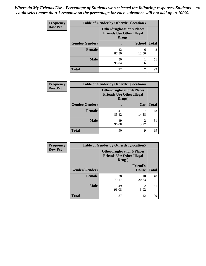| Frequency      | <b>Table of Gender by Otherdruglocation3</b> |             |                                                                      |              |
|----------------|----------------------------------------------|-------------|----------------------------------------------------------------------|--------------|
| <b>Row Pct</b> |                                              | Drugs)      | <b>Otherdruglocation3(Places</b><br><b>Friends Use Other Illegal</b> |              |
|                | Gender(Gender)                               |             | <b>School</b>                                                        | <b>Total</b> |
|                | <b>Female</b>                                | 42<br>87.50 | 6<br>12.50                                                           | 48           |
|                | <b>Male</b>                                  | 50<br>98.04 | 1.96                                                                 | 51           |
|                | <b>Total</b>                                 | 92          |                                                                      | 99           |

| Frequency      | <b>Table of Gender by Otherdruglocation4</b> |                                                                                |           |              |
|----------------|----------------------------------------------|--------------------------------------------------------------------------------|-----------|--------------|
| <b>Row Pct</b> |                                              | <b>Otherdruglocation4(Places</b><br><b>Friends Use Other Illegal</b><br>Drugs) |           |              |
|                | Gender(Gender)                               |                                                                                | Car       | <b>Total</b> |
|                | Female                                       | 41<br>85.42                                                                    | 14.58     | 48           |
|                | <b>Male</b>                                  | 49<br>96.08                                                                    | 2<br>3.92 | 51           |
|                | <b>Total</b>                                 | 90                                                                             | 9         | 99           |

| Frequency      | <b>Table of Gender by Otherdruglocation5</b> |                                            |                                  |              |
|----------------|----------------------------------------------|--------------------------------------------|----------------------------------|--------------|
| <b>Row Pct</b> |                                              | <b>Friends Use Other Illegal</b><br>Drugs) | <b>Otherdruglocation5(Places</b> |              |
|                | Gender(Gender)                               |                                            | <b>Friend's</b><br>House         | <b>Total</b> |
|                | <b>Female</b>                                | 38<br>79.17                                | 10<br>20.83                      | 48           |
|                | <b>Male</b>                                  | 49<br>96.08                                | $\mathfrak{D}$<br>3.92           | 51           |
|                | <b>Total</b>                                 | 87                                         | 12                               | 99           |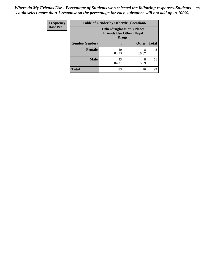| <b>Frequency</b> | <b>Table of Gender by Otherdruglocation6</b> |                                                                                |              |              |
|------------------|----------------------------------------------|--------------------------------------------------------------------------------|--------------|--------------|
| <b>Row Pct</b>   |                                              | <b>Otherdruglocation6(Places</b><br><b>Friends Use Other Illegal</b><br>Drugs) |              |              |
|                  | Gender(Gender)                               |                                                                                | <b>Other</b> | <b>Total</b> |
|                  | Female                                       | 40<br>83.33                                                                    | 8<br>16.67   | 48           |
|                  | <b>Male</b>                                  | 43<br>84.31                                                                    | 8<br>15.69   | 51           |
|                  | <b>Total</b>                                 | 83                                                                             | 16           | 99           |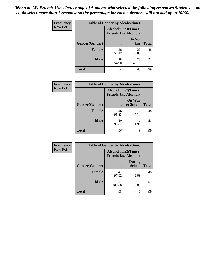| Frequency      | <b>Table of Gender by Alcoholtime1</b> |                                                          |                      |              |
|----------------|----------------------------------------|----------------------------------------------------------|----------------------|--------------|
| <b>Row Pct</b> |                                        | <b>Alcoholtime1(Times</b><br><b>Friends Use Alcohol)</b> |                      |              |
|                | Gender(Gender)                         |                                                          | Do Not<br><b>Use</b> | <b>Total</b> |
|                | <b>Female</b>                          | 26<br>54.17                                              | 22<br>45.83          | 48           |
|                | <b>Male</b>                            | 28<br>54.90                                              | 23<br>45.10          | 51           |
|                | <b>Total</b>                           | 54                                                       | 45                   | 99           |

| <b>Frequency</b> | <b>Table of Gender by Alcoholtime2</b> |                                                          |                            |              |
|------------------|----------------------------------------|----------------------------------------------------------|----------------------------|--------------|
| <b>Row Pct</b>   |                                        | <b>Alcoholtime2(Times</b><br><b>Friends Use Alcohol)</b> |                            |              |
|                  | Gender(Gender)                         |                                                          | <b>On Way</b><br>to School | <b>Total</b> |
|                  | <b>Female</b>                          | 46<br>95.83                                              | 2<br>4.17                  | 48           |
|                  | <b>Male</b>                            | 50<br>98.04                                              | 1.96                       | 51           |
|                  | <b>Total</b>                           | 96                                                       | 3                          | 99           |

| <b>Frequency</b> | <b>Table of Gender by Alcoholtime3</b> |                                                   |                                |              |
|------------------|----------------------------------------|---------------------------------------------------|--------------------------------|--------------|
| <b>Row Pct</b>   |                                        | Alcoholtime3(Times<br><b>Friends Use Alcohol)</b> |                                |              |
|                  | Gender(Gender)                         |                                                   | <b>During</b><br><b>School</b> | <b>Total</b> |
|                  | Female                                 | 47<br>97.92                                       | 2.08                           | 48           |
|                  | <b>Male</b>                            | 51<br>100.00                                      | 0.00                           | 51           |
|                  | <b>Total</b>                           | 98                                                |                                | 99           |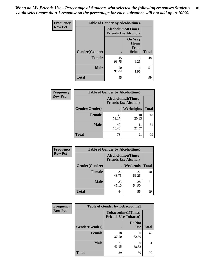*When do My Friends Use - Percentage of Students who selected the following responses.Students could select more than 1 response so the percentage for each substance will not add up to 100%.* **81**

| <b>Frequency</b> | <b>Table of Gender by Alcoholtime4</b> |                           |                                                |              |
|------------------|----------------------------------------|---------------------------|------------------------------------------------|--------------|
| <b>Row Pct</b>   |                                        | <b>Alcoholtime4(Times</b> | <b>Friends Use Alcohol)</b>                    |              |
|                  | Gender(Gender)                         | $\bullet$                 | <b>On Way</b><br>Home<br>From<br><b>School</b> | <b>Total</b> |
|                  | <b>Female</b>                          | 45<br>93.75               | 3<br>6.25                                      | 48           |
|                  | <b>Male</b>                            | 50<br>98.04               | 1.96                                           | 51           |
|                  | <b>Total</b>                           | 95                        | 4                                              | 99           |

| <b>Frequency</b> | <b>Table of Gender by Alcoholtime5</b> |                                                           |                   |              |
|------------------|----------------------------------------|-----------------------------------------------------------|-------------------|--------------|
| <b>Row Pct</b>   |                                        | <b>Alcoholtime5</b> (Times<br><b>Friends Use Alcohol)</b> |                   |              |
|                  | Gender(Gender)                         |                                                           | <b>Weeknights</b> | <b>Total</b> |
|                  | <b>Female</b>                          | 38<br>79.17                                               | 10<br>20.83       | 48           |
|                  | <b>Male</b>                            | 40<br>78.43                                               | 11<br>21.57       | 51           |
|                  | <b>Total</b>                           | 78                                                        | 21                | 99           |

| <b>Frequency</b> |                | <b>Table of Gender by Alcoholtime6</b> |                                                          |              |
|------------------|----------------|----------------------------------------|----------------------------------------------------------|--------------|
| <b>Row Pct</b>   |                |                                        | <b>Alcoholtime6(Times</b><br><b>Friends Use Alcohol)</b> |              |
|                  | Gender(Gender) |                                        | <b>Weekends</b>                                          | <b>Total</b> |
|                  | Female         | 21<br>43.75                            | 27<br>56.25                                              | 48           |
|                  | <b>Male</b>    | 23<br>45.10                            | 28<br>54.90                                              | 51           |
|                  | <b>Total</b>   | 44                                     | 55                                                       | 99           |

| Frequency      | <b>Table of Gender by Tobaccotime1</b> |                                                          |                      |              |
|----------------|----------------------------------------|----------------------------------------------------------|----------------------|--------------|
| <b>Row Pct</b> |                                        | <b>Tobaccotime1(Times</b><br><b>Friends Use Tobacco)</b> |                      |              |
|                | Gender(Gender)                         |                                                          | Do Not<br><b>Use</b> | <b>Total</b> |
|                | <b>Female</b>                          | 18<br>37.50                                              | 30<br>62.50          | 48           |
|                | <b>Male</b>                            | 21<br>41.18                                              | 30<br>58.82          | 51           |
|                | <b>Total</b>                           | 39                                                       | 60                   | 99           |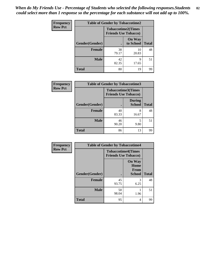| Frequency      | <b>Table of Gender by Tobaccotime2</b> |                                                          |                            |              |
|----------------|----------------------------------------|----------------------------------------------------------|----------------------------|--------------|
| <b>Row Pct</b> |                                        | <b>Tobaccotime2(Times</b><br><b>Friends Use Tobacco)</b> |                            |              |
|                | Gender(Gender)                         |                                                          | <b>On Way</b><br>to School | <b>Total</b> |
|                | Female                                 | 38<br>79.17                                              | 10<br>20.83                | 48           |
|                | <b>Male</b>                            | 42<br>82.35                                              | q<br>17.65                 | 51           |
|                | <b>Total</b>                           | 80                                                       | 19                         | 99           |

| Frequency      | <b>Table of Gender by Tobaccotime3</b> |                                                          |                                |              |
|----------------|----------------------------------------|----------------------------------------------------------|--------------------------------|--------------|
| <b>Row Pct</b> |                                        | <b>Tobaccotime3(Times</b><br><b>Friends Use Tobacco)</b> |                                |              |
|                | Gender(Gender)                         |                                                          | <b>During</b><br><b>School</b> | <b>Total</b> |
|                | <b>Female</b>                          | 40<br>83.33                                              | 8<br>16.67                     | 48           |
|                | <b>Male</b>                            | 46<br>90.20                                              | 9.80                           | 51           |
|                | <b>Total</b>                           | 86                                                       | 13                             | 99           |

| <b>Frequency</b> | <b>Table of Gender by Tobaccotime4</b> |                                                          |                                                |              |
|------------------|----------------------------------------|----------------------------------------------------------|------------------------------------------------|--------------|
| <b>Row Pct</b>   |                                        | <b>Tobaccotime4(Times</b><br><b>Friends Use Tobacco)</b> |                                                |              |
|                  | Gender(Gender)                         |                                                          | <b>On Way</b><br>Home<br>From<br><b>School</b> | <b>Total</b> |
|                  | <b>Female</b>                          | 45<br>93.75                                              | 3<br>6.25                                      | 48           |
|                  | <b>Male</b>                            | 50<br>98.04                                              | 1.96                                           | 51           |
|                  | <b>Total</b>                           | 95                                                       | 4                                              | 99           |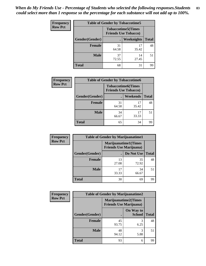| <b>Frequency</b> | <b>Table of Gender by Tobaccotime5</b> |             |                                                           |              |
|------------------|----------------------------------------|-------------|-----------------------------------------------------------|--------------|
| <b>Row Pct</b>   |                                        |             | <b>Tobaccotime5</b> (Times<br><b>Friends Use Tobacco)</b> |              |
|                  | <b>Gender</b> (Gender)                 |             | <b>Weeknights</b>                                         | <b>Total</b> |
|                  | <b>Female</b>                          | 31<br>64.58 | 17<br>35.42                                               | 48           |
|                  | <b>Male</b>                            | 37<br>72.55 | 14<br>27.45                                               | 51           |
|                  | <b>Total</b>                           | 68          | 31                                                        | 99           |

| Frequency      |                | <b>Table of Gender by Tobaccotime6</b>                   |                 |              |  |
|----------------|----------------|----------------------------------------------------------|-----------------|--------------|--|
| <b>Row Pct</b> |                | <b>Tobaccotime6(Times</b><br><b>Friends Use Tobacco)</b> |                 |              |  |
|                | Gender(Gender) |                                                          | <b>Weekends</b> | <b>Total</b> |  |
|                | <b>Female</b>  | 31<br>64.58                                              | 17<br>35.42     | 48           |  |
|                | <b>Male</b>    | 34<br>66.67                                              | 17<br>33.33     | 51           |  |
|                | <b>Total</b>   | 65                                                       | 34              | 99           |  |

| Frequency      | <b>Table of Gender by Marijuanatime1</b> |                                |                             |              |
|----------------|------------------------------------------|--------------------------------|-----------------------------|--------------|
| <b>Row Pct</b> |                                          | <b>Friends Use Marijuana</b> ) | <b>Marijuanatime1(Times</b> |              |
|                | Gender(Gender)                           |                                | Do Not Use                  | <b>Total</b> |
|                | <b>Female</b>                            | 13<br>27.08                    | 35<br>72.92                 | 48           |
|                | <b>Male</b>                              | 17<br>33.33                    | 34<br>66.67                 | 51           |
|                | <b>Total</b>                             | 30                             | 69                          | 99           |

| <b>Frequency</b> | <b>Table of Gender by Marijuanatime2</b> |                                |                             |              |  |
|------------------|------------------------------------------|--------------------------------|-----------------------------|--------------|--|
| <b>Row Pct</b>   |                                          | <b>Friends Use Marijuana</b> ) | <b>Marijuanatime2(Times</b> |              |  |
|                  | Gender(Gender)                           |                                | On Way to<br><b>School</b>  | <b>Total</b> |  |
|                  | <b>Female</b>                            | 45<br>93.75                    | 6.25                        | 48           |  |
|                  | <b>Male</b>                              | 48<br>94.12                    | 3<br>5.88                   | 51           |  |
|                  | <b>Total</b>                             | 93                             | 6                           | 99           |  |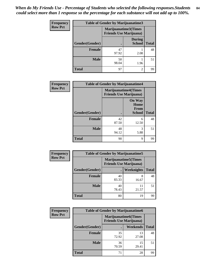| <b>Frequency</b> | <b>Table of Gender by Marijuanatime3</b> |                                                        |                                |              |
|------------------|------------------------------------------|--------------------------------------------------------|--------------------------------|--------------|
| <b>Row Pct</b>   |                                          | Marijuanatime3(Times<br><b>Friends Use Marijuana</b> ) |                                |              |
|                  | Gender(Gender)                           |                                                        | <b>During</b><br><b>School</b> | <b>Total</b> |
|                  | <b>Female</b>                            | 47<br>97.92                                            | 2.08                           | 48           |
|                  | <b>Male</b>                              | 50<br>98.04                                            | 1.96                           | 51           |
|                  | <b>Total</b>                             | 97                                                     | $\overline{2}$                 | 99           |

| Frequency      | <b>Table of Gender by Marijuanatime4</b> |                                |                                                       |              |
|----------------|------------------------------------------|--------------------------------|-------------------------------------------------------|--------------|
| <b>Row Pct</b> |                                          | <b>Friends Use Marijuana</b> ) | <b>Marijuanatime4</b> (Times                          |              |
|                | Gender(Gender)                           |                                | <b>On Way</b><br>Home<br><b>From</b><br><b>School</b> | <b>Total</b> |
|                | <b>Female</b>                            | 42<br>87.50                    | 6<br>12.50                                            | 48           |
|                | <b>Male</b>                              | 48<br>94.12                    | 3<br>5.88                                             | 51           |
|                | <b>Total</b>                             | 90                             | 9                                                     | 99           |

| Frequency      | <b>Table of Gender by Marijuanatime5</b> |             |                                                                |              |  |
|----------------|------------------------------------------|-------------|----------------------------------------------------------------|--------------|--|
| <b>Row Pct</b> |                                          |             | <b>Marijuanatime5</b> (Times<br><b>Friends Use Marijuana</b> ) |              |  |
|                | Gender(Gender)                           | ٠           | Weeknights                                                     | <b>Total</b> |  |
|                | <b>Female</b>                            | 40<br>83.33 | 8<br>16.67                                                     | 48           |  |
|                | <b>Male</b>                              | 40<br>78.43 | 11<br>21.57                                                    | 51           |  |
|                | <b>Total</b>                             | 80          | 19                                                             | 99           |  |

| Frequency      | <b>Table of Gender by Marijuanatime6</b> |                                                               |                 |              |  |
|----------------|------------------------------------------|---------------------------------------------------------------|-----------------|--------------|--|
| <b>Row Pct</b> |                                          | <b>Marijuanatime6(Times</b><br><b>Friends Use Marijuana</b> ) |                 |              |  |
|                | Gender(Gender)                           |                                                               | <b>Weekends</b> | <b>Total</b> |  |
|                | <b>Female</b>                            | 35<br>72.92                                                   | 13<br>27.08     | 48           |  |
|                | <b>Male</b>                              | 36<br>70.59                                                   | 15<br>29.41     | 51           |  |
|                | <b>Total</b>                             | 71                                                            | 28              | 99           |  |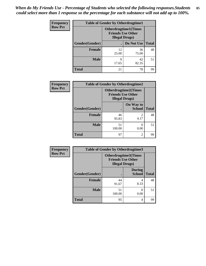| <b>Frequency</b> | <b>Table of Gender by Otherdrugtime1</b> |                                                    |                              |    |
|------------------|------------------------------------------|----------------------------------------------------|------------------------------|----|
| <b>Row Pct</b>   |                                          | <b>Friends Use Other</b><br><b>Illegal Drugs</b> ) | <b>Otherdrugtime1</b> (Times |    |
|                  | Gender(Gender)                           |                                                    | Do Not Use   Total           |    |
|                  | <b>Female</b>                            | 12<br>25.00                                        | 36<br>75.00                  | 48 |
|                  | <b>Male</b>                              | 9<br>17.65                                         | 42<br>82.35                  | 51 |
|                  | <b>Total</b>                             | 21                                                 | 78                           | 99 |

| Frequency      | <b>Table of Gender by Otherdrugtime2</b> |                                                                                   |                            |              |
|----------------|------------------------------------------|-----------------------------------------------------------------------------------|----------------------------|--------------|
| <b>Row Pct</b> |                                          | <b>Otherdrugtime2(Times</b><br><b>Friends Use Other</b><br><b>Illegal Drugs</b> ) |                            |              |
|                | Gender(Gender)                           |                                                                                   | On Way to<br><b>School</b> | <b>Total</b> |
|                | <b>Female</b>                            | 46<br>95.83                                                                       | 2<br>4.17                  | 48           |
|                | <b>Male</b>                              | 51<br>100.00                                                                      | 0.00                       | 51           |
|                | <b>Total</b>                             | 97                                                                                | $\mathfrak{D}$             | 99           |

| Frequency      | <b>Table of Gender by Otherdrugtime3</b> |                        |                                                  |              |
|----------------|------------------------------------------|------------------------|--------------------------------------------------|--------------|
| <b>Row Pct</b> |                                          | <b>Illegal Drugs</b> ) | Otherdrugtime3(Times<br><b>Friends Use Other</b> |              |
|                | Gender(Gender)                           |                        | <b>During</b><br><b>School</b>                   | <b>Total</b> |
|                | <b>Female</b>                            | 44<br>91.67            | 4<br>8.33                                        | 48           |
|                | <b>Male</b>                              | 51<br>100.00           | 0.00                                             | 51           |
|                | <b>Total</b>                             | 95                     | 4                                                | 99           |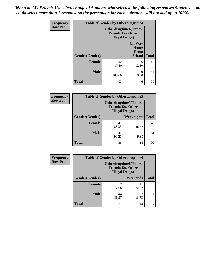*When do My Friends Use - Percentage of Students who selected the following responses.Students could select more than 1 response so the percentage for each substance will not add up to 100%.* **86**

| <b>Frequency</b> | <b>Table of Gender by Otherdrugtime4</b> |                        |                                                         |              |
|------------------|------------------------------------------|------------------------|---------------------------------------------------------|--------------|
| <b>Row Pct</b>   |                                          | <b>Illegal Drugs</b> ) | <b>Otherdrugtime4(Times</b><br><b>Friends Use Other</b> |              |
|                  | Gender(Gender)                           |                        | <b>On Way</b><br>Home<br>From<br><b>School</b>          | <b>Total</b> |
|                  | Female                                   | 42<br>87.50            | 6<br>12.50                                              | 48           |
|                  | <b>Male</b>                              | 51<br>100.00           | 0.00                                                    | 51           |
|                  | <b>Total</b>                             | 93                     | 6                                                       | 99           |

| <b>Frequency</b> | <b>Table of Gender by Otherdrugtime5</b> |                                                                                   |            |              |  |
|------------------|------------------------------------------|-----------------------------------------------------------------------------------|------------|--------------|--|
| <b>Row Pct</b>   |                                          | <b>Otherdrugtime5</b> (Times<br><b>Friends Use Other</b><br><b>Illegal Drugs)</b> |            |              |  |
|                  | Gender(Gender)                           |                                                                                   | Weeknights | <b>Total</b> |  |
|                  | <b>Female</b>                            | 40<br>83.33                                                                       | 8<br>16.67 | 48           |  |
|                  | <b>Male</b>                              | 46<br>90.20                                                                       | 9.80       | 51           |  |
|                  | <b>Total</b>                             | 86                                                                                | 13         | 99           |  |

| <b>Frequency</b> | <b>Table of Gender by Otherdrugtime6</b> |                                                                                   |             |              |
|------------------|------------------------------------------|-----------------------------------------------------------------------------------|-------------|--------------|
| <b>Row Pct</b>   |                                          | <b>Otherdrugtime6(Times</b><br><b>Friends Use Other</b><br><b>Illegal Drugs</b> ) |             |              |
|                  | Gender(Gender)                           |                                                                                   | Weekends    | <b>Total</b> |
|                  | <b>Female</b>                            | 37<br>77.08                                                                       | 11<br>22.92 | 48           |
|                  | <b>Male</b>                              | 44<br>86.27                                                                       | 13.73       | 51           |
|                  | <b>Total</b>                             | 81                                                                                | 18          | 99           |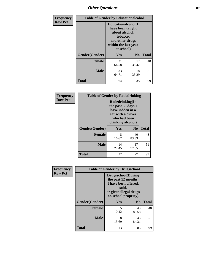# *Other Questions* **87**

| <b>Frequency</b> | <b>Table of Gender by Educationalcohol</b> |                                                                                                                                       |                |              |  |
|------------------|--------------------------------------------|---------------------------------------------------------------------------------------------------------------------------------------|----------------|--------------|--|
| <b>Row Pct</b>   |                                            | <b>Educationalcohol</b> (I<br>have been taught<br>about alcohol,<br>tobacco,<br>and other drugs<br>within the last year<br>at school) |                |              |  |
|                  | Gender(Gender)                             | <b>Yes</b>                                                                                                                            | N <sub>0</sub> | <b>Total</b> |  |
|                  | <b>Female</b>                              | 31<br>64.58                                                                                                                           | 17<br>35.42    | 48           |  |
|                  | <b>Male</b>                                | 33<br>64.71                                                                                                                           | 18<br>35.29    | 51           |  |
|                  | <b>Total</b>                               | 64                                                                                                                                    | 35             | 99           |  |

| Frequency      | <b>Table of Gender by Rodedrinking</b> |                                                                                                                     |                |              |
|----------------|----------------------------------------|---------------------------------------------------------------------------------------------------------------------|----------------|--------------|
| <b>Row Pct</b> |                                        | Rodedrinking(In<br>the past 30 days I<br>have ridden in a<br>car with a driver<br>who had been<br>drinking alcohol) |                |              |
|                | Gender(Gender)                         | Yes                                                                                                                 | N <sub>0</sub> | <b>Total</b> |
|                | <b>Female</b>                          | 8<br>16.67                                                                                                          | 40<br>83.33    | 48           |
|                | <b>Male</b>                            | 14<br>27.45                                                                                                         | 37<br>72.55    | 51           |
|                | <b>Total</b>                           | 22                                                                                                                  | 77             | 99           |

| Frequency      | <b>Table of Gender by Drugsschool</b> |                                                                                                                                     |                |              |
|----------------|---------------------------------------|-------------------------------------------------------------------------------------------------------------------------------------|----------------|--------------|
| <b>Row Pct</b> |                                       | <b>Drugsschool</b> (During<br>the past 12 months,<br>I have been offered,<br>sold,<br>or given illegal drugs<br>on school property) |                |              |
|                | Gender(Gender)                        | <b>Yes</b>                                                                                                                          | N <sub>0</sub> | <b>Total</b> |
|                | <b>Female</b>                         | 5<br>10.42                                                                                                                          | 43<br>89.58    | 48           |
|                | <b>Male</b>                           | 8<br>15.69                                                                                                                          | 43<br>84.31    | 51           |
|                | <b>Total</b>                          | 13                                                                                                                                  | 86             | 99           |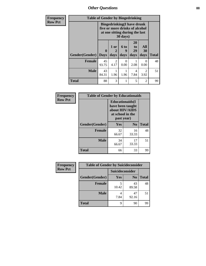*Other Questions* **88**

| <b>Frequency</b> | <b>Table of Gender by Bingedrinking</b> |              |              |                                                                                                                   |                        |                                     |              |
|------------------|-----------------------------------------|--------------|--------------|-------------------------------------------------------------------------------------------------------------------|------------------------|-------------------------------------|--------------|
| <b>Row Pct</b>   |                                         |              |              | <b>Bingedrinking(I have drunk</b><br>five or more drinks of alcohol<br>at one sitting during the last<br>30 days) |                        |                                     |              |
|                  | <b>Gender</b> (Gender)   Days           | $\mathbf{0}$ | 1 or<br>days | 6 to<br>9<br>days                                                                                                 | 20<br>to<br>29<br>days | All<br>30<br>days                   | <b>Total</b> |
|                  | <b>Female</b>                           | 45<br>93.75  | 2<br>4.17    | 0<br>0.00                                                                                                         | 2.08                   | ∩<br>0.00                           | 48           |
|                  | <b>Male</b>                             | 43<br>84.31  | 1.96         | 1.96                                                                                                              | 4<br>7.84              | $\mathcal{D}_{\mathcal{L}}$<br>3.92 | 51           |
|                  | <b>Total</b>                            | 88           | 3            | 1                                                                                                                 | 5                      | $\overline{c}$                      | 99           |

| Frequency      | <b>Table of Gender by Educationaids</b> |                                                                                                 |                |              |  |
|----------------|-----------------------------------------|-------------------------------------------------------------------------------------------------|----------------|--------------|--|
| <b>Row Pct</b> |                                         | <b>Educationaids</b> (I<br>have been taught<br>about HIV/AIDS<br>at school in the<br>past year) |                |              |  |
|                | Gender(Gender)                          | Yes                                                                                             | N <sub>0</sub> | <b>Total</b> |  |
|                | <b>Female</b>                           | 32<br>66.67                                                                                     | 16<br>33.33    | 48           |  |
|                | <b>Male</b>                             | 34<br>66.67                                                                                     | 17<br>33.33    | 51           |  |
|                | <b>Total</b>                            | 66                                                                                              | 33             | 99           |  |

| <b>Frequency</b> | <b>Table of Gender by Suicideconsider</b> |                 |                |              |
|------------------|-------------------------------------------|-----------------|----------------|--------------|
| <b>Row Pct</b>   |                                           | Suicideconsider |                |              |
|                  | Gender(Gender)                            | Yes             | N <sub>0</sub> | <b>Total</b> |
|                  | <b>Female</b>                             | 10.42           | 43<br>89.58    | 48           |
|                  | <b>Male</b>                               | 7.84            | 47<br>92.16    | 51           |
|                  | <b>Total</b>                              | 9               | 90             | 99           |